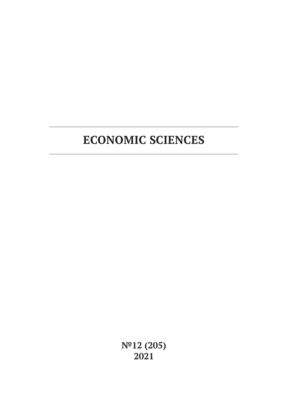**№12 (205) 2021**

# **ECONOMIC SCIENCES**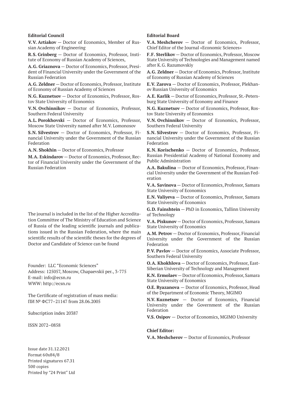#### **Editorial Council**

**V.V. Artiakov** — Doctor of Economics, Member of Russian Academy of Engineering

**R.S. Grinberg** — Doctor of Economics, Professor, Institute of Economy of Russian Academy of Sciences,

**A.G. Griaznova** — Doctor of Economics, Professor, President of Financial University under the Government of the Russian Federation

**A.G. Zeldner** — Doctor of Economics, Professor, Institute of Economy of Russian Academy of Sciences

**N.G. Kuznetsov** — Doctor of Economics, Professor, Rostov State University of Economics

**V.N. Ovchinnikov** — Doctor of Economics, Professor, Southern Federal University

**A.L. Porokhovski** — Doctor of Economics, Professor, Moscow State University named after M.V. Lomonosov

**S.N. Silvestrov** — Doctor of Economics, Professor, Financial University under the Government of the Russian Federation

**A.N. Shokhin** — Doctor of Economics, Professor

**M.A. Eskindarov** — Doctor of Economics, Professor, Rector of Financial University under the Government of the Russian Federation

The journal is included in the list of the Higher Accreditation Committee of The Ministry of Education and Science of Russia of the leading scientific journals and publications issued in the Russian Federation, where the main scientific results of the scientific theses for the degrees of Doctor and Candidate of Science can be found

Founder: LLC "Economic Sciences" Address: 125057, Moscow, Chapaevskii per., 3-775 E-mail: info@ecsn.ru WWW: http://ecsn.ru

The Certificate of registration of mass media: ПИ № ФС77–21147 from 28.06.2005

Subscription index 20387

ISSN 2072–0858

Issue date 31.12.2021 Format 60х84/8 Printed signatures 67.31 500 copies Printed by "24 Print" Ltd

#### **Editorial Board**

**V.A. Meshcherov** — Doctor of Economics, Professor, Chief Editor of the Journal «Economic Sciences»

**F.F. Sterlikov** — Doctor of Economics, Professor, Moscow State University of Technologies and Management named after K.G. Razumovskiy

**A.G. Zeldner** — Doctor of Economics, Professor, Institute of Economy of Russian Academy of Sciences

**E.V. Zarova** — Doctor of Economics, Professor, Plekhanov Russian University of Economics

**A.E. Karlik** — Doctor of Economics, Professor, St.-Petersburg State University of Economy and Finance

**N.G. Kuznetsov** — Doctor of Economics, Professor, Rostov State University of Economics

**V.N. Ovchinnikov** — Doctor of Economics, Professor, Southern Federal University

**S.N. Silvestrov** — Doctor of Economics, Professor, Financial University under the Government of the Russian Federation

**K.N. Korischenko** — Doctor of Economics, Professor, Russian Presidential Academy of National Economy and Public Administration

**A.A. Bakulina** — Doctor of Economics, Professor, Financial University under the Government of the Russian Federation

**V.A. Savinova** — Doctor of Economics, Professor, Samara State University of Economics

**E.N. Valiyeva** — Doctor of Economics, Professor, Samara State University of Economics

**G.D. Fainshtein** — PhD in Economics, Tallinn University of Technology

**V.A. Piskunov** — Doctor of Economics, Professor, Samara State University of Economics

**A.M. Petrov** — Doctor of Economics, Professor, Financial University under the Government of the Russian Federation

**P.V. Pavlov** — Doctor of Economics, Associate Professor, Southern Federal University

**O.A. Khokhlova** — Doctor of Economics, Professor, East-Siberian University of Technology and Management

**K.N. Ermolaev** — Doctor of Economics, Professor, Samara State University of Economics

**O.E. Ryazanova** — Doctor of Economics, Professor, Head of the Department of Economic Theory, MGIMO

**N.V. Kuznetsov** — Doctor of Economics, Financial University under the Government of the Russian Federation

**V.S. Osipov** — Doctor of Economics, MGIMO University

#### **Chief Editor:**

**V.A. Meshcherov** — Doctor of Economics, Professor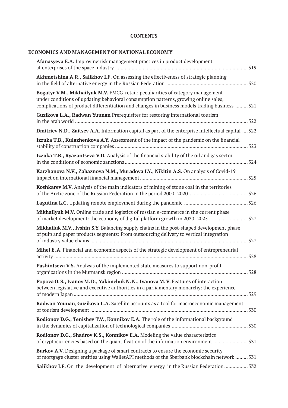### **CONTENTS**

# **ECONOMICS AND MANAGEMENT OF NATIONAL ECONOMY**

| <b>Afanasyeva E.A.</b> Improving risk management practices in product development                                                                                                                                                                                       |
|-------------------------------------------------------------------------------------------------------------------------------------------------------------------------------------------------------------------------------------------------------------------------|
| Akhmetshina A.R., Salikhov I.F. On assessing the effectiveness of strategic planning                                                                                                                                                                                    |
| Bogatyr V.M., Mikhailyuk M.V. FMCG-retail: peculiarities of category management<br>under conditions of updating behavioral consumption patterns, growing online sales,<br>complications of product differentiation and changes in business models trading business  521 |
| Guzikova L.A., Radwan Yuunan Prerequisites for restoring international tourism                                                                                                                                                                                          |
| Dmitriev N.D., Zaitsev A.A. Information capital as part of the enterprise intellectual capital  522                                                                                                                                                                     |
| Izzuka T.B., Kulazhenkova A.Y. Assessment of the impact of the pandemic on the financial                                                                                                                                                                                |
| Izzuka T.B., Ryazantseva V.D. Analysis of the financial stability of the oil and gas sector                                                                                                                                                                             |
| Karzhanova N.V., Zabaznova N.M., Muradova I.Y., Nikitin A.S. On analysis of Covid-19                                                                                                                                                                                    |
| Koshkarev M.V. Analysis of the main indicators of mining of stone coal in the territories                                                                                                                                                                               |
|                                                                                                                                                                                                                                                                         |
| Mikhailyuk M.V. Online trade and logistics of russian e-commerce in the current phase<br>of market development: the economy of digital platform growth in 2020–2025 527                                                                                                 |
| Mikhailuk M.V., Ivshin S.Y. Balancing supply chains in the post-shaped development phase<br>of pulp and paper products segments: From outsourcing delivery to vertical integration                                                                                      |
| Mihel E.A. Financial and economic aspects of the strategic development of entrepreneurial<br>528                                                                                                                                                                        |
| Pashintseva V.S. Analysis of the implemented state measures to support non-profit                                                                                                                                                                                       |
| Popova O.S., Ivanov M.D., Yakimchuk N.N., Ivanova M.V. Features of interaction<br>between legislative and executive authorities in a parliamentary monarchy: the experience                                                                                             |
| Radwan Younan, Guzikova L.A. Satellite accounts as a tool for macroeconomic management                                                                                                                                                                                  |
| Rodionov D.G., Tenishev T.V., Konnikov E.A. The role of the informational background                                                                                                                                                                                    |
| Rodionov D.G., Shadrov K.S., Konnikov E.A. Modeling the value characteristics<br>of cryptocurrencies based on the quantification of the information environment 531                                                                                                     |
| Burkov A.V. Designing a package of smart contracts to ensure the economic security<br>of mortgage cluster entities using WalletAPI methods of the Sberbank blockchain network  531                                                                                      |
| Salikhov I.F. On the development of alternative energy in the Russian Federation 532                                                                                                                                                                                    |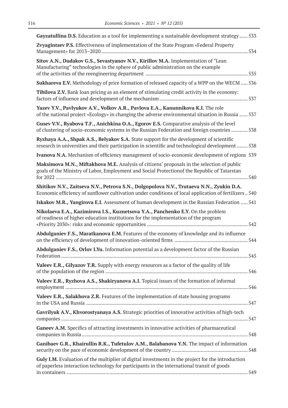| Gayzatullina D.S. Education as a tool for implementing a sustainable development strategy  533                                                                                                     |
|----------------------------------------------------------------------------------------------------------------------------------------------------------------------------------------------------|
| Zvyagintsev P.S. Effectiveness of implementation of the State Program «Federal Property                                                                                                            |
| Sitov A.N., Dudakov G.S., Sevastyanov N.V., Kirillov M.A. Implementation of "Lean<br>Manufacturing" technologies in the sphere of public administration on the example                             |
| <b>Sukhareva E.V.</b> Methodology of price formation of released capacity of a WPP on the WECM  536                                                                                                |
| Tibilova Z.V. Bank loan pricing as an element of stimulating credit activity in the economy:                                                                                                       |
| Yazev Y.V., Pavlyukov A.V., Volkov A.R., Pavlova E.A., Kanunnikova K.I. The role<br>of the national project «Ecology» in changing the adverse environmental situation in Russia  537               |
| Gusev V.V., Ryabova T.F., Anichkina O.A., Egorov E.S. Comparative analysis of the level<br>of clustering of socio-economic systems in the Russian Federation and foreign countries  538            |
| Ryzhaya A.A., Shpak A.S., Belyakov S.A. State support for the development of scientific<br>research in universities and their participation in scientific and technological development 538        |
| Ivanova N.A. Mechanism of efficiency management of socio-economic development of regions 539                                                                                                       |
| Maksimova M.N., Miftakhova M.E. Analysis of citizens' proposals in the selection of public<br>goals of the Ministry of Labor, Employment and Social Protectionof the Republic of Tatarstan<br>540  |
| Shitikov N.V., Zaitseva N.V., Petrova S.N., Dolgopolova N.V., Trutaeva N.N., Zyukin D.A.<br>Economic efficiency of sunflower cultivation under conditions of local application of fertilizers  540 |
| <b>Iskakov M.R., Yangirova E.I.</b> Assessment of human development in the Russian Federation  541                                                                                                 |
| Nikolaeva E.A., Kazimirova I.S., Kuznetsova Y.A., Panchenko E.Y. On the problem<br>of readiness of higher education institutions for the implementation of the program                             |
| Abdulganiev F.S., Maratkanova E.M. Features of the economy of knowledge and its influence                                                                                                          |
| Abdulganiev F.S., Orlov I.Yu. Information potential as a development factor of the Russian                                                                                                         |
| Valeev E.R., Gilyazov T.R. Supply with energy resources as a factor of the quality of life                                                                                                         |
| Valeev E.R., Ryzhova A.S., Shakiryanova A.I. Topical issues of the formation of informal                                                                                                           |
| Valeev E.R., Salakhova Z.R. Features of the implementation of state housing programs                                                                                                               |
| Gavrilyuk A.V., Khvorostyanaya A.S. Strategic priorities of innovative activities of high-tech                                                                                                     |
| Ganeev A.M. Specifics of attracting investments in innovative activities of pharmaceutical                                                                                                         |
| Ganibaev G.R., Khairullin R.K., Tufetulov A.M., Balabanova Y.N. The impact of information                                                                                                          |
| Guly I.M. Evaluation of the multiplier of digital investments in the project for the introduction<br>of paperless interaction technology for participants in the international transit of goods    |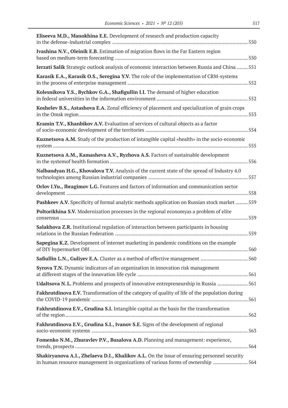| Eliseeva M.D., Manokhina E.E. Development of research and production capacity                                                                                                   |
|---------------------------------------------------------------------------------------------------------------------------------------------------------------------------------|
| Ivashina N.V., Oleinik E.B. Estimation of migration flows in the Far Eastern region                                                                                             |
| Ierzati Salik Strategic outlook analysis of economic interaction between Russia and China  551                                                                                  |
| Karasik E.A., Karasik O.S., Seregina Y.V. The role of the implementation of CRM-systems                                                                                         |
| Kolesnikova Y.S., Bychkov G.A., Shafigullin I.I. The demand of higher education                                                                                                 |
| Koshelev B.S., Astashova E.A. Zonal efficiency of placement and specialization of grain crops                                                                                   |
| Kramin T.V., Khanbikov A.V. Evaluation of services of cultural objects as a factor                                                                                              |
| Kuznetsova A.M. Study of the production of intangible capital «health» in the socio-economic                                                                                    |
| Kuznetsova A.M., Kamasheva A.V., Ryzhova A.S. Factors of sustainable development                                                                                                |
| Nalbandyan H.G., Khovalova T.V. Analysis of the current state of the spread of Industry 4.0                                                                                     |
| Orlov I.Yu., Ibragimov L.G. Features and factors of information and communication sector                                                                                        |
| Pashkeev A.V. Specificity of formal analytic methods application on Russian stock market  559                                                                                   |
| Poltorikhina S.V. Modernization processes in the regional economyas a problem of elite                                                                                          |
| Salakhova Z.R. Institutional regulation of interaction between participants in housing                                                                                          |
| Sapegina K.Z. Development of internet marketing in pandemic conditions on the example                                                                                           |
| Safiullin L.N., Guliyev E.A. Cluster as a method of effective management 560                                                                                                    |
| Syrova T.N. Dynamic indicators of an organization in innovation risk management                                                                                                 |
| Udaltsova N.L. Problems and prospects of innovative entrepreneurship in Russia 561                                                                                              |
| Fakhrutdinova E.V. Transformation of the category of quality of life of the population during                                                                                   |
| Fakhrutdinova E.V., Grudina S.I. Intangible capital as the basis for the transformation                                                                                         |
| Fakhrutdinova E.V., Grudina S.I., Ivanov S.E. Signs of the development of regional                                                                                              |
| Fomenko N.M., Zhuravlev P.V., Busalova A.D. Planning and management: experience,                                                                                                |
| Shakiryanova A.I., Zhelaeva D.I., Khalikov A.L. On the issue of ensuring personnel security<br>in human resource management in organizations of various forms of ownership  564 |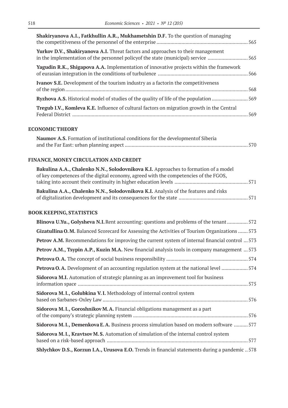| Shakiryanova A.I., Fatkhullin A.R., Mukhametshin D.F. To the question of managing                                                                                             |  |
|-------------------------------------------------------------------------------------------------------------------------------------------------------------------------------|--|
| <b>Yurkov D.V., Shakiryanova A.I.</b> Threat factors and approaches to their management<br>in the implementation of the personnel policy of the state (municipal) service 565 |  |
| <b>Yagudin R.K., Shigapova A.A.</b> Implementation of innovative projects within the framework                                                                                |  |
| <b>Ivanov S.E.</b> Development of the tourism industry as a factor in the competitiveness                                                                                     |  |
|                                                                                                                                                                               |  |
| Tregub I.V., Komleva K.E. Influence of cultural factors on migration growth in the Central                                                                                    |  |
|                                                                                                                                                                               |  |

### **ECONOMIC THEORY**

| Naumov A.S. Formation of institutional conditions for the development of Siberia |  |
|----------------------------------------------------------------------------------|--|
|                                                                                  |  |

# **FINANCE, MONEY CIRCULATION AND CREDIT**

| Bakulina A.A., Chalenko N.N., Solodovnikova K.I. Approaches to formation of a model  |  |
|--------------------------------------------------------------------------------------|--|
| of key competences of the digital economy, agreed with the competencies of the FGOS, |  |
|                                                                                      |  |
| Bakulina A.A., Chalenko N.N., Solodovnikova K.I. Analysis of the features and risks  |  |
|                                                                                      |  |

### **BOOK KEEPING, STATISTICS**

| Blinova U.Yu., Golysheva N.I. Rent accounting: questions and problems of the tenant572                 |
|--------------------------------------------------------------------------------------------------------|
| Gizatullina O.M. Balanced Scorecard for Assessing the Activities of Tourism Organizations  573         |
| <b>Petrov A.M.</b> Recommendations for improving the current system of internal financial control  573 |
| <b>Petrov A.M., Tsypin A.P., Kuzin M.A.</b> New financial analysis tools in company management  573    |
|                                                                                                        |
| <b>Petrova O.A.</b> Development of an accounting regulation system at the national level 574           |
| <b>Sidorova M.I.</b> Automation of strategic planning as an improvement tool for business              |
| Sidorova M.I., Golubkina V.I. Methodology of internal control system                                   |
| Sidorova M.I., Goroshnikov M.A. Financial obligations management as a part                             |
| Sidorova M.I., Demenkova E.A. Business process simulation based on modern software  577                |
| Sidorova M.I., Kravtsov M.S. Automation of simulation of the internal control system                   |
| <b>Shlychkov D.S., Korzun I.A., Urusova E.O.</b> Trends in financial statements during a pandemic 578  |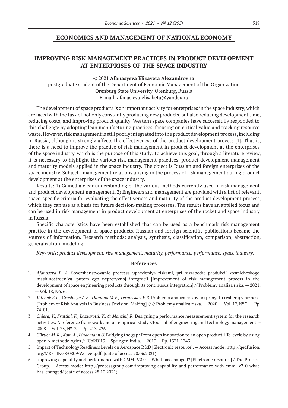### **ECONOMICS AND MANAGEMENT OF NATIONAL ECONOMY**

# **IMPROVING RISK MANAGEMENT PRACTICES IN PRODUCT DEVELOPMENT AT ENTERPRISES OF THE SPACE INDUSTRY**

© 2021 **Afanasyeva Elizaveta Alexandrovna**

postgraduate student of the Department of Economic Management of the Organization Orenburg State University, Orenburg, Russia E-mail: afanasjeva.elisabeta@yandex.ru

The development of space products is an important activity for enterprises in the space industry, which are faced with the task of not only constantly producing new products, but also reducing development time, reducing costs, and improving product quality. Western space companies have successfully responded to this challenge by adopting lean manufacturing practices, focusing on critical value and tracking resource waste. However, risk management is still poorly integrated into the product development process, including in Russia, although it strongly affects the effectiveness of the product development process [1]. That is, there is a need to improve the practice of risk management in product development at the enterprises of the space industry, which is the purpose of this study. To achieve this goal, through a literature review, it is necessary to highlight the various risk management practices, product development management and maturity models applied in the space industry. The object is Russian and foreign enterprises of the space industry. Subject - management relations arising in the process of risk management during product development at the enterprises of the space industry.

Results: 1) Gained a clear understanding of the various methods currently used in risk management and product development management. 2) Engineers and management are provided with a list of relevant, space-specific criteria for evaluating the effectiveness and maturity of the product development process, which they can use as a basis for future decision-making processes. The results have an applied focus and can be used in risk management in product development at enterprises of the rocket and space industry in Russia.

Specific characteristics have been established that can be used as a benchmark risk management practice in the development of space products. Russian and foreign scientific publications became the sources of information. Research methods: analysis, synthesis, classification, comparison, abstraction, generalization, modeling.

*Keywords: product development, risk management, maturity, performance, performance, space industry.*

- 1. *Afanaseva E. A.* Sovershenstvovanie processa upravleniya riskami, pri razrabotke produkcii kosmicheskogo mashinostroeniya, putem ego nepreryvnoj integracii [Improvement of risk management process in the development of space engineering products through its continuous integration] // Problemy analiza riska. — 2021. — Vol. 18, No. 6.
- 2. *Vitchak E.L., Grushicyn A.S., Danilina M.V., Ternovskov V.B.* Problema analiza riskov pri prinyatii reshenij v biznese [Problem of Risk Analysis in Business Decision-Making] // // Problemy analiza riska. — 2020. — Vol. 17, № 3. — Pp. 74-81.
- 3. *Chiesa, V., Frattini, F., Lazzarotti, V., & Manzini, R.* Designing a performance measurement system for the research activities: A reference framework and an empirical study //Journal of engineering and technology management. – 2008. – Vol. 25, №. 3. – Pp. 213-226.
- 4. *Gürtler M. R., Kain A., Lindemann U.* Bridging the gap: From open innovation to an open product-life-cycle by using open-x methodologies // ICoRD'13. – Springer, India. — 2013. – Pp. 1331-1343.
- 5. Impact of Technology Readiness Levels on Aerospace R&D [Electronic resource]. Access mode: http://qedfusion. org/MEETINGS/0809/Weaver.pdf (date of access 20.06.2021)
- 6. Improving capability and performance with CMMI V2.0 What has changed? [Electronic resource] / The Process Group. – Access mode: http://processgroup.com/improving-capability-and-performance-with-cmmi-v2-0-whathas-changed/ (date of access 28.10.2021)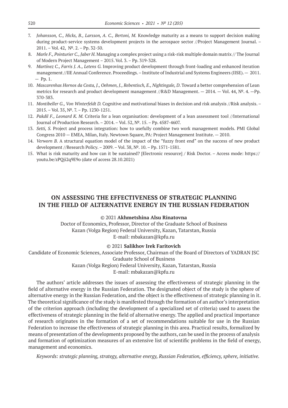- 7. *Johansson, C., Hicks, B., Larsson, A. C., Bertoni, M.* Knowledge maturity as a means to support decision making during product-service systems development projects in the aerospace sector //Project Management Journal. – 2011. – Vol. 42, №. 2. – Pp. 32-50.
- 8. *Marle F., Pointurier C., Jaber H.* Managing a complex project using a risk-risk multiple domain matrix // The Journal of Modern Project Management – 2015. Vol. 3. – Pp. 319-328.
- 9. *Martínez C., Farris J. A., Letens G.* Improving product development through front-loading and enhanced iteration management //IIE Annual Conference. Proceedings. – Institute of Industrial and Systems Engineers (IISE). — 2011.  $-$  Pp. 1.
- 10. *Mascarenhas Hornos da Costa, J., Oehmen, J., Rebentisch, E., Nightingale, D*. Toward a better comprehension of Lean metrics for research and product development management //R&D Management. — 2014. — Vol. 44, №. 4. —Pp. 370-383.
- 11. *Montibeller G., Von Winterfeldt D.* Cognitive and motivational biases in decision and risk analysis //Risk analysis. 2015. – Vol. 35, №. 7. – Pp. 1230-1251.
- 12. *Pakdil F., Leonard K. M.* Criteria for a lean organisation: development of a lean assessment tool //International Journal of Production Research. – 2014. – Vol. 52, №. 15. – Pp. 4587-4607.
- 13. *Setti, S.* Project and process integration: how to usefully combine two work management models. PMI Global Congress 2010 — EMEA, Milan, Italy. Newtown Square, PA: Project Management Institute. — 2010.
- 14. *Verworn B.* A structural equation model of the impact of the "fuzzy front end" on the success of new product development //Research Policy. – 2009. – Vol. 38, №. 10. – Pp. 1571-1581.
- 15. What is risk maturity and how can it be sustained? [Electronic resource] / Risk Doctor. Access mode: https:// youtu.be/zPQji2q9E9o (date of access 28.10.2021)

# **ON ASSESSING THE EFFECTIVENESS OF STRATEGIC PLANNING IN THE FIELD OF ALTERNATIVE ENERGY IN THE RUSSIAN FEDERATION**

### © 2021 **Akhmetshina Alsu Rinatovna**

Doctor of Economics, Professor, Director of the Graduate School of Business Kazan (Volga Region) Federal University, Kazan, Tatarstan, Russia E-mail: mbakazan@kpfu.ru

#### © 2021 **Salikhov Irek Faritovich**

Candidate of Economic Sciences, Associate Professor, Chairman of the Board of Directors of YADRAN JSC Graduate School of Business Kazan (Volga Region) Federal University, Kazan, Tatarstan, Russia

E-mail: mbakazan@kpfu.ru

The authors' article addresses the issues of assessing the effectiveness of strategic planning in the field of alternative energy in the Russian Federation. The designated object of the study is the sphere of alternative energy in the Russian Federation, and the object is the effectiveness of strategic planning in it. The theoretical significance of the study is manifested through the formation of an author's interpretation of the criterion approach (including the development of a specialized set of criteria) used to assess the effectiveness of strategic planning in the field of alternative energy. The applied and practical importance of research originates in the formation of a set of recommendations suitable for use in the Russian Federation to increase the effectiveness of strategic planning in this area. Practical results, formalized by means of presentation of the developments proposed by the authors, can be used in the process of analysis and formation of optimization measures of an extensive list of scientific problems in the field of energy, management and economics.

*Keywords: strategic planning, strategy, alternative energy, Russian Federation, efficiency, sphere, initiative.*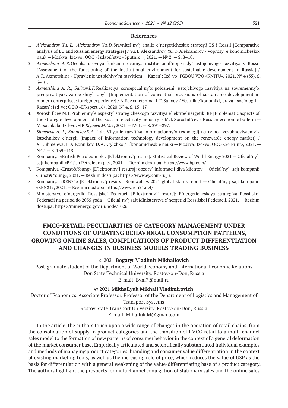#### **References**

- 1. *Aleksandrov Yu. L., Aleksandrov Yu.D.*Sravnitel`ny`j analiz e`nergeticheskix strategij ES i Rossii [Comparative analysis of EU and Russian energy strategies] / Yu.L.Aleksandrov, Yu.D.Aleksandrov / Voprosy` e`konomicheskix nauk — Moskva: Izd-vo: OOO «Izdatel`stvo «Sputnik+», 2021. —  $N^2$  2. — S. 8–10.
- 2. *Axmetshina A.R.*Ocenka urovnya funkcionirovaniya institucional`noj sredy` ustojchivogo razvitiya v Rossii [Assessment of the functioning of the institutional environment for sustainable development in Russia] / A.R.Axmetshina / Upravlenie ustojchivy`m razvitiem — Kazan`: Izd-vo: FGBOU VPO «KNITU», 2021. № 4 (35). S.  $5 - 10$ .
- 3. *Axmetshina A. R., Salixov I.F.*Realizaciya konceptual`ny`x polozhenij ustojchivogo razvitiya na sovremenny`x predpriyatiyax: zarubezhny`j opy`t [Implementation of conceptual provisions of sustainable development in modern enterprises: foreign experience] / A.R.Axmetshina, I.F.Salixov / Vestnik e`konomiki, prava i sociologii — Kazan`: Izd-vo: OOO «E`kspert 16», 2020. № 4. S. 15–17.
- 4. Xoroshil`cev M.I.Problemny`e aspekty` strategicheskogo razvitiya e`lektroe`nergetiki RF [Problematic aspects of the strategic development of the Russian electricity industry] / M.I.Xoroshil`cev / Russian economic bulletin — Maxachkala: Izd-vo: «IP *Klyueva M.M.*», 2021. —№ 1. — S. 291–297.
- 5. *Shmeleva A. I., Konnikov E.A.* i dr. Vliyanie razvitiya informacionny`x texnologij na ry`nok vozobnovlyaemy`x istochnikov e`nergii [Impact of information technology development on the renewable energy market] / A.I.Shmeleva, E.A.Konnikov, D.A.Kry`zhko / E`konomicheskie nauki — Moskva: Izd-vo: OOO «24 Print», 2021. — N<sup>o</sup> 7. − S. 139-148.
- 6. Kompaniya «British Petroleum plc» [E`lektronny`j resurs]: Statistical Review of World Energy 2021 Oficial`ny`j sajt kompanii «British Petroleum plc», 2021. — Rezhim dostupa: https://www.bp.com/
- 7. Kompaniya «Ernst&Young» [E`lektronny`j resurs]: obzory` informacii dlya klientov Oficial`ny`j sajt kompanii «Ernst&Young», 2021. — Rezhim dostupa: https://www.ey.com/ru\_ru
- 8. Kompaniya «REN21» [E`lektronny`j resurs]: Renewables 2021 global status report Oficial`ny`j sajt kompanii «REN21», 2021. — Rezhim dostupa: https://www.ren21.net/
- 9. Ministerstvo e`nergetiki Rossijskoj Federacii [E`lektronny`j resurs]: E`nergeticheskaya strategiya Rossijskoj Federacii na period do 2035 goda — Oficial`ny`j sajt Ministerstva e`nergetiki Rossijskoj Federacii, 2021. — Rezhim dostupa: https://minenergo.gov.ru/node/1026

# **FMCG-RETAIL: PECULIARITIES OF CATEGORY MANAGEMENT UNDER CONDITIONS OF UPDATING BEHAVIORAL CONSUMPTION PATTERNS, GROWING ONLINE SALES, COMPLICATIONS OF PRODUCT DIFFERENTIATION AND CHANGES IN BUSINESS MODELS TRADING BUSINESS**

### © 2021 **Bogatyr Vladimir Mikhailovich**

Post-graduate student of the Department of World Economy and International Economic Relations Don State Technical University, Rostov-on-Don, Russia E-mail: Bvm7@mail.ru

#### © 2021 **Mikhailyuk Mikhail Vladimirovich**

Doctor of Economics, Associate Professor, Professor of the Department of Logistics and Management of Transport Systems Rostov State Transport University, Rostov-on-Don, Russia E-mail: Mihailuk.M@gmail.com

In the article, the authors touch upon a wide range of changes in the operation of retail chains, from the consolidation of supply in product categories and the transition of FMCG retail to a multi-channel sales model to the formation of new patterns of consumer behavior in the context of a general deformation of the market consumer base. Empirically articulated and scientifically substantiated individual examples and methods of managing product categories, branding and consumer value differentiation in the context of existing marketing tools, as well as the increasing role of price, which reduces the value of USP as the basis for differentiation with a general weakening of the value-differentiating base of a product category. The authors highlight the prospects for multichannel conjugation of stationary sales and the online sales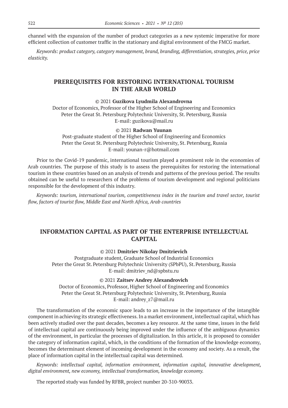channel with the expansion of the number of product categories as a new systemic imperative for more efficient collection of customer traffic in the stationary and digital environment of the FMCG market.

*Keywords: product category, category management, brand, branding, differentiation, strategies, price, price elasticity.*

### **PREREQUISITES FOR RESTORING INTERNATIONAL TOURISM IN THE ARAB WORLD**

© 2021 **Guzikova Lyudmila Alexandrovna**

Doctor of Economics, Professor of the Higher School of Engineering and Economics Peter the Great St. Petersburg Polytechnic University, St. Petersburg, Russia E-mail: guzikova@mail.ru

© 2021 **Radwan Yuunan**

Post-graduate student of the Higher School of Engineering and Economics Peter the Great St. Petersburg Polytechnic University, St. Petersburg, Russia E-mail: younan-r@hotmail.com

Prior to the Covid-19 pandemic, international tourism played a prominent role in the economies of Arab countries. The purpose of this study is to assess the prerequisites for restoring the international tourism in these countries based on an analysis of trends and patterns of the previous period. The results obtained can be useful to researchers of the problems of tourism development and regional politicians responsible for the development of this industry.

*Keywords: tourism, international tourism, competitiveness index in the tourism and travel sector, tourist flow, factors of tourist flow, Middle East and North Africa, Arab countries*

# **INFORMATION CAPITAL AS PART OF THE ENTERPRISE INTELLECTUAL CAPITAL**

### © 2021 **Dmitriev Nikolay Dmitrievich**

Postgraduate student, Graduate School of Industrial Economics Peter the Great St. Petersburg Polytechnic University (SPbPU), St. Petersburg, Russia Е-mail: dmitriev\_nd@spbstu.ru

© 2021 **Zaitsev Andrey Alexandrovich**

Doctor of Economics, Professor, Higher School of Engineering and Economics Peter the Great St. Petersburg Polytechnic University, St. Petersburg, Russia E-mail: andrey\_z7@mail.ru

The transformation of the economic space leads to an increase in the importance of the intangible component in achieving its strategic effectiveness. In a market environment, intellectual capital, which has been actively studied over the past decades, becomes a key resource. At the same time, issues in the field of intellectual capital are continuously being improved under the influence of the ambiguous dynamics of the environment, in particular the processes of digitalization. In this article, it is proposed to consider the category of information capital, which, in the conditions of the formation of the knowledge economy, becomes the determinant element of incoming development in the economy and society. As a result, the place of information capital in the intellectual capital was determined.

*Keywords: intellectual capital, information environment, information capital, innovative development, digital environment, new economy, intellectual transformation, knowledge economy.*

The reported study was funded by RFBR, project number 20-310-90033.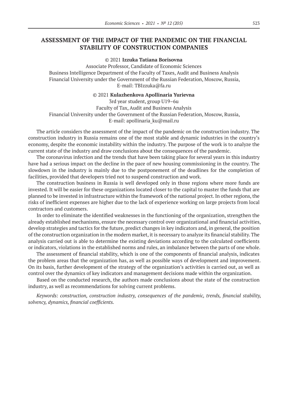# **ASSESSMENT OF THE IMPACT OF THE PANDEMIC ON THE FINANCIAL STABILITY OF CONSTRUCTION COMPANIES**

© 2021 **Izzuka Tatiana Borisovna**

Associate Professor, Candidate of Economic Sciences Business Intelligence Department of the Faculty of Taxes, Audit and Business Analysis Financial University under the Government of the Russian Federation, Moscow, Russia, E-mail: TBIzzuka@fa.ru

© 2021 **Kulazhenkova Apollinaria Yurievna**

3rd year student, group U19–6u Faculty of Tax, Audit and Business Analysis Financial University under the Government of the Russian Federation, Moscow, Russia, E-mail: apollinaria\_ku@mail.ru

The article considers the assessment of the impact of the pandemic on the construction industry. The construction industry in Russia remains one of the most stable and dynamic industries in the country's economy, despite the economic instability within the industry. The purpose of the work is to analyze the current state of the industry and draw conclusions about the consequences of the pandemic.

The coronavirus infection and the trends that have been taking place for several years in this industry have had a serious impact on the decline in the pace of new housing commissioning in the country. The slowdown in the industry is mainly due to the postponement of the deadlines for the completion of facilities, provided that developers tried not to suspend construction and work.

The construction business in Russia is well developed only in those regions where more funds are invested. It will be easier for these organizations located closer to the capital to master the funds that are planned to be invested in infrastructure within the framework of the national project. In other regions, the risks of inefficient expenses are higher due to the lack of experience working on large projects from local contractors and customers.

In order to eliminate the identified weaknesses in the functioning of the organization, strengthen the already established mechanisms, ensure the necessary control over organizational and financial activities, develop strategies and tactics for the future, predict changes in key indicators and, in general, the position of the construction organization in the modern market, it is necessary to analyze its financial stability. The analysis carried out is able to determine the existing deviations according to the calculated coefficients or indicators, violations in the established norms and rules, an imbalance between the parts of one whole.

The assessment of financial stability, which is one of the components of financial analysis, indicates the problem areas that the organization has, as well as possible ways of development and improvement. On its basis, further development of the strategy of the organization's activities is carried out, as well as control over the dynamics of key indicators and management decisions made within the organization.

Based on the conducted research, the authors made conclusions about the state of the construction industry, as well as recommendations for solving current problems.

*Keywords: construction, construction industry, consequences of the pandemic, trends, financial stability, solvency, dynamics, financial coefficients.*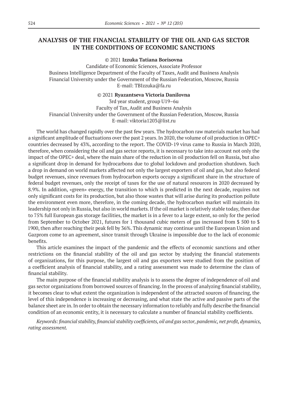# **ANALYSIS OF THE FINANCIAL STABILITY OF THE OIL AND GAS SECTOR IN THE CONDITIONS OF ECONOMIC SANCTIONS**

© 2021 **Izzuka Tatiana Borisovna**

Candidate of Economic Sciences, Associate Professor Business Intelligence Department of the Faculty of Taxes, Audit and Business Analysis Financial University under the Government of the Russian Federation, Moscow, Russia E-mail: TBIzzuka@fa.ru

#### © 2021 **Ryazantseva Victoria Danilovna**

3rd year student, group U19–6u Faculty of Tax, Audit and Business Analysis Financial University under the Government of the Russian Federation, Moscow, Russia E-mail: viktoria1203@list.ru

The world has changed rapidly over the past few years. The hydrocarbon raw materials market has had a significant amplitude of fluctuations over the past 2 years. In 2020, the volume of oil production in OPEC+ countries decreased by 43%, according to the report. The COVID‑19 virus came to Russia in March 2020, therefore, when considering the oil and gas sector reports, it is necessary to take into account not only the impact of the OPEC+ deal, where the main share of the reduction in oil production fell on Russia, but also a significant drop in demand for hydrocarbons due to global lockdown and production shutdown. Such a drop in demand on world markets affected not only the largest exporters of oil and gas, but also federal budget revenues, since revenues from hydrocarbon exports occupy a significant share in the structure of federal budget revenues, only the receipt of taxes for the use of natural resources in 2020 decreased by 8.9%. In addition, «green» energy, the transition to which is predicted in the next decade, requires not only significant costs for its production, but also those wastes that will arise during its production pollute the environment even more, therefore, in the coming decade, the hydrocarbon market will maintain its leadership not only in Russia, but also in world markets. If the oil market is relatively stable today, then due to 75% full European gas storage facilities, the market is in a fever to a large extent, so only for the period from September to October 2021, futures for 1 thousand cubic meters of gas increased from \$ 500 to \$ 1900, then after reaching their peak fell by 36%. This dynamic may continue until the European Union and Gazprom come to an agreement, since transit through Ukraine is impossible due to the lack of economic benefits.

This article examines the impact of the pandemic and the effects of economic sanctions and other restrictions on the financial stability of the oil and gas sector by studying the financial statements of organizations, for this purpose, the largest oil and gas exporters were studied from the position of a coefficient analysis of financial stability, and a rating assessment was made to determine the class of financial stability.

The main purpose of the financial stability analysis is to assess the degree of independence of oil and gas sector organizations from borrowed sources of financing. In the process of analyzing financial stability, it becomes clear to what extent the organization is independent of the attracted sources of financing, the level of this independence is increasing or decreasing, and what state the active and passive parts of the balance sheet are in. In order to obtain the necessary information to reliably and fully describe the financial condition of an economic entity, it is necessary to calculate a number of financial stability coefficients.

*Keywords: financial stability, financial stability coefficients, oil and gas sector, pandemic, net profit, dynamics, rating assessment.*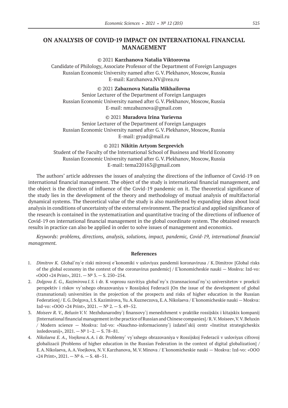# **ON ANALYSIS OF COVID-19 IMPACT ON INTERNATIONAL FINANCIAL MANAGEMENT**

#### © 2021 **Karzhanova Natalia Viktorovna**

Candidate of Philology, Associate Professor of the Department of Foreign Languages Russian Economic University named after G.V.Plekhanov, Moscow, Russia E-mail: Karzhanova.NV@rea.ru

### © 2021 **Zabaznova Natalia Mikhailovna**

Senior Lecturer of the Department of Foreign Languages Russian Economic University named after G.V.Plekhanov, Moscow, Russia E-mail: nmzabaznova@gmail.com

### © 2021 **Muradova Irina Yurievna**

Senior Lecturer of the Department of Foreign Languages Russian Economic University named after G.V.Plekhanov, Moscow, Russia E-mail: gryad@mail.ru

#### © 2021 **Nikitin Artyom Sergeevich**

Student of the Faculty of the International School of Business and World Economy Russian Economic University named after G.V.Plekhanov, Moscow, Russia E-mail: tema220163@gmail.com

The authors' article addresses the issues of analyzing the directions of the influence of Covid-19 on international financial management. The object of the study is international financial management, and the object is the direction of influence of the Covid‑19 pandemic on it. The theoretical significance of the study lies in the development of the theory and methodology of mutual analysis of multifactorial dynamical systems. The theoretical value of the study is also manifested by expanding ideas about local analysis in conditions of uncertainty of the external environment. The practical and applied significance of the research is contained in the systematization and quantitative tracing of the directions of influence of Covid‑19 on international financial management in the global coordinate system. The obtained research results in practice can also be applied in order to solve issues of management and economics.

*Keywords: problems, directions, analysis, solutions, impact, pandemic, Covid‑19, international financial management.*

- 1. *Dimitrov K.* Global`ny`e riski mirovoj e`konomiki v usloviyax pandemii koronavirusa / K.Dimitrov [Global risks of the global economy in the context of the coronavirus pandemic] / E`konomicheskie nauki — Moskva: Izd-vo: «OOO «24 Print», 2021. — № 3. — S. 250–254.
- 2. *Dolgova E. G., Kazimirova I.S.* i dr. K voprosu razvitiya global`ny`x (transnacional`ny`x) universitetov v proekcii perspektiv i riskov vy`sshego obrazovaniya v Rossijskoj Federacii [On the issue of the development of global (transnational) universities in the projection of the prospects and risks of higher education in the Russian Federation] / E.G.Dolgova, I.S.Kazimirova, Yu.A.Kuzneczova, E.A.Nikolaeva / E`konomicheskie nauki — Moskva: Izd-vo: «OOO «24 Print», 2021. — № 2. — S. 49–52.
- 3. *Moiseev R. V., BeluxinV.V.* Mezhdunarodny`j finansovy`j menedzhment v praktike rossijskix i kitajskix kompanij [International financial management in the practice of Russian and Chinese companies] / R.V.Moiseev, V.V.Beluxin / Modern science — Moskva: Izd-vo: «Nauchno-informacionny`j izdatel`skij centr «Institut strategicheskix issledovanij», 2021. — № 1–2. — S. 78–81.
- 4. *Nikolaeva E. A., VoejkovaA.A.* i dr. Problemy` vy`sshego obrazovaniya v Rossijskoj Federacii v usloviyax cifrovoj globalizacii [Problems of higher education in the Russian Federation in the context of digital globalization] / E.A.Nikolaeva, A.A.Voejkova, N.V.Karzhanova, M.V.Minova / E`konomicheskie nauki — Moskva: Izd-vo: «OOO «24 Print»,  $2021. - N^2$  6. - S. 48-51.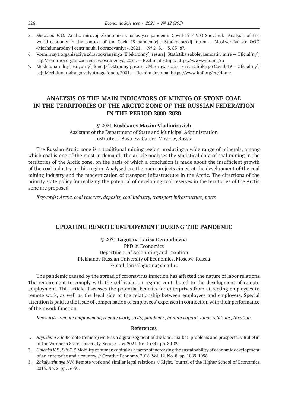- 5. *Shevchuk V.O.* Analiz mirovoj e`konomiki v usloviyax pandemii Covid-19 / V.O.Shevchuk [Analysis of the world economy in the context of the Covid-19 pandemic] / Studencheskij forum — Moskva: Izd-vo: OOO «Mezhdunarodny`j centr nauki i obrazovaniya», 2021. — № 2–3. — S. 83–87.
- 6. Vsemirnaya organizaciya zdravooxraneniya [E`lektronny`j resurs]: Statistika zabolevaemosti v mire Oficial`ny`j sajt Vsemirnoj organizacii zdravooxraneniya, 2021. — Rezhim dostupa: https://www.who.int/ru
- 7. Mezhdunarodny`j valyutny`j fond [E`lektronny`j resurs]: Mirovaya statistika i analitika po Covid‑19 Oficial`ny`j sajt Mezhdunarodnogo valyutnogo fonda, 2021. — Rezhim dostupa: https://www.imf.org/en/Home

# **ANALYSIS OF THE MAIN INDICATORS OF MINING OF STONE COAL IN THE TERRITORIES OF THE ARCTIC ZONE OF THE RUSSIAN FEDERATION IN THE PERIOD 2000–2020**

### © 2021 **Koshkarev Maxim Vladimirovich**

Assistant of the Department of State and Municipal Administration Institute of Business Career, Moscow, Russia

The Russian Arctic zone is a traditional mining region producing a wide range of minerals, among which coal is one of the most in demand. The article analyses the statistical data of coal mining in the territories of the Arctic zone, on the basis of which a conclusion is made about the insufficient growth of the coal industry in this region. Analysed are the main projects aimed at the development of the coal mining industry and the modernization of transport infrastructure in the Arctic. The directions of the priority state policy for realizing the potential of developing coal reserves in the territories of the Arctic zone are proposed.

*Keywords: Arctic, coal reserves, deposits, coal industry, transport infrastructure, ports*

### **UPDATING REMOTE EMPLOYMENT DURING THE PANDEMIC**

#### © 2021 **Lagutina Larisa Gennadievna**

PhD in Economics Department of Accounting and Taxation Plekhanov Russian University of Economics, Moscow, Russia E-mail: larisalagutina@mail.ru

The pandemic caused by the spread of coronavirus infection has affected the nature of labor relations. The requirement to comply with the self-isolation regime contributed to the development of remote employment. This article discusses the potential benefits for enterprises from attracting employees to remote work, as well as the legal side of the relationship between employees and employers. Special attention is paid to the issue of compensation of employees' expenses in connection with their performance of their work function.

*Keywords: remote employment, remote work, costs, pandemic, human capital, labor relations, taxation.*

- 1. *Bryukhina E.R.* Remote (remote) work as a digital segment of the labor market: problems and prospects. // Bulletin of the Voronezh State University. Series: Law. 2021. No. 1 (44). pp. 80-89.
- 2. *Galenko V.P., Plis K.S.* Mobility of human capital as a factor of increasing the sustainability of economic development of an enterprise and a country. // Creative Economy. 2018. Vol. 12. No. 8. pp. 1089-1096.
- 3. *Zakalyuzhnaya N.V.* Remote work and similar legal relations // Right. Journal of the Higher School of Economics. 2015. No. 2. pp. 76-91.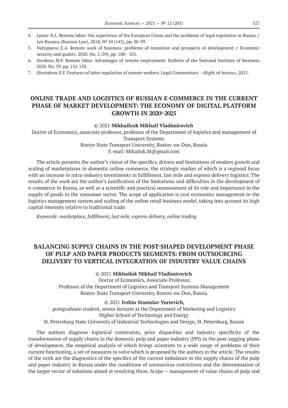- 4. *Lyutov N.L.* Remote labor: the experience of the European Union and the problems of legal regulation in Russia // Lex Russica (Russian Law), 2018, № 10 (143), pp. 30-39.
- 5. *Natsypaeva E.A.* Remote work of business: problems of transition and prospects of development // Economic security and quality. 2020. No. 2 (39), pp. 100 - 103.
- 6. *Novikova M.V.* Remote labor. Advantages of remote employment. Bulletin of the National Institute of Business. 2020. No. 39. pp. 152-158.
- 7. *Shestakova E.V.* Features of labor regulation of remote workers. Legal Commentary «Right of Access», 2021.

# **ONLINE TRADE AND LOGISTICS OF RUSSIAN E-COMMERCE IN THE CURRENT PHASE OF MARKET DEVELOPMENT: THE ECONOMY OF DIGITAL PLATFORM GROWTH IN 2020–2025**

#### © 2021 **Mikhailyuk Mikhail Vladimirovich**

Doctor of Economics, associate professor, professor of the Department of logistics and management of Transport Systems

Rostov State Transport University, Rostov-on-Don, Russia E-mail: Mihailuk.M@gmail.com

The article presents the author's vision of the specifics, drivers and limitations of modern growth and scaling of marketplaces in domestic online commerce, the strategic marker of which is a regional focus with an increase in intra-industry investments in fulfillment, last mile and express delivery logistics. The results of the work are the author's justification of the limitations and difficulties in the development of e-commerce in Russia, as well as a scientific and practical reassessment of its role and importance in the supply of goods to the consumer sector. The scope of application is cost economics management in the logistics management system and scaling of the online retail business model, taking into account its high capital intensity relative to traditional trade.

*Keywords: marketplace, fulfillment, last mile, express delivery, online trading*

# **BALANCING SUPPLY CHAINS IN THE POST-SHAPED DEVELOPMENT PHASE OF PULP AND PAPER PRODUCTS SEGMENTS: FROM OUTSOURCING DELIVERY TO VERTICAL INTEGRATION OF INDUSTRY VALUE CHAINS**

© 2021 **Mikhailuk Mikhail Vladimirovich**

Doctor of Economics, Associate Professor, Professor of the Department of Logistics and Transport Systems Management Rostov State Transport University, Rostov-on-Don, Russia

© 2021 **Ivshin Stanislav Yurievich,**

postgraduate student, senior lecturer at the Department of Marketing and Logistics Higher School of Technology and Energy St.Petersburg State University of Industrial Technologies and Design, St.Petersburg, Russia

The authors diagnose logistical constraints, price disparities and industry specificity of the transformation of supply chains in the domestic pulp and paper industry (PPI) in the post-sagging phase of development, the empirical analysis of which brings scientists to a wide range of problems of their current functioning, a set of measures to solve which is proposed by the authors in the article. The results of the work are the diagnostics of the specifics of the current imbalance in the supply chains of the pulp and paper industry in Russia under the conditions of coronavirus restrictions and the determination of the target vector of solutions aimed at resolving them. Scope — management of value chains of pulp and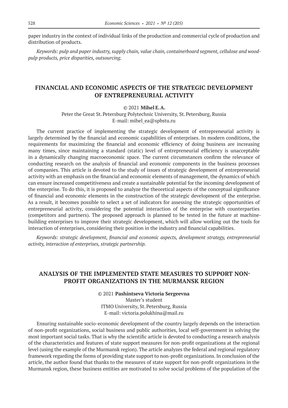paper industry in the context of individual links of the production and commercial cycle of production and distribution of products.

*Keywords: pulp and paper industry, supply chain, value chain, containerboard segment, cellulose and woodpulp products, price disparities, outsourcing.*

### **FINANCIAL AND ECONOMIC ASPECTS OF THE STRATEGIC DEVELOPMENT OF ENTREPRENEURIAL ACTIVITY**

### © 2021 **Mihel E.A.**

Peter the Great St. Petersburg Polytechnic University, St. Petersburg, Russia E-mail: mihel ea@spbstu.ru

The current practice of implementing the strategic development of entrepreneurial activity is largely determined by the financial and economic capabilities of enterprises. In modern conditions, the requirements for maximizing the financial and economic efficiency of doing business are increasing many times, since maintaining a standard (static) level of entrepreneurial efficiency is unacceptable in a dynamically changing macroeconomic space. The current circumstances confirm the relevance of conducting research on the analysis of financial and economic components in the business processes of companies. This article is devoted to the study of issues of strategic development of entrepreneurial activity with an emphasis on the financial and economic elements of management, the dynamics of which can ensure increased competitiveness and create a sustainable potential for the incoming development of the enterprise. To do this, it is proposed to analyze the theoretical aspects of the conceptual significance of financial and economic elements in the construction of the strategic development of the enterprise. As a result, it becomes possible to select a set of indicators for assessing the strategic opportunities of entrepreneurial activity, considering the potential interaction of the enterprise with counterparties (competitors and partners). The proposed approach is planned to be tested in the future at machinebuilding enterprises to improve their strategic development, which will allow working out the tools for interaction of enterprises, considering their position in the industry and financial capabilities.

*Keywords: strategic development, financial and economic aspects, development strategy, entrepreneurial activity, interaction of enterprises, strategic partnership.*

### **ANALYSIS OF THE IMPLEMENTED STATE MEASURES TO SUPPORT NON-PROFIT ORGANIZATIONS IN THE MURMANSK REGION**

© 2021 **Pashintseva Victoria Sergeevna**

Master's student ITMO University, St.Petersburg, Russia E-mail: victoria.polukhina@mail.ru

Ensuring sustainable socio-economic development of the country largely depends on the interaction of non-profit organizations, social business and public authorities, local self-government in solving the most important social tasks. That is why the scientific article is devoted to conducting a research analysis of the characteristics and features of state support measures for non-profit organizations at the regional level (using the example of the Murmansk region). The article analyzes the federal and regional regulatory framework regarding the forms of providing state support to non-profit organizations. In conclusion of the article, the author found that thanks to the measures of state support for non-profit organizations in the Murmansk region, these business entities are motivated to solve social problems of the population of the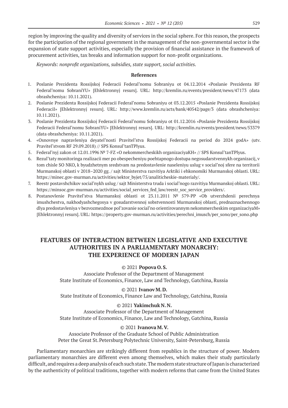region by improving the quality and diversity of services in the social sphere. For this reason, the prospects for the participation of the regional government in the management of the non-governmental sector is the expansion of state support activities, especially the provision of financial assistance in the framework of procurement activities, tax breaks and information support for non-profit organizations.

*Keywords: nonprofit organizations, subsidies, state support, social activities.*

#### **References**

- 1. Poslanie Prezidenta Rossijskoj Federacii Federal'nomu Sobraniyu ot 04.12.2014 «Poslanie Prezidenta RF Federal'nomu SobraniYU» [Ehlektronnyj resurs]. URL: http://kremlin.ru/events/president/news/47173 (data obrashcheniya: 10.11.2021).
- 2. Poslanie Prezidenta Rossijskoj Federacii Federal'nomu Sobraniyu ot 03.12.2015 «Poslanie Prezidenta Rossijskoj FederaciI» [Ehlektronnyj resurs]. URL: http://www.kremlin.ru/acts/bank/40542/page/3 (data obrashcheniya: 10.11.2021).
- 3. Poslanie Prezidenta Rossijskoj Federacii Federal'nomu Sobraniyu ot 01.12.2016 «Poslanie Prezidenta Rossijskoj Federacii Federal'nomu SobraniYU» [Ehlektronnyj resurs]. URL: http://kremlin.ru/events/president/news/53379 (data obrashcheniya: 10.11.2021).
- 4. «Osnovnye napravleniya deyatel'nosti Pravitel'stva Rossijskoj Federacii na period do 2024 godA» (utv. Pravitel'stvom RF 29.09.2018) // SPS Konsul'tanTPlyus.
- 5. Federal'nyj zakon ot 12.01.1996 № 7-FZ «O nekommercheskikh organizaciyaKH» // SPS Konsul'tanTPlyus.
- 6. Rezul'taty monitoringa realizacii mer po obespecheniyu poehtapnogo dostupa negosudarstvennykh organizacij, v tom chisle SO NKO, k byudzhetnym sredstvam na predostavlenie naseleniyu uslug v social'noj sfere na territorii Murmanskoj oblasti v 2018–2020 gg. / sajt Ministerstva razvitiya Arktiki i ehkonomiki Murmanskoj oblasti. URL: https://minec.gov-murman.ru/activities/sektor\_byjet/75/analiticheskie-materialy/.
- 7. Reestr postavshchikov social'nykh uslug / sajt Ministerstva truda i social'nogo razvitiya Murmanskoj oblasti. URL: https://minsoc.gov-murman.ru/activities/social\_services\_fed\_law/reestr\_soc\_service\_providers/.
- 8. Postanovlenie Pravitel'stva Murmanskoj oblasti ot 23.11.2011 № 579-PP «Ob utverzhdenii perechnya imushchestva, nakhodyashchegosya v gosudarstvennoj sobstvennosti Murmanskoj oblasti, prednaznachennogo dlya predostavleniya v bezvozmezdnoe pol'zovanie social'no orientirovannym nekommercheskim organizaciyaM» [Ehlektronnyj resurs]. URL: https://property.gov-murman.ru/activities/perechni\_imusch/per\_sono/per\_sono.php

# **FEATURES OF INTERACTION BETWEEN LEGISLATIVE AND EXECUTIVE AUTHORITIES IN A PARLIAMENTARY MONARCHY: THE EXPERIENCE OF MODERN JAPAN**

### © 2021 **Popova O.S.**

Associate Professor of the Department of Management State Institute of Economics, Finance, Law and Technology, Gatchina, Russia

### © 2021 **Ivanov M.D.**

State Institute of Economics, Finance Law and Technology, Gatchina, Russia

### © 2021 **Yakimchuk N.N.**

Associate Professor of the Department of Management State Institute of Economics, Finance, Law and Technology, Gatchina, Russia

### © 2021 **Ivanova M.V.**

Associate Professor of the Graduate School of Public Administration Peter the Great St. Petersburg Polytechnic University, Saint-Petersburg, Russia

Parliamentary monarchies are strikingly different from republics in the structure of power. Modern parliamentary monarchies are different even among themselves, which makes their study particularly difficult, and requires a deep analysis of each such state. The modern state structure of Japan is characterized by the authenticity of political traditions, together with modern reforms that came from the United States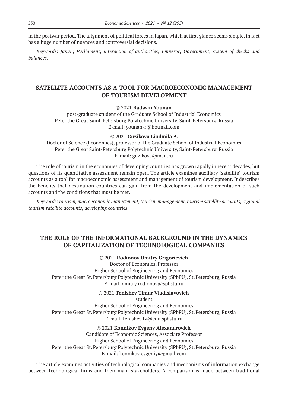in the postwar period. The alignment of political forces in Japan, which at first glance seems simple, in fact has a huge number of nuances and controversial decisions.

*Keywords: Japan; Parliament; interaction of authorities; Emperor; Government; system of checks and balances.*

# **SATELLITE ACCOUNTS AS A TOOL FOR MACROECONOMIC MANAGEMENT OF TOURISM DEVELOPMENT**

### © 2021 **Radwan Younan**

post-graduate student of the Graduate School of Industrial Economics Peter the Great Saint-Petersburg Polytechnic University, Saint-Petersburg, Russia E-mail: younan-r@hotmail.com

#### © 2021 **Guzikova Liudmila A.**

Doctor of Science (Economics), professor of the Graduate School of Industrial Economics Peter the Great Saint-Petersburg Polytechnic University, Saint-Petersburg, Russia E-mail: guzikova@mail.ru

The role of tourism in the economies of developing countries has grown rapidly in recent decades, but questions of its quantitative assessment remain open. The article examines auxiliary (satellite) tourism accounts as a tool for macroeconomic assessment and management of tourism development. It describes the benefits that destination countries can gain from the development and implementation of such accounts and the conditions that must be met.

*Keywords: tourism, macroeconomic management, tourism management, tourism satellite accounts, regional tourism satellite accounts, developing countries*

# **THE ROLE OF THE INFORMATIONAL BACKGROUND IN THE DYNAMICS OF CAPITALIZATION OF TECHNOLOGICAL COMPANIES**

### © 2021 **Rodionov Dmitry Grigorievich**

Doctor of Economics, Professor Higher School of Engineering and Economics Peter the Great St. Petersburg Polytechnic University (SPbPU), St. Petersburg, Russia E-mail: dmitry.rodionov@spbstu.ru

© 2021 **Tenishev Timur Vladislavovich**

student

Higher School of Engineering and Economics Peter the Great St. Petersburg Polytechnic University (SPbPU), St. Petersburg, Russia E-mail: tenishev.tv@edu.spbstu.ru

© 2021 **Konnikov Evgeny Alexandrovich**

Candidate of Economic Sciences, Associate Professor Higher School of Engineering and Economics Peter the Great St. Petersburg Polytechnic University (SPbPU), St. Petersburg, Russia E-mail: konnikov.evgeniy@gmail.com

The article examines activities of technological companies and mechanisms of information exchange between technological firms and their main stakeholders. A comparison is made between traditional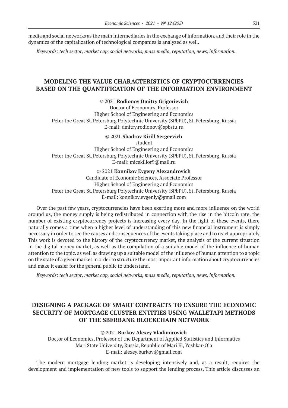media and social networks as the main intermediaries in the exchange of information, and their role in the dynamics of the capitalization of technological companies is analyzed as well.

*Keywords: tech sector, market cap, social networks, mass media, reputation, news, information.*

# **MODELING THE VALUE CHARACTERISTICS OF CRYPTOCURRENCIES BASED ON THE QUANTIFICATION OF THE INFORMATION ENVIRONMENT**

© 2021 **Rodionov Dmitry Grigorievich**

Doctor of Economics, Professor Higher School of Engineering and Economics Peter the Great St.Petersburg Polytechnic University (SPbPU), St.Petersburg, Russia E-mail: dmitry.rodionov@spbstu.ru

### © 2021 **Shadrov Kirill Sergeevich**

student Higher School of Engineering and Economics Peter the Great St. Petersburg Polytechnic University (SPbPU), St. Petersburg, Russia E-mail: micekillor9@mail.ru

#### © 2021 **Konnikov Evgeny Alexandrovich**

Candidate of Economic Sciences, Associate Professor Higher School of Engineering and Economics Peter the Great St. Petersburg Polytechnic University (SPbPU), St. Petersburg, Russia E-mail: konnikov.evgeniy@gmail.com

Over the past few years, cryptocurrencies have been exerting more and more influence on the world around us, the money supply is being redistributed in connection with the rise in the bitcoin rate, the number of existing cryptocurrency projects is increasing every day. In the light of these events, there naturally comes a time when a higher level of understanding of this new financial instrument is simply necessary in order to see the causes and consequences of the events taking place and to react appropriately. This work is devoted to the history of the cryptocurrency market, the analysis of the current situation in the digital money market, as well as the compilation of a suitable model of the influence of human attention to the topic. as well as drawing up a suitable model of the influence of human attention to a topic on the state of a given market in order to structure the most important information about cryptocurrencies and make it easier for the general public to understand.

*Keywords: tech sector, market cap, social networks, mass media, reputation, news, information.*

# **DESIGNING A PACKAGE OF SMART CONTRACTS TO ENSURE THE ECONOMIC SECURITY OF MORTGAGE CLUSTER ENTITIES USING WALLETAPI METHODS OF THE SBERBANK BLOCKCHAIN NETWORK**

#### © 2021 **Burkov Alexey Vladimirovich**

Doctor of Economics, Professor of the Department of Applied Statistics and Informatics Mari State University, Russia, Republic of Mari El, Yoshkar-Ola E-mail: alexey.burkov@gmail.com

The modern mortgage lending market is developing intensively and, as a result, requires the development and implementation of new tools to support the lending process. This article discusses an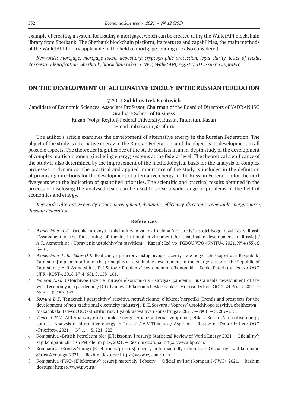example of creating a system for issuing a mortgage, which can be created using the WalletAPI blockchain library from Sberbank. The Sberbank blockchain platform, its features and capabilities, the main methods of the WalletAPI library applicable in the field of mortgage lending are also considered.

*Keywords: mortgage, mortgage token, depository, cryptographic protection, legal clarity, letter of credit, Rosreestr, identification, Sberbank, blockchain token, CNFT, WalletAPI, registry, ID, issuer, CryptoPro.*

### **ON THE DEVELOPMENT OF ALTERNATIVE ENERGY IN THE RUSSIAN FEDERATION**

#### © 2021 **Salikhov Irek Faritovich**

Candidate of Economic Sciences, Associate Professor, Chairman of the Board of Directors of YADRAN JSC Graduate School of Business

Kazan (Volga Region) Federal University, Russia, Tatarstan, Kazan

E-mail: mbakazan@kpfu.ru

The author's article examines the development of alternative energy in the Russian Federation. The object of the study is alternative energy in the Russian Federation, and the object is its development in all possible aspects. The theoretical significance of the study consists in an in-depth study of the development of complex multicomponent (including energy) systems at the federal level. The theoretical significance of the study is also determined by the improvement of the methodological basis for the analysis of complex processes in dynamics. The practical and applied importance of the study is included in the definition of promising directions for the development of alternative energy in the Russian Federation for the next five years with the indication of quantified priorities. The scientific and practical results obtained in the process of disclosing the analysed issue can be used to solve a wide range of problems in the field of economics and energy.

*Keywords: alternative energy, issues, development, dynamics, efficiency, directions, renewable energy source, Russian Federation.*

- 1. *Axmetshina A.R.* Ocenka urovnya funkcionirovaniya institucional`noj sredy` ustojchivogo razvitiya v Rossii [Assessment of the functioning of the institutional environment for sustainable development in Russia] / A.R.Axmetshina / Upravlenie ustojchivy`m razvitiem — Kazan`: Izd-vo: FGBOU VPO «KNITU», 2021. № 4 (35). S. 5–10.
- 2. *Axmetshina A. R., Sotov D.I.* Realizaciya principov ustojchivogo razvitiya v e`nergeticheskoj otrasli Respubliki Tatarstan [Implementation of the principles of sustainable development in the energy sector of the Republic of Tatarstan] / A.R.Axmetshina, D.I.Sotov / Problemy` sovremennoj e`konomiki — Sankt-Peterburg: Izd-vo OOO NPK «ROST». 2018. № 4 (68). S. 158–161.
- 3. *Ivanova D.G.* Ustojchivoe razvitie mirovoj e`konomiki v usloviyax pandemii [Sustainable development of the world economy in a pandemic] / D.G.Ivanova / E`konomicheskie nauki — Moskva: Izd-vo: OOO «24 Print», 2021. —  $N^{\circ}$  6. – S. 159–162.
- 4. *Sosyura B.E.* Tendencii i perspektivy` razvitiya netradicionnoj e`lektroe`nergetiki [Trends and prospects for the development of non-traditional electricity industry] / B.E. Sosyura / Voprosy` ustojchivogo razvitiya obshhestva — Maxachkala: Izd-vo: OOO «Institut razvitiya obrazovaniya i konsaltinga», 2021. —№ 1. — S. 207–213.
- 5. *Timchuk V.V.* Al`ternativny`e istochniki e`nergii. Analiz al`ternativnoj e`nergetiki v Rossii [Alternative energy sources. Analysis of alternative energy in Russia] / V.V.Timchuk / Aspirant — Rostov-na-Donu: Izd-vo: OOO «Prioritet», 2021. —№ 1. — S. 221–223.
- 6. Kompaniya «British Petroleum plc» [E`lektronny`j resurs]: Statistical Review of World Energy 2021 Oficial`ny`j sajt kompanii «British Petroleum plc», 2021. — Rezhim dostupa: https://www.bp.com/
- 7. Kompaniya «Ernst&Young» [E`lektronny`j resurs]: obzory` informacii dlya klientov Oficial`ny`j sajt kompanii «Ernst&Young», 2021. — Rezhim dostupa: https://www.ey.com/ru\_ru
- 8. Kompaniya «PWC» [E`lektronny`j resurs]: materialy` i obzory` Oficial`ny`j sajt kompanii «PWC», 2021. Rezhim dostupa: https://www.pwc.ru/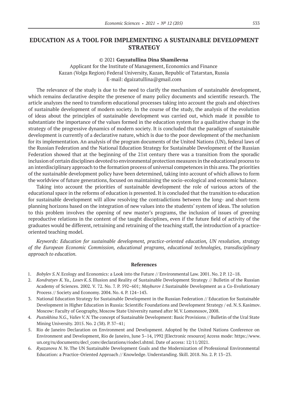# **EDUCATION AS A TOOL FOR IMPLEMENTING A SUSTAINABLE DEVELOPMENT STRATEGY**

#### © 2021 **Gayzatullina Dina Shamilevna**

Applicant for the Institute of Management, Economics and Finance Kazan (Volga Region) Federal University, Kazan, Republic of Tatarstan, Russia E-mail: dgaizatullina@gmail.com

The relevance of the study is due to the need to clarify the mechanism of sustainable development, which remains declarative despite the presence of many policy documents and scientific research. The article analyzes the need to transform educational processes taking into account the goals and objectives of sustainable development of modern society. In the course of the study, the analysis of the evolution of ideas about the principles of sustainable development was carried out, which made it possible to substantiate the importance of the values formed in the education system for a qualitative change in the strategy of the progressive dynamics of modern society. It is concluded that the paradigm of sustainable development is currently of a declarative nature, which is due to the poor development of the mechanism for its implementation. An analysis of the program documents of the United Nations (UN), federal laws of the Russian Federation and the National Education Strategy for Sustainable Development of the Russian Federation showed that at the beginning of the 21st century there was a transition from the sporadic inclusion of certain disciplines devoted to environmental protection measures in the educational process to an interdisciplinary approach to the formation process of universal competences in this area. The priorities of the sustainable development policy have been determined, taking into account of which allows to form the worldview of future generations, focused on maintaining the socio-ecological and economic balance.

Taking into account the priorities of sustainable development the role of various actors of the educational space in the reforms of education is presented. It is concluded that the transition to education for sustainable development will allow resolving the contradictions between the long- and short-term planning horizons based on the integration of new values into the students' system of ideas. The solution to this problem involves the opening of new master's programs, the inclusion of issues of greening reproductive relations in the content of the taught disciplines, even if the future field of activity of the graduates would be diffеrent, retraining and retraining of the teaching staff, the introduction of a practiceoriented teaching model.

*Keywords: Education for sustainable development, practice-oriented education, UN resolution, strategy of the European Economic Commission, educational programs, educational technologies, transdisciplinary approach to education.*

- 1. *Bobylev S.N.*Ecology and Economics: a Look into the Future // Environmental Law. 2001. No. 2 P. 12–18.
- 2. *Kondratyev K.Ya., Losev K.S.*Illusion and Reality of Sustainable Development Strategy // Bulletin of the Russian Academy of Sciences. 2002. V. 72. No. 7. P. 592–601; *Mayburov I.*Sustainable Development as a Co-Evolutionary Process // Society and Economy. 2004. No. 4. P. 124–143.
- 3. National Education Strategy for Sustainable Development in the Russian Federation // Education for Sustainable Development in Higher Education in Russia: Scientific Foundations and Development Strategy / ed. N.S.Kasimov. Moscow: Faculty of Geography, Moscow State University named after M.V.Lomonosov, 2008.
- 4. *Pustokhina N.G., ValievV.N.*The concept of Sustainable Development: Basic Provisions // Bulletin of the Ural State Mining University. 2015. No. 2 (38). P. 37–41;
- 5. Rio de Janeiro Declaration on Environment and Development. Adopted by the United Nations Conference on Environment and Development, Rio de Janeiro, June 3–14, 1992 [Electronic resource] Access mode: https://www. un.org/ru/documents/decl\_conv/declarations/riodecl.shtml. Date of access: 12/11/2021.
- 6. *Ryazanova N.Ye.*The UN Sustainable Development Goals and the Modernization of Professional Environmental Education: a Practice-Oriented Approach // Knowledge. Understanding. Skill. 2018. No. 2. P. 13–23.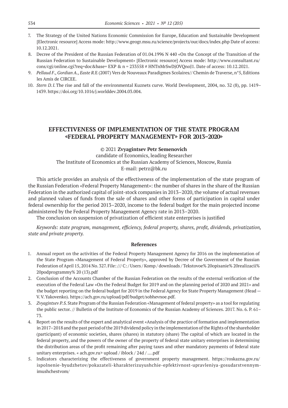- 7. The Strategy of the United Nations Economic Commission for Europe, Education and Sustainable Development [Electronic resource] Access mode: http://www.geogr.msu.ru/science/projects/our/docs/index.php Date of access: 10.12.2021.
- 8. Decree of the President of the Russian Federation of 01.04.1996 N 440 «On the Concept of the Transition of the Russian Federation to Sustainable Development» [Electronic resource] Access mode: http://www.consultant.ru/ cons/cgi/online.cgi?req=doc&base= EXP & n = 233558 # HNTnMrSwDjOVQnoJ1. Date of access: 10.12.2021.
- 9. *Pellaud F., Gordian A., Easte R.*E (2007) Vers de Nouveaux Paradigmes Scolaires// Chemin de Traverse, n°5, Editions les Amis de CIRCEE.
- 10. *Stern D.I.*The rise and fall of the environmental Kuznets curve. World Development, 2004, no. 32 (8), pp. 1419– 1439. https://doi.org/10.1016/j.worlddev.2004.03.004.

### **EFFECTIVENESS OF IMPLEMENTATION OF THE STATE PROGRAM «FEDERAL PROPERTY MANAGEMENT» FOR 2013–2020»**

© 2021 **Zvyagintsev Petr Semenovich** candidate of Economics, leading Researcher The Institute of Economics at the Russian Academy of Sciences, Moscow, Russia E-mail: petrz@bk.ru

This article provides an analysis of the effectiveness of the implementation of the state program of the Russian Federation «Federal Property Management»: the number of shares in the share of the Russian Federation in the authorized capital of joint-stock companies in 2013–2020, the volume of actual revenues and planned values of funds from the sale of shares and other forms of participation in capital under federal ownership for the period 2013–2020, income to the federal budget for the main projected income administered by the Federal Property Management Agency rate in 2013–2020.

The conclusion on suspension of privatization of efficient state enterprises is justified

*Keywords: state program, management, efficiency, federal property, shares, profit, dividends, privatization, state and private property.*

- 1. Annual report on the activities of the Federal Property Management Agency for 2016 on the implementation of the State Program «Management of Federal Property», approved by Decree of the Government of the Russian Federation of April 15, 2014 No. 327. File: /// C: / Users / Komp / downloads / Tekstovoe% 20opisanie% 20realizacii% 20podprogrammy% 20 (13).pdf
- 2. Conclusion of the Accounts Chamber of the Russian Federation on the results of the external verification of the execution of the Federal Law «On the Federal Budget for 2019 and on the planning period of 2020 and 2021» and the budget reporting on the federal budget for 2019 in the Federal Agency for State Property Management (Head — V.V.Yakovenko). https://ach.gov.ru/upload/pdf/budget/sobhevnoe.pdf.
- 3. *Zvyagintsev P.S.*State Program of the Russian Federation «Management of federal property» as a tool for regulating the public sector. // Bulletin of the Institute of Economics of the Russian Academy of Sciences. 2017. No. 6. P. 61– 73.
- 4. Report on the results of the expert and analytical event «Analysis of the practice of formation and implementation in 2017–2018 and the past period of the 2019 dividend policy in the implementation of the Rights of the shareholder (participant) of economic societies, shares (shares) in statutory (share) The capital of which are located in the federal property, and the powers of the owner of the property of federal state unitary enterprises in determining the distribution areas of the profit remaining after paying taxes and other mandatory payments of federal state unitary enterprises. « ach.gov.ru> upload / iblock / 24d / ….pdf
- 5. Indicators characterizing the effectiveness of government property management. https://roskazna.gov.ru/ ispolnenie-byudzhetov/pokazateli-kharakterizuyushchie-epfektivnost-upravleniya-gosudarstvennymimushchestvom/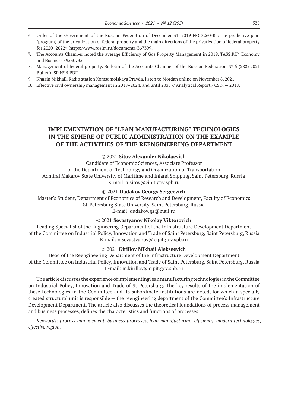- 6. Order of the Government of the Russian Federation of December 31, 2019 NO 3260-R «The predictive plan (program) of the privatization of federal property and the main directions of the privatization of federal property for 2020–2022». https://www.rosim.ru/documents/367399.
- 7. The Accounts Chamber noted the average Efficiency of Gos Property Management in 2019. TASS.RU> Economy and Business> 9530735
- 8. Management of federal property. Bulletin of the Accounts Chamber of the Russian Federation № 5 (282) 2021 Bulletin SP № 5.PDF
- 9. Khazin Mikhail. Radio station Komsomolskaya Pravda, listen to Mordan online on November 8, 2021.
- 10. Effective civil ownership management in 2018–2024. and until 2035 // Analytical Report / CSD. 2018.

# **IMPLEMENTATION OF "LEAN MANUFACTURING" TECHNOLOGIES IN THE SPHERE OF PUBLIC ADMINISTRATION ON THE EXAMPLE OF THE ACTIVITIES OF THE REENGINEERING DEPARTMENT**

### © 2021 **Sitov Alexander Nikolaevich**

Candidate of Economic Sciences, Associate Professor of the Department of Technology and Organization of Transportation Admiral Makarov State University of Maritime and Inland Shipping, Saint Petersburg, Russia E-mail: a.sitov@cipit.gov.spb.ru

#### © 2021 **Dudakov Georgy Sergeevich**

Master's Student, Department of Economics of Research and Development, Faculty of Economics St.Petersburg State University, Saint Petersburg, Russia E-mail: dudakov.gs@mail.ru

#### © 2021 **Sevastyanov Nikolay Viktorovich**

Leading Specialist of the Engineering Department of the Infrastructure Development Department of the Committee on Industrial Policy, Innovation and Trade of Saint Petersburg, Saint Petersburg, Russia E-mail: n.sevastyanov@cipit.gov.spb.ru

#### © 2021 **Kirillov Mikhail Alekseevich**

Head of the Reengineering Department of the Infrastructure Development Department of the Committee on Industrial Policy, Innovation and Trade of Saint Petersburg, Saint Petersburg, Russia E-mail: m.kirillov@cipit.gov.spb.ru

The article discusses the experience of implementing lean manufacturing technologies in the Committee on Industrial Policy, Innovation and Trade of St.Petersburg. The key results of the implementation of these technologies in the Committee and its subordinate institutions are noted, for which a specially created structural unit is responsible — the reengineering department of the Committee's Infrastructure Development Department. The article also discusses the theoretical foundations of process management and business processes, defines the characteristics and functions of processes.

*Keywords: process management, business processes, lean manufacturing, efficiency, modern technologies, effective region.*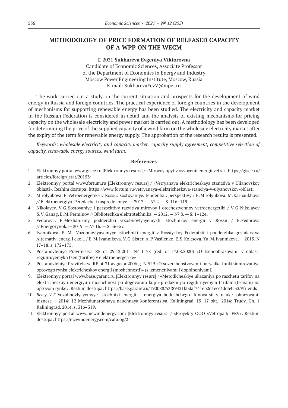# **METHODOLOGY OF PRICE FORMATION OF RELEASED CAPACITY OF A WPP ON THE WECM**

© 2021 **Sukhareva Evgeniya Viktorovna** Candidate of Economic Sciences, Associate Professor of the Department of Economics in Energy and Industry Moscow Power Engineering Institute, Moscow, Russia E-mail: SukharevaYevV@mpei.ru

The work carried out a study on the current situation and prospects for the development of wind energy in Russia and foreign countries. The practical experience of foreign countries in the development of mechanisms for supporting renewable energy has been studied. The electricity and capacity market in the Russian Federation is considered in detail and the analysis of existing mechanisms for pricing capacity on the wholesale electricity and power market is carried out. A methodology has been developed for determining the price of the supplied capacity of a wind farm on the wholesale electricity market after the expiry of the term for renewable energy supply. The approbation of the research results is presented.

*Keywords: wholesale electricity and capacity market, capacity supply agreement, competitive selection of capacity, renewable energy sources, wind farm.*

- 1. Elektronnyy portal www.gisee.ru [Elektronnyy resurs] / «Mirovoy opyt v osvoyenii energii vetra». https://gisee.ru/ articles/foreign\_stat/20153/
- 2. Elektronnyy portal www.fortum.ru [Elektronnyy resurs] / «Vetryanaya elektricheskaya stantsiya v Ulianovskoy oblasti». Rezhim dostupa: https://www.fortum.ru/vetryanaya-elektricheskaya-stanciya-v-ulyanovskoy-oblasti
- 3. Mirolyubova. E.Vetroenergetika v Rossii: sostoyaniye. tendentsii. perspektivy / E.Mirolyubova. M.Karnaukhova // Elektroenergiya. Peredacha i raspredeleniye. — 2013. —№ 2. — S. 116–119
- 4. Nikolayev. V.G.Sostoyaniye i perspektivy razvitiya mirovoy i otechestvennoy vetroenergetiki / V.G.Nikolayev. S.V.Ganag. E.M.Perminov // Bibliotechka elektrotekhnika. — 2012. —№ 8. — S. 1–124.
- 5. Fedorova. E.Mekhanizmy podderzhki vozobnovlyayemykh istochnikov energii v Rossii / E.Fedorova // Energorynok. — 2019. —№ 16. — S. 56–57.
- 6. Ivannikova. E. M.. Vozobnovlyayemyye istochniki energii v Rossiyskoy Federatsii i podderzhka gosudarstva. Alternativ. energ. i ekol.. / E.M.Ivannikova. V.G.Sister. A.P.Vasilenko. E.S.Koltsova. Yu.M.Ivannikova. — 2015. N 17–18. s. 172–175.
- 7. Postanovleniye Pravitelstva RF ot 29.12.2011 № 1178 (red. ot 17.08.2020) «O tsenoobrazovanii v oblasti reguliruyemykh tsen (tarifov) v elektroenergetike»
- 8. Postanovleniye Pravitelstva RF ot 31 avgusta 2006 g. N 529 «O sovershenstvovanii poryadka funktsionirovaniya optovogo rynka elektricheskoy energii (moshchnosti)» (s izmeneniyami i dopolneniyami).
- 9. Elektronnyy portal www.base.garant.ru [Elektronnyy resurs] / «Metodicheskiye ukazaniya po raschetu tarifov na elektricheskuyu energiyu i moshchnost po dogovoram kupli-prodazhi po reguliruyemym tarifam (tsenam) na optovom rynke». Rezhim dostupa: https://base.garant.ru/190088/53f89421bbdaf741eb2d1ecc4ddb4c33/#friends
- 10. *Beley V.F.*Vozobnovlyayemyye istochniki energii energiya budushchego. Innovatsii v nauke. obrazovanii biznese — 2014: 12 Mezhdunarodnaya nauchnaya konferentsiya. Kaliningrad. 15–17 okt.. 2014: Trudy. Ch. 1. Kaliningrad. 2014. s. 316–319.
- 11. Elektronnyy portal www.mcwindenergy.com [Elektronnyy resurs] / «Proyekty OOO «Vetroparki FRV». Rezhim dostupa: https://mcwindenergy.com/catalog/2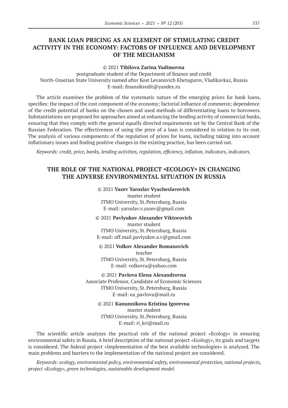# **BANK LOAN PRICING AS AN ELEMENT OF STIMULATING CREDIT ACTIVITY IN THE ECONOMY: FACTORS OF INFLUENCE AND DEVELOPMENT OF THE MECHANISM**

### © 2021 **Tibilova Zarina Vadimovna**

postgraduate student of the Department of finance and credit North-Ossetian State University named after Kost Levanovich Khetagurov, Vladikavkaz, Russia Е-mail: finansikredit@yandex.ru

The article examines the problem of the systematic nature of the emerging prices for bank loans, specifies: the impact of the cost component of the economy; factorial influence of commerce; dependence of the credit potential of banks on the chosen and used methods of differentiating loans to borrowers. Substantiations are proposed for approaches aimed at enhancing the lending activity of commercial banks, ensuring that they comply with the general equally directed requirements set by the Central Bank of the Russian Federation. The effectiveness of using the price of a loan is considered in relation to its cost. The analysis of various components of the regulation of prices for loans, including taking into account inflationary issues and finding positive changes in the existing practice, has been carried out.

*Keywords: credit, price, banks, lending activities, regulation, efficiency, inflation, indicators, indicators.*

# **THE ROLE OF THE NATIONAL PROJECT «ЕCOLOGY» IN CHANGING THE ADVERSE ENVIRONMENTAL SITUATION IN RUSSIA**

#### © 2021 **Yazev Yaroslav Vyacheslavovich**

master student ITMO University, St.Petersburg, Russia E-mail: yaroslav.v.yazev@gmail.com

### © 2021 **Pavlyukov Alexander Viktorovich**

master student ITMO University, St.Petersburg, Russia Е-mail: off.mail.pavlyukov.a.v@gmail.com

© 2021 **Volkov Alexander Romanovich** teacher ITMO University, St.Petersburg, Russia E-mail: volkovra@yahoo.com

© 2021 **Pavlova Elena Alexandrovna** Associate Professor, Candidate of Economic Sciences ITMO University, St.Petersburg, Russia Е-mail: ea\_pavlova@mail.ru

© 2021 **Kanunnikova Kristina Igorevna**

master student ITMO University, St.Petersburg, Russia E-mail: ri\_kri@mail.ru

The scientific article analyzes the practical role of the national project «Ecology» in ensuring environmental safety in Russia. A brief description of the national project «Ecology», its goals and targets is considered. The federal project «Implementation of the best available technologies» is analyzed. The main problems and barriers to the implementation of the national project are considered.

*Keywords: ecology, environmental policy, environmental safety, environmental protection, national projects, project «Ecology», green technologies, sustainable development model.*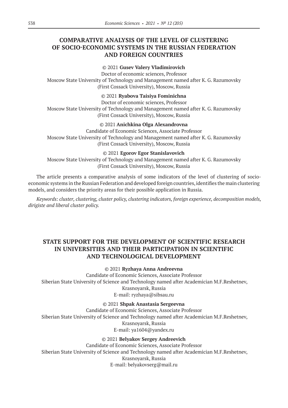# **COMPARATIVE ANALYSIS OF THE LEVEL OF CLUSTERING OF SOCIO-ECONOMIC SYSTEMS IN THE RUSSIAN FEDERATION AND FOREIGN COUNTRIES**

### © 2021 **Gusev Valery Vladimirovich**

Doctor of economic sciences, Professor Moscow State University of Technology and Management named after K. G. Razumovsky (First Cossack University), Moscow, Russia

### © 2021 **Ryabova Taisiya Fominichna**

Doctor of economic sciences, Professor Moscow State University of Technology and Management named after K. G. Razumovsky (First Cossack University), Moscow, Russia

### © 2021 **Anichkina Olga Alexandrovna**

Candidate of Economic Sciences, Associate Professor Moscow State University of Technology and Management named after K. G. Razumovsky (First Cossack University), Moscow, Russia

#### © 2021 **Egorov Egor Stanislavovich**

Moscow State University of Technology and Management named after K. G. Razumovsky (First Cossack University), Moscow, Russia

The article presents a comparative analysis of some indicators of the level of clustering of socioeconomic systems in the Russian Federation and developed foreign countries, identifies the main clustering models, and considers the priority areas for their possible application in Russia.

*Keywords: cluster, clustering, cluster policy, clustering indicators, foreign experience, decomposition models, dirigiste and liberal cluster policy.*

# **STATE SUPPORT FOR THE DEVELOPMENT OF SCIENTIFIC RESEARCH IN UNIVERSITIES AND THEIR PARTICIPATION IN SCIENTIFIC AND TECHNOLOGICAL DEVELOPMENT**

#### © 2021 **Ryzhaya Anna Andreevna**

Candidate of Economic Sciences, Associate Professor Siberian State University of Science and Technology named after Academician M.F.Reshetnev, Krasnoyarsk, Russia E-mail: ryzhaya@sibsau.ru

### © 2021 **Shpak Anastasia Sergeevna**

Candidate of Economic Sciences, Associate Professor Siberian State University of Science and Technology named after Academician M.F.Reshetnev, Krasnoyarsk, Russia E-mail: ya1604@yandex.ru

### © 2021 **Belyakov Sergey Andreevich**

Candidate of Economic Sciences, Associate Professor Siberian State University of Science and Technology named after Academician M.F.Reshetnev, Krasnoyarsk, Russia E-mail: belyakovserg@mail.ru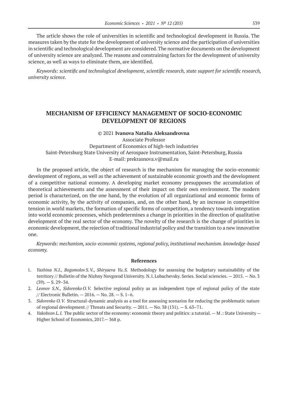The article shows the role of universities in scientific and technological development in Russia. The measures taken by the state for the development of university science and the participation of universities in scientific and technological development are considered. The normative documents on the development of university science are analyzed. The reasons and constraining factors for the development of university science, as well as ways to eliminate them, are identified.

*Keywords: scientific and technological development, scientific research, state support for scientific research, university science.*

### **MECHANISM OF EFFICIENCY MANAGEMENT OF SOCIO-ECONOMIC DEVELOPMENT OF REGIONS**

#### © 2021 **Ivanova Natalia Aleksandrovna**

Associate Professor Department of Economics of high-tech industries Saint-Petersburg State University of Aerospace Instrumentation, Saint-Petersburg, Russia E-mail: prekrasnova.v@mail.ru

In the proposed article, the object of research is the mechanism for managing the socio-economic development of regions, as well as the achievement of sustainable economic growth and the development of a competitive national economy. A developing market economy presupposes the accumulation of theoretical achievements and the assessment of their impact on their own environment. The modern period is characterized, on the one hand, by the evolution of all organizational and economic forms of economic activity, by the activity of companies, and, on the other hand, by an increase in competitive tension in world markets, the formation of specific forms of competition, a tendency towards integration into world economic processes, which predetermines a change in priorities in the direction of qualitative development of the real sector of the economy. The novelty of the research is the change of priorities in economic development, the rejection of traditional industrial policy and the transition to a new innovative one.

*Keywords: mechanism, socio-economic systems, regional policy, institutional mechanism. knowledge-based economy.*

- 1. *Yashina N.I., Bogomolov S.V., Shiryaeva Yu.S.* Methodology for assessing the budgetary sustainability of the territory // Bulletin of the Nizhny Novgorod University. N.I. Lobachevsky. Series. Social sciencies.  $-2015$ . - No. 3  $(39) - S. 29 - 34.$
- 2. *Leonov S.N., Sidorenko O.V.* Selective regional policy as an independent type of regional policy of the state // Electronic Bulletin. — 2016. — No. 28. — S. 1–6.
- 3. *Sidorenko O.V.* Structural-dynamic analysis as a tool for assessing scenarios for reducing the problematic nature of regional development // Threats and Security. — 2011. — No. 38 (131). — S. 63–71.
- 4. *Yakobson L.I.* The public sector of the economy: economic theory and politics: a tutorial. M .: State University Higher School of Economics, 2017.— 368 p.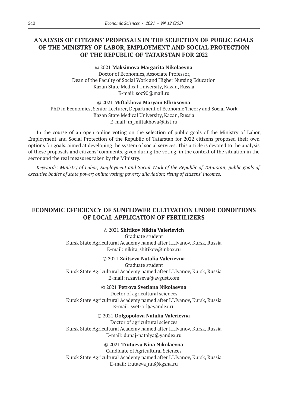# **ANALYSIS OF CITIZENS' PROPOSALS IN THE SELECTION OF PUBLIC GOALS OF THE MINISTRY OF LABOR, EMPLOYMENT AND SOCIAL PROTECTION OF THE REPUBLIC OF TATARSTAN FOR 2022**

© 2021 **Maksimova Margarita Nikolaevna** Doctor of Economics, Associate Professor, Dean of the Faculty of Social Work and Higher Nursing Education Kazan State Medical University, Kazan, Russia E-mail: soc90@mail.ru

#### © 2021 **Miftakhova Maryam Elbrusovna**

PhD in Economics, Senior Lecturer, Department of Economic Theory and Social Work Kazan State Medical University, Kazan, Russia Е-mail: m\_miftakhova@list.ru

In the course of an open online voting on the selection of public goals of the Ministry of Labor, Employment and Social Protection of the Republic of Tatarstan for 2022 citizens proposed their own options for goals, aimed at developing the system of social services. This article is devoted to the analysis of these proposals and citizens' comments, given during the voting, in the context of the situation in the sector and the real measures taken by the Ministry.

*Keywords: Ministry of Labor, Employment and Social Work of the Republic of Tatarstan; public goals of executive bodies of state power; online voting; poverty alleviation; rising of citizens' incomes.*

# **ECONOMIC EFFICIENCY OF SUNFLOWER CULTIVATION UNDER CONDITIONS OF LOCAL APPLICATION OF FERTILIZERS**

### © 2021 **Shitikov Nikita Valerievich**

Graduate student Kursk State Agricultural Academy named after I.I.Ivanov, Kursk, Russia E-mail: nikita\_shitikov@inbox.ru

### © 2021 **Zaitseva Natalia Valerievna**

Graduate student Kursk State Agricultural Academy named after I.I.Ivanov, Kursk, Russia E-mail: n.zaytseva@avgust.com

### © 2021 **Petrova Svetlana Nikolaevna**

Doctor of agricultural sciences Kursk State Agricultural Academy named after I.I.Ivanov, Kursk, Russia E-mail: svet-orl@yandex.ru

### © 2021 **Dolgopolova Natalia Valerievna**

Doctor of agricultural sciences Kursk State Agricultural Academy named after I.I.Ivanov, Kursk, Russia E-mail: dunaj-natalya@yandex.ru

### © 2021 **Trutaeva Nina Nikolaevna**

Candidate of Agricultural Sciences Kursk State Agricultural Academy named after I.I.Ivanov, Kursk, Russia E-mail: trutaeva\_nn@kgsha.ru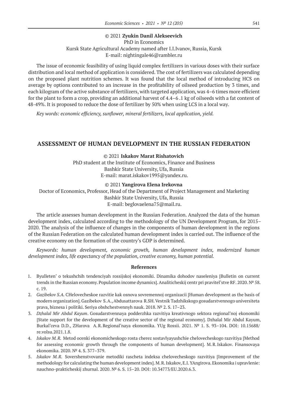### © 2021 **Zyukin Danil Alekseevich**

### PhD in Economics Kursk State Agricultural Academy named after I.I.Ivanov, Russia, Kursk E-mail: nightingale46@rambler.ru

The issue of economic feasibility of using liquid complex fertilizers in various doses with their surface distribution and local method of application is considered. The cost of fertilizers was calculated depending on the proposed plant nutrition schemes. It was found that the local method of introducing HCS on average by options contributed to an increase in the profitability of oilseed production by 3 times, and each kilogram of the active substance of fertilizers, with targeted application, was 4–6 times more efficient for the plant to form a crop, providing an additional harvest of 4.4–6 .1 kg of oilseeds with a fat content of 48-49%. It is proposed to reduce the dose of fertilizer by 50% when using LCS in a local way.

*Key words: economic efficiency, sunflower, mineral fertilizers, local application, yield.*

### **ASSESSMENT OF HUMAN DEVELOPMENT IN THE RUSSIAN FEDERATION**

#### © 2021 **Iskakov Marat Rishatovich**

PhD student at the Institute of Economics, Finance and Business Bashkir State University, Ufa, Russia E-mail: marat.iskakov1995@yandex.ru.

#### © 2021 **Yangirova Elena Irekovna**

Doctor of Economics, Professor, Head of the Department of Project Management and Marketing Bashkir State University, Ufa, Russia E-mail: beglovaelena75@mail.ru.

The article assesses human development in the Russian Federation. Analyzed the data of the human development index, calculated according to the methodology of the UN Development Program, for 2015– 2020. The analysis of the influence of changes in the components of human development in the regions of the Russian Federation on the calculated human development index is carried out. The influence of the creative economy on the formation of the country's GDP is determined.

*Keywords: human development, economic growth, human development index, modernized human development index, life expectancy of the population, creative economy, human potential.*

- 1. Byulleten' o tekushchih tendenciyah rossijskoj ekonomiki. Dinamika dohodov naseleniya [Bulletin on current trends in the Russian economy. Population income dynamics]. Analiticheskij centr pri pravitel'stve RF. 2020. № 58. c. 19.
- 2. *Gazibekov S.A.* CHelovecheskoe razvitie kak osnova sovremennoj organizacii [Human development as the basis of modern organization]. Gazibekov S.A., Abdusattarova R.SH. Vestnik Tadzhikskogo gosudarstvennogo universiteta prava, biznesa i politiki. Seriya obshchestvennyh nauk. 2018. № 2. S. 17–23.
- 3. *Dzhalal Mir Abdul Kayum*. Gosudarstvennaya podderzhka razvitiya kreativnogo sektora regional'noj ekonomiki [State support for the development of the creative sector of the regional economy]. Dzhalal Mir Abdul Kayum, Burkal'ceva D.D., ZHarova A.R.Regional'naya ekonomika. YUg Rossii. 2021. № 1. S. 93–104. DOI: 10.15688/ re.volsu.2021.1.8.
- 4. *Iskakov M.R.* Metod ocenki ekonomicheskogo rosta cherez sostavlyayushchie chelovecheskogo razvitiya [Method for assessing economic growth through the components of human development]. M.R.Iskakov. Finansovaya ekonomika. 2020. № 4. S. 377–379.
- 5. *Iskakov M.R.* Sovershenstvovanie metodiki rascheta indeksa chelovecheskogo razvitiya [Improvement of the methodology for calculating the human development index]. M.R.Iskakov, E.I. YAngirovа. Ekonomika i upravlenie: nauchno-prakticheskij zhurnal. 2020. № 6. S. 15–20. DOI: 10.34773/EU.2020.6.3.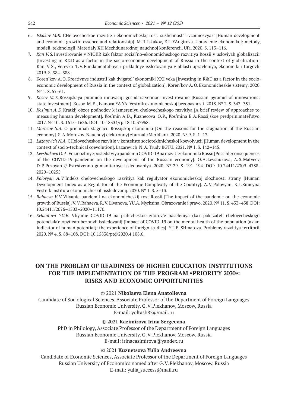- 6. *Iskakov M.R.* CHelovecheskoe razvitie i ekonomicheskij rost: sushchnost' i vzaimosvyaz' [Human development and economic growth: essence and relationship]. M.R.Iskakov, E.I. YAngirova. Upravlenie ekonomikoj: metody, modeli, tekhnologii. Materialy XH Mezhdunarodnoj nauchnoj konferencii. Ufa. 2020. S. 113–116.
- 7. *Kan V.S.*Investirovanie v NIOKR kak faktor social'no-ekonomicheskogo razvitiya Rossii v usloviyah globalizacii [Investing in R&D as a factor in the socio-economic development of Russia in the context of globalization]. Kan V.S., Verevka T.V.Fundamental'nye i prikladnye issledovaniya v oblasti upravleniya, ekonomiki i torgovli. 2019. S. 384–388.
- 8. Koren'kov A.O.Kreativnye industrii kak dvigatel' ekonomiki XXI veka [Investing in R&D as a factor in the socioeconomic development of Russia in the context of globalization]. Koren'kov A.O.Ekonomicheskie sistemy. 2020. N<sup>o</sup> 1. S. 57-61.
- 9. *Kosov M.E.*Rossijskaya piramida innovacij: gosudarstvennoe investirovanie [Russian pyramid of innovations: state investment]. Kosov M.E., Ivanova YA.YA. Vestnik ekonomicheskoj bezopasnosti. 2018. № 2. S. 342–351.
- 10. *Kos'min A.D*.Kratkij obzor podhodov k izmereniyu chelovecheskogo razvitiya [A brief review of approaches to measuring human development]. Kos'min A.D., Kuznecova O.P., Kos'mina E.A.Rossijskoe predprinimatel'stvo. 2017. № 10. S. 1615–1636. DOI: 10.18334/rp.18.10.37968.
- 11. *Morozov S.A.* O prichinah stagnacii Rossijskoj ekonomiki [On the reasons for the stagnation of the Russian economy]. S.A.Morozov. Nauchnyj elektronnyj zhurnal «Meridian». 2020. № 9. S. 1–13.
- 12. *Lazarevich N.A.* CHelovecheskoe razvitie v kontekste sociotekhnicheskoj koevolyucii [Human development in the context of socio-technical coevolution]. Lazarevich N.A.Trudy BGTU. 2021. № 1. S. 142–145.
- 13. *Levshukova O.A.*Vozmozhnye posledstviya pandemii COVID‑19 na razvitie ekonomiki Rossii [Possible consequences of the COVID‑19 pandemic on the development of the Russian economy]. O.A.Levshukova, A.S.Matveev, D.P.Pozoyan // Estestvenno-gumanitarnye issledovaniya. 2020. № 29. S. 191–194. DOI: 10.24411/2309–4788– 2020–10255
- 14. *Polovyan A.V.*Indeks chelovecheskogo razvitiya kak regulyator ekonomicheskoj slozhnosti strany [Human Development Index as a Regulator of the Economic Complexity of the Country]. A.V.Polovyan, K.I.Sinicyna. Vestnik instituta ekonomicheskih issledovanij. 2020. № 1. S. 5–13.
- 15. *Rahaeva V.V.*Vliyanie pandemii na ekonomicheskij rost Rossii [The impact of the pandemic on the economic growth of Russia]. V.V.Rahaeva, R.V.Livanova, YU.A. Myrksina. Obrazovanie i pravo. 2020. № 11. S. 433–438. DOI: 10.24411/2076–1503–2020–11170.
- 16. SHmatova YU.E. Vliyanie COVID-19 na psihicheskoe zdorov'e naseleniya (kak pokazatel' chelovecheskogo potenciala): opyt zarubezhnyh issledovanij [Impact of COVID-19 on the mental health of the population (as an indicator of human potential): the experience of foreign studies]. YU.E. SHmatovа. Problemy razvitiya territorii. 2020. № 4. S. 88–108. DOI: 10.15838/ptd/2020.4.108.6.

# **ON THE PROBLEM OF READINESS OF HIGHER EDUCATION INSTITUTIONS FOR THE IMPLEMENTATION OF THE PROGRAM «PRIORITY 2030»: RISKS AND ECONOMIC OPPORTUNITIES**

### © 2021 **Nikolaeva Elena Anatolievna**

Candidate of Sociological Sciences, Associate Professor of the Department of Foreign Languages Russian Economic University. G.V.Plekhanov, Moscow, Russia E-mail: yoltash82@mail.ru

#### © 2021 **Kazimirova Irina Sergeevna**

PhD in Philology, Associate Professor of the Department of Foreign Languages Russian Economic University. G.V.Plekhanov, Moscow, Russia E-mail: irinacasimirova@yandex.ru

### © 2021 **Kuznetsova Yulia Andreevna**

Candidate of Economic Sciences, Associate Professor of the Department of Foreign Languages Russian University of Economics named after G.V.Plekhanov, Moscow, Russia E-mail: yulia\_success@mail.ru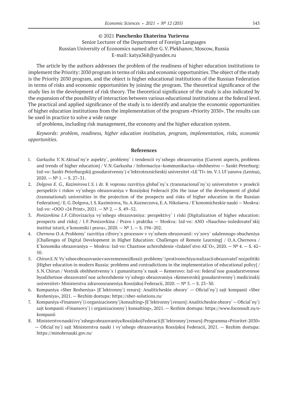### © 2021 **Panchenko Ekaterina Yurievna**

### Senior Lecturer of the Department of Foreign Languages Russian University of Economics named after G.V.Plekhanov, Moscow, Russia E-mail: katya368@yandex.ru

The article by the authors addresses the problem of the readiness of higher education institutions to implement the Priority: 2030 program in terms of risks and economic opportunities. The object of the study is the Priority 2030 program, and the object is higher educational institutions of the Russian Federation in terms of risks and economic opportunities by joining the program. The theoretical significance of the study lies in the development of risk theory. The theoretical significance of the study is also indicated by the expansion of the possibility of interaction between various educational institutions at the federal level. The practical and applied significance of the study is to identify and analyze the economic opportunities of higher education institutions from the implementation of the program «Priority 2030». The results can be used in practice to solve a wide range

of problems, including risk management, the economy and the higher education system.

*Keywords: problem, readiness, higher education institution, program, implementation, risks, economic opportunities.*

- 1. *Garkusha V.N.*Aktual`ny`e aspekty`, problemy` i tendencii vy`sshego obrazovaniya [Current aspects, problems and trends of higher education] / V.N.Garkusha / Informaciya–kommunikaciya–obshhestvo — Sankt-Peterburg: Izd-vo: Sankt-Peterburgskij gosudarstvenny`j e`lektrotexnicheskij universitet «LE`TI» im. V.I.Ul`yanova (Lenina),  $2020 - N^{\circ}$  1. - S. 27-31.
- 2. *Dolgova E. G., Kazimirova I.S.* i dr. K voprosu razvitiya global`ny`x (transnacional`ny`x) universitetov v proekcii perspektiv i riskov vy`sshego obrazovaniya v Rossijskoj Federacii [On the issue of the development of global (transnational) universities in the projection of the prospects and risks of higher education in the Russian Federation] / E.G.Dolgova, I.S.Kazimirova, Yu.A.Kuzneczova, E.A.Nikolaeva / E`konomicheskie nauki — Moskva: Izd-vo: «OOO «24 Print», 2021. — № 2. — S. 49–52.
- 3. *Ponizovkina I.F.*Cifrovizaciya vy`sshego obrazovaniya: perspektivy` i riski [Digitalization of higher education: prospects and risks] / I.F.Ponizovkina / Pravo i praktika — Moskva: Izd-vo: ANO «Nauchno-issledovatel`skij institut istorii, e`konomiki i prava»,  $2020 - N^{\circ}$  1. - S. 194-202.
- 4. *Chernova O.A.*Problemy` razvitiya cifrovy`x processov v vy`sshem obrazovanii: vy`zovy` udalennogo obucheniya [Challenges of Digital Development in Higher Education: Challenges of Remote Learning] / O.A.Chernova / E`konomika obrazovaniya — Moskva: Izd-vo: Chastnoe uchrezhdenie «Izdatel`stvo AE`O», 2020. — № 4. — S. 42– 50.
- 5. *Chirun S.N.*Vy`sshee obrazovanie v sovremennoj Rossii: problemy` i protivorechiya realizacii obrazovatel`noj politiki [Higher education in modern Russia: problems and contradictions in the implementation of educational policy] / S.N.Chirun / Vestnik obshhestvenny`x i gumanitarny`x nauk — Kemerovo: Izd-vo: federal`noe gosudarstvennoe byudzhetnoe obrazovatel`noe uchrezhdenie vy`sshego obrazovaniya «Kemerovskij gosudarstvenny`j medicinskij universitet» Ministerstva zdravooxraneniya Rossijskoj Federacii, 2020. —  $N^2$  3. — S. 23–30.
- 6. Kompaniya «Sber Resheniya» [E`lektronny`j resurs]: Analiticheskie obzory` Oficial`ny`j sajt kompanii «Sber Resheniya», 2021. — Rezhim dostupa: https://sber-solutions.ru/
- 7. Kompaniya «Finansovy`j i organizacionny`j konsalting» [E`lektronny`j resurs]: Analiticheskie obzory` Oficial`ny`j sajt kompanii «Finansovy`j i organizacionny`j konsalting», 2021. — Rezhim dostupa: https://www.foconsult.ru/okompanii
- 8. Ministerstvo nauki i vy`sshego obrazovaniya Rossijskoj Federacii [E`lektronny`j resurs]: Programma «Prioritet-2030» — Oficial`ny`j sajt Ministerstva nauki i vy`sshego obrazovaniya Rossijskoj Federacii, 2021. — Rezhim dostupa: https://minobrnauki.gov.ru/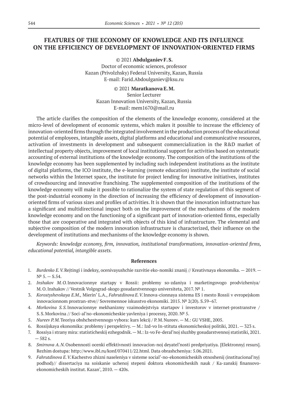# **FEATURES OF THE ECONOMY OF KNOWLEDGE AND ITS INFLUENCE ON THE EFFICIENCY OF DEVELOPMENT OF INNOVATION-ORIENTED FIRMS**

© 2021 **Abdulganiev F.S.**

Doctor of economic sciences, professor Kazan (Privolzhsky) Federal University, Kazan, Russia E-mail: Farid.Abdoulganiev@ksu.ru

© 2021 **Maratkanova E.M.** Senior Lecturer Kazan Innovation University, Kazan, Russia E-mail: mem1670@mail.ru

The article clarifies the composition of the elements of the knowledge economy, considered at the micro-level of development of economic systems, which makes it possible to increase the efficiency of innovation-oriented firms through the integrated involvement in the production process of the educational potential of employees, intangible assets, digital platforms and educational and communicative resources, activation of investments in development and subsequent commercialization in the R&D market of intellectual property objects, improvement of local institutional support for activities based on systematic accounting of external institutions of the knowledge economy. The composition of the institutions of the knowledge economy has been supplemented by including such independent institutions as the institute of digital platforms, the ICO institute, the e-learning (remote education) institute, the institute of social networks within the Internet space, the institute for project lending for innovative initiatives, institutes of crowdsourcing and innovative franchising. The supplemented composition of the institutions of the knowledge economy will make it possible to rationalize the system of state regulation of this segment of the post-industrial economy in the direction of increasing the efficiency of development of innovationoriented firms of various sizes and profiles of activities. It is shown that the innovation infrastructure has a significant and multidirectional impact both on the improvement of the mechanisms of the modern knowledge economy and on the functioning of a significant part of innovation-oriented firms, especially those that are cooperative and integrated with objects of this kind of infrastructure. The elemental and subjective composition of the modern innovation infrastructure is characterized, their influence on the development of institutions and mechanisms of the knowledge economy is shown.

*Keywords: knowledge economy, firm, innovation, institutional transformations, innovation-oriented firms, educational potential, intangible assets.*

- 1. *Burdenko E.V.*Rejtingi i indeksy, ocenivayushchie razvitie eko-nomiki znanij // Kreativnaya ekonomika. 2019.  $N^{\circ}$  5. – S.54.
- 2. *Inshakov M.O.*Innovacionnye startapy v Rossii: problemy so-zdaniya i marketingovogo prodvizheniya/ M.O.Inshakov // Vestnik Volgograd-skogo gosudarstvennogo universiteta, 2017. № 1.
- 3. *Korostyshevskaya E.M.,* Mierin' L.A., *Fahrutdinova E.V.*Innova-cionnaya sistema ES i mesto Rossii v evropejskom innovacionnom prostran-stve// Sovremennoe iskusstvo ekonomiki. 2015. № 2(20). S.59–67.
- 4. *Morkovina S.S.*Innovacionnye mekhanizmy vzaimodejstviya startapov i investorov v internet-prostranstve / S.S.Morkovina // Soci-al'no-ekonomicheskie yavleniya i processy, 2020. № 5.
- 5. *Nureev P.M.*Teoriya obshchestvennogo vybora: kurs lekcij / P.M.Nureev. M.: GU VSHE, 2005.
- 6. Rossijskaya ekonomika: problemy i perspektivy. M.: Izd-vo In-stituta ekonomicheskoj politiki, 2021. 323 s.
- 7. Rossiya i strany mira: statisticheskij ezhegodnik. M.: Iz-vo Fe-deral'noj sluzhby gosudarstvennoj statistiki, 2021. — 582 s.
- 8. *Smirnova A.N.*Osobennosti ocenki effektivnosti innovacion-noj deyatel'nosti predpriyatiya. [Elektronnyj resurs]. Rezhim dostupa: http://www.ibl.ru/konf/070411/22.html. Data obrashcheniya: 5.06.2021.
- 9. *Fahrutdinova E.V.*Kachestvo zhizni naseleniya v sisteme social'-no-ekonomicheskih otnoshenij (institucional'nyj podhod)// dissertaciya na soiskanie uchenoj stepeni doktora ekonomicheskih nauk / Ka-zanskij finansovoekonomicheskih institut. Kazan', 2010. — 420s.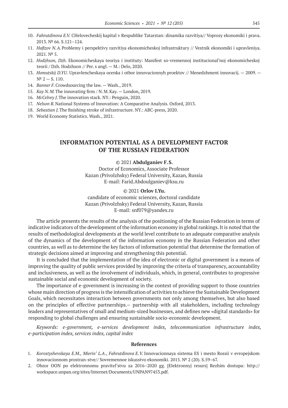- 10. *Fahrutdinova E.V.* CHelovecheskij kapital v Respublike Tatarstan: dinamika razvitiya// Voprosy ekonomiki i prava. 2013. № 66. S.121–124.
- 11. *Hafizov N.A.*Problemy i perspektivy razvitiya ekonomicheskoj infrastruktury // Vestnik ekonomiki i upravleniya. 2021. № 5.
- 12. *Hodzhson, Dzh*. Ekonomicheskaya teoriya i instituty: Manifest so-vremennoj institucional'noj ekonomicheskoj teorii / Dzh. Hodzhson // Per. s angl. — M.: Delo, 2020.
- 13. *Homutskij D.YU.* Upravlencheskaya ocenka i otbor innovacionnyh proektov // Menedzhment innovacij. 2009.  $N^{\circ}$  2 – S. 110.
- 14. *Banner F.*Crowdsourcing the law. Wash., 2019.
- 15. *Kay N.M.*The innovating firm / N.M.Kay. London, 2019.
- 16. *McCelvey J.*The innovation stack. NY.: Penguin, 2020.
- 17. *Nelson R.*National Systems of Innovation: A Comparative Analysis. Oxford, 2013.
- 18. *Sebastian J.*The finishing stroke of infrastructure. NY.: ABC-press, 2020.
- 19. World Economy Statistics. Wash., 2021.

# **INFORMATION POTENTIAL AS A DEVELOPMENT FACTOR OF THE RUSSIAN FEDERATION**

#### © 2021 **Abdulganiev F.S.**

Doctor of Economics, Associate Professor Kazan (Privolzhsky) Federal University, Kazan, Russia E-mail: Farid.Abdoulganiev@ksu.ru

### © 2021 **Orlov I.Yu.**

candidate of economic sciences, doctoral candidate Kazan (Privolzhsky) Federal University, Kazan, Russia E-mail: snf079@yandex.ru

The article presents the results of the analysis of the positioning of the Russian Federation in terms of indicative indicators of the development of the information economy in global rankings. It is noted that the results of methodological developments at the world level contribute to an adequate comparative analysis of the dynamics of the development of the information economy in the Russian Federation and other countries, as well as to determine the key factors of information potential that determine the formation of strategic decisions aimed at improving and strengthening this potential.

It is concluded that the implementation of the idea of electronic or digital government is a means of improving the quality of public services provided by improving the criteria of transparency, accountability and inclusiveness, as well as the involvement of individuals, which, in general, contributes to progressive sustainable social and economic development of society.

The importance of e-government is increasing in the context of providing support to those countries whose main direction of progress is the intensification of activities to achieve the Sustainable Development Goals, which necessitates interaction between governments not only among themselves, but also based on the principles of effective partnerships.— partnership with all stakeholders, including technology leaders and representatives of small and medium-sized businesses, and defines new «digital standards» for responding to global challenges and ensuring sustainable socio-economic development.

*Keywords: e-government, e-services development index, telecommunication infrastructure index, e-participation index, services index, capital index*

- 1. *Korostyshevskaya E.M., Mierin' L.A*., *Fahrutdinova E.V.* Innovacionnaya sistema ES i mesto Rossii v evropejskom innovacionnom prostran-stve// Sovremennoe iskusstvo ekonomiki. 2015. № 2 (20). S.59–67.
- 2. Obzor OON po elektronnomu pravitel'stvu za 2016–2020 gg. [Elektronnyj resurs] Rezhim dostupa: http:// workspace.unpan.org/sites/Internet/Documents/UNPAN97453.pdf.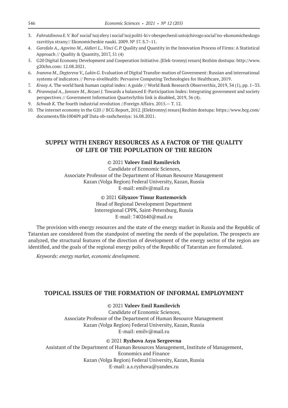- 3. *Fahrutdinova E.V.* Rol' social'noj sfery i social'noj politi-ki v obespechenii ustojchivogo social'no-ekonomicheskogo razvitiya strany// Ekonomicheskie nauki. 2009. № 57. S.7–11.
- 4. *Garofalo A., Agovino M., Aldieri L., Vinci C.P.* Quality and Quantity in the Innovation Process of Firms: A Statistical Approach // Quality & Quantity, 2017, 51 (4)
- 5. G20 Digital Economy Development and Cooperation Initiative. [Elek-tronnyj resurs] Rezhim dostupa: http://www. g20chn.com: 12.08.2021.
- 6. *Ivanova M., Degtereva V., Lukin G.* Evaluation of Digital Transfor-mation of Government: Russian and international systems of indicators // Perva-siveHealth: Pervasive Computing Technologies for Healthcare, 2019.
- 7. *Kraay A.* The world bank human capital index: A guide // World Bank Research Observerthis, 2019, 34 (1), pp. 1–33.
- 8. *Pirannejad A., Janssen M., Rezaei J.* Towards a balanced E-Participation Index: Integrating government and society perspectives // Government Information Quarterlythis link is disabled, 2019, 36 (4).
- 9. *Schwab K.* The fourth industrial revolution //Foreign Affairs. 2015.— T. 12.
- 10. The internet economy in the G20 // BCG Report, 2012. [Elektronnyj resurs] Rezhim dostupa: https://www.bcg.com/ documents/file100409.pdf Data ob-rashcheniya: 16.08.2021.

# **SUPPLY WITH ENERGY RESOURCES AS A FACTOR OF THE QUALITY OF LIFE OF THE POPULATION OF THE REGION**

### © 2021 **Valeev Emil Ramilevich**

Candidate of Economic Sciences, Associate Professor of the Department of Human Resource Management Kazan (Volga Region) Federal University, Kazan, Russia E-mail: emilv@mail.ru

> © 2021 **Gilyazov Timur Rustemovich** Head of Regional Development Department Interregional CPPK, Saint-Petersburg, Russia E-mail: 7402640@mail.ru

The provision with energy resources and the state of the energy market in Russia and the Republic of Tatarstan are considered from the standpoint of meeting the needs of the population. The prospects are analyzed, the structural features of the direction of development of the energy sector of the region are identified, and the goals of the regional energy policy of the Republic of Tatarstan are formulated.

*Keywords: energy market, economic development.*

### **TOPICAL ISSUES OF THE FORMATION OF INFORMAL EMPLOYMENT**

### © 2021 **Valeev Emil Ramilevich**

Candidate of Economic Sciences, Associate Professor of the Department of Human Resource Management Kazan (Volga Region) Federal University, Kazan, Russia E-mail: emilv@mail.ru

#### © 2021 **Ryzhova Asya Sergeevna**

Assistant of the Department of Human Resources Management, Institute of Management, Economics and Finance Kazan (Volga Region) Federal University, Kazan, Russia E-mail: a.s.ryzhova@yandex.ru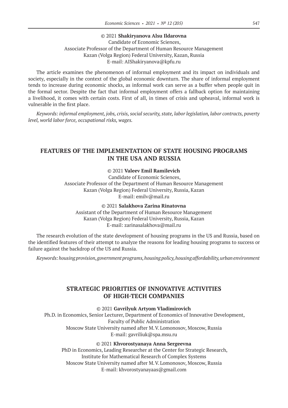#### © 2021 **Shakiryanova Alsu Ildarovna**

Candidate of Economic Sciences, Associate Professor of the Department of Human Resource Management Kazan (Volga Region) Federal University, Kazan, Russia E-mail: AIShakiryanova@kpfu.ru

The article examines the phenomenon of informal employment and its impact on individuals and society, especially in the context of the global economic downturn. The share of informal employment tends to increase during economic shocks, as informal work can serve as a buffer when people quit in the formal sector. Despite the fact that informal employment offers a fallback option for maintaining a livelihood, it comes with certain costs. First of all, in times of crisis and upheaval, informal work is vulnerable in the first place.

*Keywords: informal employment, jobs, crisis, social security, state, labor legislation, labor contracts, poverty level, world labor force, occupational risks, wages.*

# **FEATURES OF THE IMPLEMENTATION OF STATE HOUSING PROGRAMS IN THE USA AND RUSSIA**

### © 2021 **Valeev Emil Ramilevich**

Candidate of Economic Sciences, Associate Professor of the Department of Human Resource Management Kazan (Volga Region) Federal University, Russia, Kazan E-mail: emilv@mail.ru

© 2021 **Salakhova Zarina Rinatovna** Assistant of the Department of Human Resource Management Kazan (Volga Region) Federal University, Russia, Kazan E-mail: zarinasalakhova@mail.ru

The research evolution of the state development of housing programs in the US and Russia, based on the identified features of their attempt to analyze the reasons for leading housing programs to success or failure against the backdrop of the US and Russia.

*Keywords: housing provision, government programs, housing policy, housing affordability, urban environment*

# **STRATEGIC PRIORITIES OF INNOVATIVE ACTIVITIES OF HIGH-TECH COMPANIES**

#### © 2021 **Gavrilyuk Artyom Vladimirovich**

Ph.D. in Economics, Senior Lecturer, Department of Economics of Innovative Development, Faculty of Public Administration Moscow State University named after M.V.Lomonosov, Moscow, Russia E-mail: gavriliuk@spa.msu.ru

© 2021 **Khvorostyanaya Anna Sergeevna**

PhD in Economics, Leading Researcher at the Center for Strategic Research, Institute for Mathematical Research of Complex Systems Moscow State University named after M.V.Lomonosov, Moscow, Russia E-mail: khvorostyanayaas@gmail.com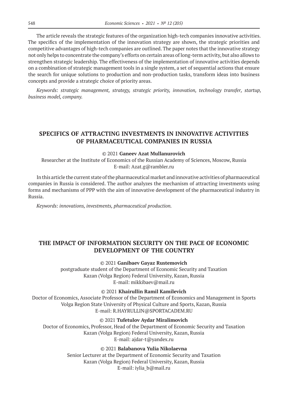The article reveals the strategic features of the organization high-tech companies innovative activities. The specifics of the implementation of the innovation strategy are shown, the strategic priorities and competitive advantages of high-tech companies are outlined. The paper notes that the innovative strategy not only helps to concentrate the company's efforts on certain areas of long-term activity, but also allows to strengthen strategic leadership. The effectiveness of the implementation of innovative activities depends on a combination of strategic management tools in a single system, a set of sequential actions that ensure the search for unique solutions to production and non-production tasks, transform ideas into business concepts and provide a strategic choice of priority areas.

*Keywords: strategic management, strategy, strategic priority, innovation, technology transfer, startup, business model, company.*

# **SPECIFICS OF ATTRACTING INVESTMENTS IN INNOVATIVE ACTIVITIES OF PHARMACEUTICAL COMPANIES IN RUSSIA**

#### © 2021 **Ganeev Azat Mullanurovich**

Researcher at the Institute of Economics of the Russian Academy of Sciences, Moscow, Russia E-mail: Azat.g@rambler.ru

In this article the current state of the pharmaceutical market and innovative activities of pharmaceutical companies in Russia is considered. The author analyzes the mechanism of attracting investments using forms and mechanisms of PPP with the aim of innovative development of the pharmaceutical industry in Russia.

*Keywords: innovations, investments, pharmaceutical production.*

# **THE IMPACT OF INFORMATION SECURITY ON THE PACE OF ECONOMIC DEVELOPMENT OF THE COUNTRY**

#### © 2021 **Ganibaev Gayaz Rustemovich**

postgraduate student of the Department of Economic Security and Taxation Kazan (Volga Region) Federal University, Kazan, Russia E-mail: mikkibaev@mail.ru

#### © 2021 **Khairullin Ramil Kamilevich**

Doctor of Economics, Associate Professor of the Department of Economics and Management in Sports Volga Region State University of Physical Culture and Sports, Kazan, Russia E-mail: R.HAYRULLIN@SPORTACADEM.RU

© 2021 **Tufetulov Aydar Miralimovich**

Doctor of Economics, Professor, Head of the Department of Economic Security and Taxation Kazan (Volga Region) Federal University, Kazan, Russia E-mail: ajdar-t@yandex.ru

© 2021 **Balabanova Yulia Nikolaevna**

Senior Lecturer at the Department of Economic Security and Taxation Kazan (Volga Region) Federal University, Kazan, Russia E-mail: iylia\_b@mail.ru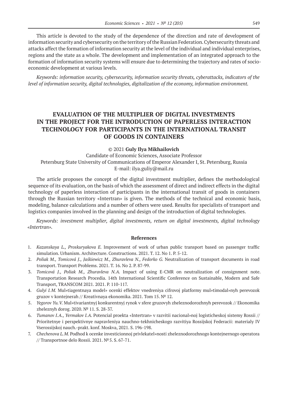This article is devoted to the study of the dependence of the direction and rate of development of information security and cybersecurity on the territory of the Russian Federation. Cybersecurity threats and attacks affect the formation of information security at the level of the individual and individual enterprises, regions and the state as a whole. The development and implementation of an integrated approach to the formation of information security systems will ensure due to determining the trajectory and rates of socioeconomic development at various levels.

*Keywords: information security, cybersecurity, information security threats, cyberattacks, indicators of the level of information security, digital technologies, digitalization of the economy, information environment.*

# **EVALUATION OF THE MULTIPLIER OF DIGITAL INVESTMENTS IN THE PROJECT FOR THE INTRODUCTION OF PAPERLESS INTERACTION TECHNOLOGY FOR PARTICIPANTS IN THE INTERNATIONAL TRANSIT OF GOODS IN CONTAINERS**

© 2021 **Guly Ilya Mikhailovich**

Candidate of Economic Sciences, Associate Professor Petersburg State University of Communications of Emperor Alexander I, St. Petersburg, Russia E-mail: ilya.guliy@mail.ru

The article proposes the concept of the digital investment multiplier, defines the methodological sequence of its evaluation, on the basis of which the assessment of direct and indirect effects in the digital technology of paperless interaction of participants in the international transit of goods in containers through the Russian territory «Intertran» is given. The methods of the technical and economic basis, modeling, balance calculations and a number of others were used. Results for specialists of transport and logistics companies involved in the planning and design of the introduction of digital technologies.

*Keywords: investment multiplier, digital investments, return on digital investments, digital technology «Intertran».*

- 1. *Kazanskaya L., Proskuryakova E.*  Improvement of work of urban public transport based on passenger traffic simulation. Urbanism. Architecture. Constructions. 2021. T. 12. No 1. P. 5‑12.
- 2. *Poliak M., Tomicová J., Jaśkiewicz M., Zhuravleva N., Fedorko G.* Neutralization of transport documents in road transport. Transport Problems. 2021. T. 16. No 2. P. 87‑99.
- 3. *Tomicová J., Poliak M., Zhuravleva N.A.*  Impact of using E-CMR on neutralization of consignment note. Transportation Research Procedia. 14th International Scientific Conference on Sustainable, Modern and Safe Transport, TRANSCOM 2021. 2021. P. 110‑117.
- 4. *Gulyi I.M.* Mul»tiagentnaya model» ocenki effektov vnedreniya cifrovoj platformy mul»timodal»nyh perevozok gruzov v kontejnerah // Kreativnaya ekonomika. 2021. Tom 15. № 12.
- 5. *Yegorov Yu.V.* Mul»tivariantnyj konkurentnyj rynok v sfere gruzovyh zheleznodorozhnyh perevozok // Ekonomika zheleznyh dorog. 2020. № 11. S. 28‑37.
- 6. *Tumanov I.A., Yermakov I.A.* Potencial proekta «Intertran» v razvitii nacional»noj logisticheskoj sistemy Rossii // Prioritetnye i perspektivnye napravleniya nauchno-tekhnicheskogo razvitiya Rossijskoj Federacii: materialy IV Vserossijskoj nauch.‑prakt. konf. Moskva, 2021. S. 196‑198.
- 7. *Chechenova L.M.* Podhod k ocenke investicionnoj privlekatel»nosti zheleznodorozhnogo kontejnernogo operatora // Transportnoe delo Rossii. 2021. №5. S. 67‑71.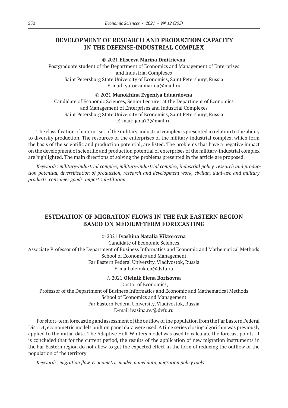# **DEVELOPMENT OF RESEARCH AND PRODUCTION CAPACITY IN THE DEFENSE-INDUSTRIAL COMPLEX**

© 2021 **Eliseeva Marina Dmitrievna**

Postgraduate student of the Department of Economics and Management of Enterprises and Industrial Complexes Saint Petersburg State University of Economics, Saint Petersburg, Russia E-mail: yutoeva.marina@mail.ru

© 2021 **Manokhina Evgeniya Eduardovna**

Candidate of Economic Sciences, Senior Lecturer at the Department of Economics and Management of Enterprises and Industrial Complexes Saint Petersburg State University of Economics, Saint Petersburg, Russia E-mail: jana73@mail.ru

The classification of enterprises of the military-industrial complex is presented in relation to the ability to diversify production. The resources of the enterprises of the military-industrial complex, which form the basis of the scientific and production potential, are listed. The problems that have a negative impact on the development of scientific and production potential of enterprises of the military-industrial complex are highlighted. The main directions of solving the problems presented in the article are proposed.

*Keywords: military-industrial complex, military-industrial complex, industrial policy, research and production potential, diversification of production, research and development work, civilian, dual-use and military products, consumer goods, import substitution.*

# **ESTIMATION OF MIGRATION FLOWS IN THE FAR EASTERN REGION BASED ON MEDIUM-TERM FORECASTING**

© 2021 **Ivashina Natalia Viktorovna**

Candidate of Economic Sciences, Associate Professor of the Department of Business Informatics and Economic and Mathematical Methods School of Economics and Management Far Eastern Federal University, Vladivostok, Russia E-mail oleinik.eb@dvfu.ru

© 2021 **Oleinik Elena Borisovna**

Doctor of Economics, Professor of the Department of Business Informatics and Economic and Mathematical Methods School of Economics and Management Far Eastern Federal University, Vladivostok, Russia E-mail ivasina.nv@dvfu.ru

For short-term forecasting and assessment of the outflow of the population from the Far Eastern Federal District, econometric models built on panel data were used. A time series closing algorithm was previously applied to the initial data. The Adaptive Holt-Winters model was used to calculate the forecast points. It is concluded that for the current period, the results of the application of new migration instruments in the Far Eastern region do not allow to get the expected effect in the form of reducing the outflow of the population of the territory

*Keywords: migration flow, econometric model, panel data, migration policy tools*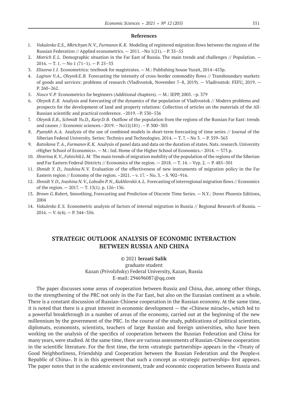#### **References**

- 1. *Vakulenko E.S., Mkrtchyan N.V., Furmanov K.K.* Modeling of registered migration flows between the regions of the Russian Federation // Applied econometrics. — 2011. –No 1(21). – P. 35–55
- 2. *Motrich E.L.* Demographic situation in the Far East of Russia. The main trends and challenges // Population.  $2016. - T. 1. - No 1 (71-1). - P. 25-33$
- 3. *Eliseeva I.I.* Econometrica: textbook for magistrates. M.: Publishing house Yurait, 2014–453p.
- 4. *Loginov V.A., Oleynik E.B.* Forecasting the intensity of cross-border commodity flows // Transboundary markets of goods and services: problems of research (Vladivostok, November 7–8, 2019). — Vladivostok: FEFU, 2019. — P. 260–262.
- 5. *Nosco V.P.* Econometrics for beginners (Additional chapters). M.: IEPP, 2005. –p. 379
- 6. *Oleynik E.B.* Analysis and forecasting of the dynamics of the population of Vladivostok // Modern problems and prospects for the development of land and property relations: Collection of articles on the materials of the All-Russian scientific and practical conference. –2019. –P. 530–536
- 7. *Oleynik E.B., Schmidt Yu.D., Karp D.B.* Outflow of the population from the regions of the Russian Far East: trends and causes // Economic sciences.–2019. – No12(181) . – P. 300–305
- 8. *Pyanykh A.A.* Analysis of the use of combined models in short-term forecasting of time series // Journal of the Siberian Federal University. Series: Technics and Technologies. 2014. — T. 7. – No 3. — P. 359–363
- 9. *Ratnikova T. A., Furmanov K.K.* Analysis of panel data and data on the duration of states. Nats. research. University «Higher School of Economics». — M.: Izd. Home of the Higher School of Economics.– 2014. — 373 p.
- 10. *Shverina K. V., Faleichik L.M.* The main trends of migration mobility of the population of the regions of the Siberian and Far Eastern Federal Districts // Economics of the region. — 2018. — T. 14. – Vyp. 2. — P. 485–501
- 11. *Shmidt Y. D., Ivashina N.V.* Evaluation of the effectiveness of new instruments of migration policy in the Far Eastern region // Economy of the region. –2021. – v. 17. – No. 3. – S. 902–916.
- 12. *Shmidt Y. D., Ivashina N.V., Lobodin P.N., KukhlevskiiA.L.* Forecasting of interregional migration flows // Economics of the region.  $-2017$ .  $-$  T. 13(1). p. 126-136.
- 13. *Brown G.Robert,* Smoothing, Forecasting and Prediction of Discrete Time Series. N.Y.: Dover Phoenix Editions, 2004
- 14. *Vakulenko E.S.* Econometric analysis of factors of internal migration in Russia // Regional Research of Russia.  $2016. - V. 6(4). - P. 344-356.$

# **STRATEGIC OUTLOOK ANALYSIS OF ECONOMIC INTERACTION BETWEEN RUSSIA AND CHINA**

#### © 2021 **Ierzati Salik**

graduate student Kazan (Privolzhsky) Federal University, Kazan, Russia E-mail: 294696087@qq.com

The paper discusses some areas of cooperation between Russia and China, due, among other things, to the strengthening of the PRC not only in the Far East, but also on the Eurasian continent as a whole. There is a constant discussion of Russian-Chinese cooperation in the Russian economy. At the same time, it is noted that there is a great interest in economic development — the «Chinese miracle», which led to a powerful breakthrough in a number of areas of the economy, carried out at the beginning of the new millennium by the government of the PRC. In the course of the study, publications of political scientists, diplomats, economists, scientists, teachers of large Russian and foreign universities, who have been working on the analysis of the specifics of cooperation between the Russian Federation and China for many years, were studied. At the same time, there are various assessments of Russian-Chinese cooperation in the scientific literature. For the first time, the term «strategic partnership» appears in the «Treaty of Good Neighborliness, Friendship and Cooperation between the Russian Federation and the People»s Republic of China». It is in this agreement that such a concept as «strategic partnership» first appears. The paper notes that in the academic environment, trade and economic cooperation between Russia and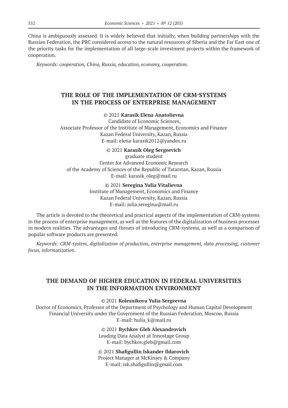China is ambiguously assessed. It is widely believed that initially, when building partnerships with the Russian Federation, the PRC considered access to the natural resources of Siberia and the Far East one of the priority tasks for the implementation of all large-scale investment projects within the framework of cooperation.

*Keywords: cooperation, China, Russia, education, economy, cooperation.*

# **THE ROLE OF THE IMPLEMENTATION OF CRM-SYSTEMS IN THE PROCESS OF ENTERPRISE MANAGEMENT**

### © 2021 **Karasik Elena Anatolievna**

Candidate of Economic Sciences, Associate Professor of the Institute of Management, Economics and Finance Kazan Federal University, Kazan, Russia E-mail: elena-karasik2012@yandex.ru

© 2021 **Karasik Oleg Sergeevich**

graduate student Center for Advanced Economic Research of the Academy of Sciences of the Republic of Tatarstan, Kazan, Russia E-mail: karasik\_oleg@mail.ru

### © 2021 **Seregina Yulia Vitalievna**

Institute of Management, Economics and Finance Kazan Federal University, Kazan, Russia E-mail: julia.seregina@mail.ru

The article is devoted to the theoretical and practical aspects of the implementation of CRM-systems in the process of enterprise management, as well as the features of the digitalization of business processes in modern realities. The advantages and threats of introducing CRM-systems, as well as a comparison of popular software products are presented.

*Keywords: CRM-system, digitalization of production, enterprise management, data processing, customer focus, informatization.*

# **THE DEMAND OF HIGHER EDUCATION IN FEDERAL UNIVERSITIES IN THE INFORMATION ENVIRONMENT**

© 2021 **Kolesnikova Yulia Sergeevna**

Doctor of Economics, Professor of the Department of Psychology and Human Capital Development Financial University under the Government of the Russian Federation, Moscow, Russia E-mail: hulia\_k@mail.ru

© 2021 **Bychkov Gleb Alexandrovich**

Leading Data Analyst at Innostage Group E-mail: bychkov.gleb@gmail.com

© 2021 **Shafigullin Iskander Ildarovich** Project Manager at McKinsey & Company E-mail: isk.shafigullin@gmail.com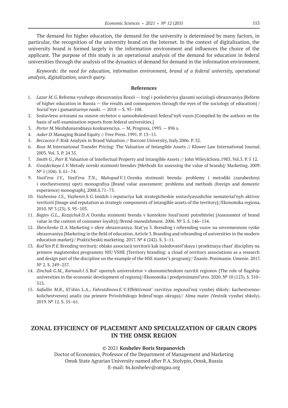The demand for higher education, the demand for the university is determined by many factors, in particular, the recognition of the university brand on the Internet. In the context of digitalization, the university brand is formed largely in the information environment and influences the choice of the applicant. The purpose of this study is an operational analysis of the demand for education in federal universities through the analysis of the dynamics of demand for demand in the information environment.

*Keywords: the need for education, information environment, brand of a federal university, operational analysis, digitalization, search query.*

#### **References**

- 1. *Lazar M.G.*Reforma vysshego obrazovaniya Rossii itogi i posledstviya glazami sociologii obrazovaniya [Reform of higher education in Russia — the results and consequences through the eyes of the sociology of education] / Social'nye i gumanitarnye nauki. — 2018 — S. 95–108.
- 2. Sostavleno avtorami na osnove otchetov o samoobsledovanii federal'nyh vuzov.[Compiled by the authors on the basis of self-examination reports from federal universities.]
- 3. *Porter M.*Mezhdunarodnaya konkurenciya. M, Progress, 1993. 896 s.
- 4. *Aaker D.*Managing Brand Equity // Free Press. 1991. P. 13–15.
- 5. *Beccacece F.*Risk Analysis in Brand Valuation // Bocconi University, Italy.2006. P. 32.
- 6. *Boos M.*International Transfer Pricing: The Valuation of Intangible Assets // Kluwer Law International Journal. 2003. Vol. 3. P. 24 35.
- 7. *Smith G., Parr R.*Valuation of Intellectual Property and Intangible Assets // John Wiley&Sons.1983. Vol.3. P. 5 12.
- 8. *Gvozdeckaya I.V.*Metody ocenki stoimosti brendov [Methods for assessing the value of brands]/ Marketing. 2009. N<sup>o</sup> 1 (104). S. 61-74.
- 9. *Vasil'eva I.V., Vasil'eva T.N., MuhopadV.I.*Ocenka stoimosti brenda: problemy i metodiki (zarubezhnyj i otechestvennyj opyt) monografiya [Brand value assessment: problems and methods (foreign and domestic experience) monograph], 2008.S.71–73.
- 10. *Vazhenina I.S., Vazhenin S.G.*Imidzh i reputaciya kak strategicheskie sostavlyayushchie nematerial'nyh aktivov territorii [Image and reputation as strategic components of intangible assets of the territory]//Ekonomika regiona. 2010. № 3 (23). S. 95–103.
- 11. *Bagiev G.L., Kozejchuk D.A.*Ocenka stoimosti brenda v kontekste loyal'nosti potrebitelej [Assessment of brand value in the context of consumer loyalty]//Brend-menedzhment. 2006. № 3. S. 146–154.
- 12. *Shevchenko D.A.*Marketing v sfere obrazovaniya. Stat'ya 3. Brending i rebrending vuzov na sovremennom rynke obrazovaniya [Marketing in the field of education. Article 3. Branding and rebranding of universities in the modern education market]// Prakticheskij marketing. 2017. № 4 (242). S. 3–11.
- 13. *Rod'kin P.E*.Brending territorij: oblako associacij territorii kak issledovatel'skaya i proektnaya chast' discipliny na primere magisterskoj programmy NIU VSHE [Territory branding: a cloud of territory associations as a research and design part of the discipline on the example of the HSE master's program]// Znanie. Ponimanie. Umenie. 2017. № 2. S. 249–257.
- 14. *Zinchuk G.M., Karnauh I.S.*Rol' opornyh universitetov v ekonomicheskom razvitii regionov [The role of flagship universities in the economic development of regions]//Ekonomika i predprinimatel'stvo. 2020. № 10 (123). S. 310– 313.
- 15. *Safiullin M.R.,* El'shin L.A., *Fahrutdinova E.V.*Effektivnost' razvitiya regional'noj vysshej shkoly: kachestvennokolichestvennyj analiz (na primere Privolzhskogo federal'nogo okruga)// Alma mater (Vestnik vysshej shkoly). 2019. № 12. S. 55–61.

# **ZONAL EFFICIENCY OF PLACEMENT AND SPECIALIZATION OF GRAIN CROPS IN THE OMSK REGION**

### © 2021 **Koshelev Boris Stepanovich**

Doctor of Economics, Professor of the Department of Management and Marketing Omsk State Agrarian University named after P.A.Stolypin, Omsk, Russia E-mail: bs.koshelev@omgau.org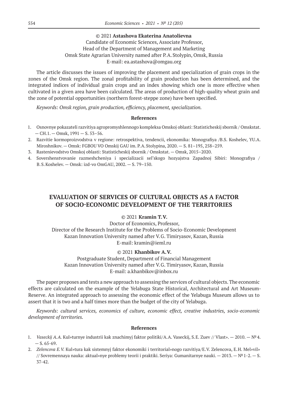### © 2021 **Astashova Ekaterina Anatolievna**

### Candidate of Economic Sciences, Associate Professor, Head of the Department of Management and Marketing Omsk State Agrarian University named after P.A.Stolypin, Omsk, Russia E-mail: ea.astashova@omgau.org

The article discusses the issues of improving the placement and specialization of grain crops in the zones of the Omsk region. The zonal profitability of grain production has been determined, and the integrated indices of individual grain crops and an index showing which one is more effective when cultivated in a given area have been calculated. The areas of production of high-quality wheat grain and the zone of potential opportunities (northern forest-steppe zone) have been specified.

*Keywords: Omsk region, grain production, efficiency, placement, specialization.*

#### **References**

- 1. Osnovnye pokazateli razvitiya agropromyshlennogo kompleksa Omskoj oblasti: Statisticheskij sbornik / Omskstat.  $-$  CH.1.  $-$  Omsk, 1991  $-$  S. 53-56.
- 2. Razvitie kormoproizvodstva v regione: retrospektiva, tendencii, ekonomika: Monografiya /B.S. Koshelev, YU.A. Miroshnikov. — Omsk: FGBOU VO Omskij GAU im. P.A.Stolypina, 2020. — S. 81–195, 258–259.
- 3. Rastenievodstvo Omskoj oblasti: Statisticheskij sbornik / Omskstat. Omsk, 2015–2020.
- 4. Sovershenstvovanie razmeshcheniya i specializacii sel'skogo hozyajstva Zapadnoj Sibiri: Monografiya / B.S.Koshelev. — Omsk: izd-vo OmGAU, 2002. — S. 79–150.

# **EVALUATION OF SERVICES OF CULTURAL OBJECTS AS A FACTOR OF SOCIO-ECONOMIC DEVELOPMENT OF THE TERRITORIES**

### © 2021 **Kramin T.V.**

Doctor of Economics, Professor, Director of the Research Institute for the Problems of Socio-Economic Development Kazan Innovation University named after V.G. Timiryasov, Kazan, Russia E-mail: kramin@ieml.ru

#### © 2021 **Khanbikov A.V.**

Postgraduate Student, Department of Financial Management Kazan Innovation University named after V.G. Timiryasov, Kazan, Russia E-mail: a.khanbikov@inbox.ru

The paper proposes and tests a new approach to assessing the services of cultural objects. The economic effects are calculated on the example of the Yelabuga State Historical, Architectural and Art Museum-Reserve. An integrated approach to assessing the economic effect of the Yelabuga Museum allows us to assert that it is two and a half times more than the budget of the city of Yelabuga.

*Keywords: cultural services, economics of culture, economic effect, creative industries, socio-economic development of territories.*

- 1. *Vaseckij A.A.* Kul»turnye industrii kak znachimyj faktor politiki/A.A. Vaseckij, S.E. Zuev // Vlast». 2010. №4.  $- S. 65 - 69.$
- 2. *Zelencova E.V.* Kul»tura kak sistemnyj faktor ekonomiki i territorial»nogo razvitiya/E.V. Zelencova, E.H. Mel»vil» // Sovremennaya nauka: aktual»nye problemy teorii i praktiki. Seriya: Gumanitarnye nauki. — 2013. — №1‑2. — S. 37‑42.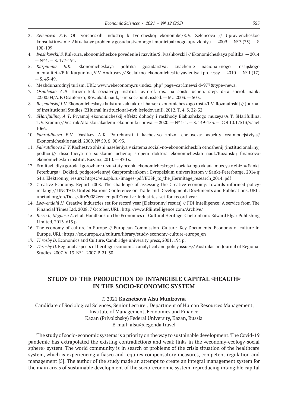- 3. *Zelencova E.V.*  Ot tvorcheskih industrij k tvorcheskoj ekonomike/E.V. Zelencova // Upravlencheskoe konsul»tirovanie. Aktual»nye problemy gosudarstvennogo i municipal»nogo upravleniya. — 2009. — №3 (35). — S. 190-199.
- 4. *Ivashkovskij S.* Kul»tura, ekonomicheskoe povedenie i razvitie/S. Ivashkovskij // Ekonomicheskaya politika. 2014.  $- N<sup>9</sup> 4. - S. 177-194.$
- 5. *Karpunina E.K.*  Ekonomicheskaya politika gosudarstva: znachenie nacional»nogo rossijskogo mentaliteta/E.K. Karpunina, V.V. Androsov // Social»no-ekonomicheskie yavleniya i processy. — 2010. — №1 (17).  $- S. 45 - 49.$
- 6. Mezhdunarodnyj turizm. URL: wwv.webeconomy.ru/index. php? page=cat&newsi d=977&type=news.
- 7. *Osaulenko A.P.*  Turizm kak social»nyj institut: avtoref. dis. na soisk. uchen. step. d-ra sociol. nauk: 22.00.04/A.P. Osaulenko; Ros. akad. nauk, I-nt soc.-polit. issled.  $-$  M.: 2003.  $-$  50 s.
- 8. *Rozmainskij I.V.* Ekonomicheskaya kul»tura kak faktor i bar»er ekonomicheskogo rosta/I.V. Rozmainskij // Journal of Institutional Studies (ZHurnal institucional»nyh issledovanij). 2012. T. 4. S. 22‑32.
- 9. *SHarifullina, A.T*. Pryamoj ekonomicheskij effekt: dohody i raskhody Elabuzhskogo muzeya/A.T. SHarifullina, T.V. Kramin // Vestnik Altajskoj akademii ekonomiki i prava. — 2020. — №4‑1. — S. 149‑153. — DOI 10.17513/vaael. 1066.
- 10. *Fahrutdinova E.V.,* Vasil»ev A.K. Potrebnosti i kachestvo zhizni cheloveka: aspekty vzaimodejstviya// Ekonomicheskie nauki. 2009. № 59. S. 90‑93.
- 11. *Fahrutdinova E.V.* Kachestvo zhizni naseleniya v sistema social»no-ekonomicheskih otnoshenij (institucional»nyj podhod)// dissertaciya na soiskanie uchenoj stepeni doktora ekonomicheskih nauk/Kazanskij finansovoekonomicheskih institut. Kazan», 2010. — 420 s.
- 12. Ermitazh dlya goroda i gorozhan: rezul»taty ocenki ekonomicheskogo i social»nogo vklada muzeya v zhizn» Sankt-Peterburga». Doklad, podgotovlennyj Gazprombankom i Evropejskim universitetom v Sankt-Peterburge, 2014 g. 64 s. Elektronnyj resurs: https://eu.spb.ru/images/pdf/EUSP\_to\_the\_Hermitage\_research\_2014. pdf
- 13. Creative Economy. Report 2008. The challenge of assessing the Creative economy: towards informed policymaking // UNCTAD. United Nations Conference on Trade and Development. Doc4iments and Publications. URL: unctad.org/en/Docs/ditc20082cer\_en.pdf.Creative-industries-set-for-record-year
- 14. *Loewendahl H.* Creative industries set for record year [Elektronnyj resurs] // FDI Intelligence: A service from The Financial Times Ltd. 2008. 7 October. URL: http://www.fdiintelligence.com/Archive/
- 15. *Rizzo I., Mignosa A.* et al. Handbook on the Economics of Cultural Heritage. Cheltenham: Edward Elgar Publishing Limited, 2013. 613 p.
- 16. The economy of culture in Europe // European Commission. Culture. Key Documents. Economy of culture in Europe. URL: https://ec.europa.eu/culture/library/study-economy-culture-europe\_en
- 17. *Throsby D.* Economics and Culture. Cambridge university press, 2001. 194 p.
- 18. *Throsby D.* Regional aspects of heritage economics: analytical and policy issues// Australasian Journal of Regional Studies. 2007. V. 13. №1. 2007. P. 21‑30.

# **STUDY OF THE PRODUCTION OF INTANGIBLE CAPITAL «HEALTH» IN THE SOCIO-ECONOMIC SYSTEM**

#### © 2021 **Kuznetsova Alsu Munirovna**

Candidate of Sociological Sciences, Senior Lecturer, Department of Human Resources Management, Institute of Management, Economics and Finance Kazan (Privolzhsky) Federal University, Kazan, Russia E-mail: alsu@legenda.travel

The study of socio-economic systems is a priority on the way to sustainable development. The Covid-19 pandemic has extrapolated the existing contradictions and weak links in the «economy-ecology-social sphere» system. The world community is in search of problems of the crisis situation of the healthcare system, which is experiencing a fiasco and requires compensatory measures, competent regulation and management [5]. The author of the study made an attempt to create an integral management system for the main areas of sustainable development of the socio-economic system, reproducing intangible capital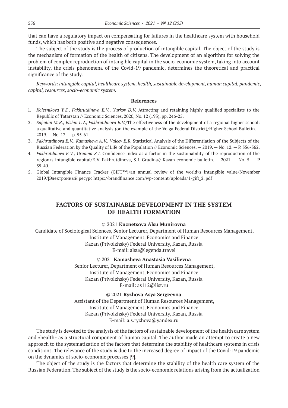that can have a regulatory impact on compensating for failures in the healthcare system with household funds, which has both positive and negative consequences.

The subject of the study is the process of production of intangible capital. The object of the study is the mechanism of formation of the health of citizens. The development of an algorithm for solving the problem of complex reproduction of intangible capital in the socio-economic system, taking into account instability, the crisis phenomena of the Covid-19 pandemic, determines the theoretical and practical significance of the study.

*Keywords: intangible capital, healthcare system, health, sustainable development, human capital, pandemic, capital, resources, socio-economic system.*

#### **References**

- 1. *Kolesnikova Y.S., Fakhrutdinova E.V., Yurkov D.V.*  Attracting and retaining highly qualified specialists to the Republic of Tatarstan // Economic Sciences, 2020, No. 12 (193), pp. 246‑25.
- 2. *Safiullin M.R., Elshin L.*A, *Fakhrutdinova E.V./*The effectiveness of the development of a regional higher school: a qualitative and quantitative analysis (on the example of the Volga Federal District)/Higher School Bulletin. —  $2019. -$  No.  $12. -$  p. 55-61.
- 3. *Fakhrutdinova E.V., Kamasheva A.V., Valeev E.R.* Statistical Analysis of the Differentiation of the Subjects of the Russian Federation by the Quality of Life of the Population // Economic Sciences.  $-2019$ .  $-$  No. 12.  $-$  P. 356-362.
- 4. *Fakhrutdinova E.V., Grudina S.I.* Confidence index as a factor in the sustainability of the reproduction of the region»s intangible capital/E.V. Fakhrutdinova, S.I. Grudina// Kazan economic bulletin. — 2021. — No. 5. — P. 35‑40.
- 5. Global Intangible Finance Tracker (GIFT™)/an annual review of the world»s intangible value/November 2019/[Электронный ресурс https://brandfinance.com/wp-content/uploads/1/gift\_2. pdf

### **FACTORS OF SUSTAINABLE DEVELOPMENT IN THE SYSTEM OF HEALTH FORMATION**

#### © 2021 **Kuznetsova Alsu Munirovna**

Candidate of Sociological Sciences, Senior Lecturer, Department of Human Resources Management, Institute of Management, Economics and Finance Kazan (Privolzhsky) Federal University, Kazan, Russia E-mail: alsu@legenda.travel

> © 2021 **Kamasheva Anastasia Vasilievna** Senior Lecturer, Department of Human Resources Management, Institute of Management, Economics and Finance Kazan (Privolzhsky) Federal University, Kazan, Russia E-mail: as112@list.ru

### © 2021 **Ryzhova Asya Sergeevna** Assistant of the Department of Human Resources Management, Institute of Management, Economics and Finance

Kazan (Privolzhsky) Federal University, Kazan, Russia

E-mail: a.s.ryzhova@yandex.ru

The study is devoted to the analysis of the factors of sustainable development of the health care system and «health» as a structural component of human capital. The author made an attempt to create a new approach to the systematization of the factors that determine the stability of healthcare systems in crisis conditions. The relevance of the study is due to the increased degree of impact of the Covid-19 pandemic on the dynamics of socio-economic processes [9].

The object of the study is the factors that determine the stability of the health care system of the Russian Federation. The subject of the study is the socio-economic relations arising from the actualization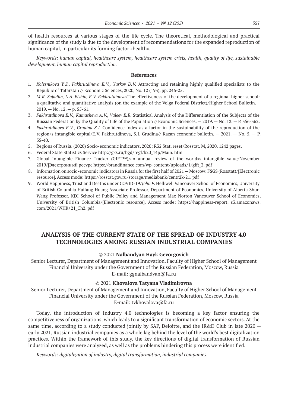of health resources at various stages of the life cycle. The theoretical, methodological and practical significance of the study is due to the development of recommendations for the expanded reproduction of human capital, in particular its forming factor «health».

*Keywords: human capital, healthcare system, healthcare system crisis, health, quality of life, sustainable development, human capital reproduction.*

#### **References**

- 1. *Kolesnikova Y.S., Fakhrutdinova E.V., Yurkov D.V.*  Attracting and retaining highly qualified specialists to the Republic of Tatarstan // Economic Sciences, 2020, No. 12 (193), pp. 246‑25.
- 2. *M.R. Safiullin, L.A. Elshin, E.V. Fakhrutdinova*/The effectiveness of the development of a regional higher school: a qualitative and quantitative analysis (on the example of the Volga Federal District)/Higher School Bulletin. —  $2019. -$  No.  $12. -$  p. 55-61.
- 3. *Fakhrutdinova E.V., Kamasheva A.V., Valeev E.R.* Statistical Analysis of the Differentiation of the Subjects of the Russian Federation by the Quality of Life of the Population // Economic Sciences.  $-2019$ .  $-$  No. 12.  $-$  P. 356-362.
- 4. *Fakhrutdinova E.V., Grudina S.I.* Confidence index as a factor in the sustainability of the reproduction of the region»s intangible capital/E.V. Fakhrutdinova, S.I. Grudina// Kazan economic bulletin. — 2021. — No. 5. — P. 35‑40.
- 5. Regions of Russia. (2020) Socio-economic indicators. 2020: R32 Stat. reset/Rosstat. M, 2020. 1242 pages.
- 6. Federal State Statistics Service http://gks.ru/bgd/regl/b20\_14p/Main. htm
- 7. Global Intangible Finance Tracker (GIFT™)/an annual review of the world»s intangible value/November 2019/[Электронный ресурс https://brandfinance.com/wp-content/uploads/1/gift\_2. pdf
- 8. Information on socio-economic indicators in Russia for the first half of 2021 Moscow: FSGS (Rosstat)/[Electronic resource]. Access mode: https://rosstat.gov.ru/storage/mediabank/centr2k-21. pdf
- 9. World Happiness, Trust and Deaths under COVID-19/*John F.* Helliwell Vancouver School of Economics, University of British Columbia Haifang Huang Associate Professor, Department of Economics, University of Alberta Shun Wang Professor, KDI School of Public Policy and Management Max Norton Vancouver School of Economics, University of British Columbia/[Electronic resource]. Access mode: https://happiness-report. s3.amazonaws. com/2021/WHR+21\_Ch2. pdf

# **ANALYSIS OF THE CURRENT STATE OF THE SPREAD OF INDUSTRY 4.0 TECHNOLOGIES AMONG RUSSIAN INDUSTRIAL COMPANIES**

### © 2021 **Nalbandyan Hayk Gevorgovich**

Senior Lecturer, Department of Management and Innovation, Faculty of Higher School of Management Financial University under the Government of the Russian Federation, Moscow, Russia E-mail: ggnalbandyan@fa.ru

#### © 2021 **Khovalova Tatyana Vladimirovna**

Senior Lecturer, Department of Management and Innovation, Faculty of Higher School of Management Financial University under the Government of the Russian Federation, Moscow, Russia E-mail: tvkhovalova@fa.ru

Today, the introduction of Industry 4.0 technologies is becoming a key factor ensuring the competitiveness of organizations, which leads to a significant transformation of economic sectors. At the same time, according to a study conducted jointly by SAP, Deloitte, and the IR&D Club in late 2020 – early 2021, Russian industrial companies as a whole lag behind the level of the world's best digitalization practices. Within the framework of this study, the key directions of digital transformation of Russian industrial companies were analyzed, as well as the problems hindering this process were identified.

*Keywords: digitalization of industry, digital transformation, industrial companies.*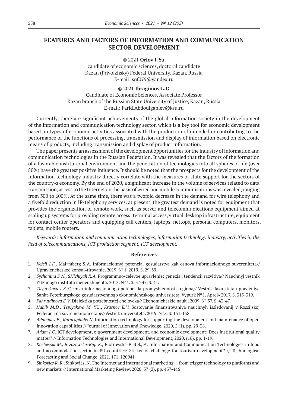# **FEATURES AND FACTORS OF INFORMATION AND COMMUNICATION SECTOR DEVELOPMENT**

© 2021 **Orlov I.Yu.**

candidate of economic sciences, doctoral candidate Kazan (Privolzhsky) Federal University, Kazan, Russia E-mail: snf079@yandex.ru

#### © 2021 **Ibragimov L.G.**

Candidate of Economic Sciences, Associate Professor Kazan branch of the Russian State University of Justice, Kazan, Russia E-mail: Farid.Abdoulganiev@ksu.ru

Currently, there are significant achievements of the global information society in the development of the information and communication technology sector, which is a key tool for economic development based on types of economic activities associated with the production of intended or contributing to the performance of the functions of processing, transmission and display of information based on electronic means of products, including transmission and display of product information.

The paper presents an assessment of the development opportunities for the industry of information and communication technologies in the Russian Federation. It was revealed that the factors of the formation of a favorable institutional environment and the penetration of technologies into all spheres of life (over 80%) have the greatest positive influence. It should be noted that the prospects for the development of the information technology industry directly correlate with the measures of state support for the sectors of the country»s economy. By the end of 2020, a significant increase in the volume of services related to data transmission, access to the Internet on the basis of wired and mobile communications was revealed, ranging from 300 to 600%. At the same time, there was a twofold decrease in the demand for wire telephony and a fivefold reduction in IP-telephony services. at present, the greatest demand is noted for equipment that provides the organization of remote work, such as server and telecommunications equipment aimed at scaling up systems for providing remote access: terminal access, virtual desktop infrastructure, equipment for contact center operators and equipping call centers, laptops, nettops, personal computers, monitors, tablets, mobile routers.

*Keywords: information and communication technologies, information technology industry, activities in the field of telecommunications, ICT production segment, ICT development.*

- 1. *Kefeli I.F.,* Mal»mberg S.A. Informacionnyj potencial gosudarstva kak osnova informacionnogo suvereniteta// Upravlencheskoe konsul»tirovanie. 2019. №1. 2019. S. 29‑39.
- 2. *Sychanina S.N.,* S*Hichiyah R.A.* Programmno-celevoe upravlenie: genezis i tendencii razvitiya// Nauchnyj vestnik YUzhnogo instituta menedzhmenta. 2013. №4. S. 37‑42. S. 41.
- 3. *Tayurskaya I.S.* Ocenka informacionnogo potenciala promyshlennosti regiona// Vestnik fakul»teta upravleniya Sankt-Peterburgskogo gosudarstvennogo ekonomicheskogo universiteta. Vypusk №1. Aprel» 2017. S. 315‑319.
- 4. *Fahrutdinova E.V.* Dialektika potrebnostej cheloveka// Ekonomicheskie nauki. 2009. № 57. S. 43‑47.
- 5. *Habib M.D., Teplyakova M.*  YU., *Krasnov E.V.*  Sostoyanie finansirovaniya nauchnyh issledovanij v Rossijskoj Federacii na sovremennom etape//Vestnik universiteta. 2019. №5. S. 151‑158.
- 6. *Adamides E., Karacapilidis N.* Information technology for supporting the development and maintenance of open innovation capabilities // Journal of Innovation and Knowledge, 2020, 5 (1), pp. 29‑38.
- 7. *Adam I.O.* ICT development, e-government development, and economic development: Does institutional quality matter? // Information Technologies and International Development, 2020, (16), pp. 1-19.
- 8. *Kozłowski M., Brzozowska-Rup K.,* Piotrowska-Piątek, A. Information and Communication Technologies in food and accommodation sector in EU countries: Sticker or challenge for tourism development? // Technological Forecasting and Social Change, 2021, 171, 120941
- 9. *Sinkovics R. R.,* Sinkovics, N. The Internet and international marketing from trigger technology to platforms and new markets // International Marketing Review, 2020, 37 (3), pp. 437‑446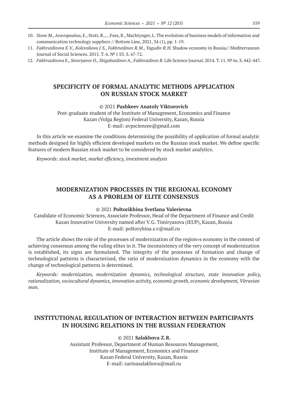- 10. *Stone M.,* Aravopoulou, E., Stott, R.,…Foss, B., Machtynger, L. The evolution of business models of information and communication technology suppliers // Bottom Line, 2021, 34 (1), pp. 1‑19.
- 11. *Fakhrutdinova E.V., Kolesnikova J.S., Fakhrutdinov R.M., Yagudin R.H.* Shadow economy in Russia// Mediterranean Journal of Social Sciences. 2015. T. 6. №1 S3. S. 67‑72.
- 12. Fakhrutdinova E., Severyanov O., Shigabutdinov A., Fakhrutdinov R. Life Science Journal. 2014. T. 11. № 6s. S. 442-447.

# **SPECIFICITY OF FORMAL ANALYTIC METHODS APPLICATION ON RUSSIAN STOCK MARKET**

© 2021 **Pashkeev Anatoly Viktorovich**

Post-graduate student of the Institute of Management, Economics and Finance Kazan (Volga Region) Federal University, Kazan, Russia E-mail: avpsciencee@gmail.com

In this article we examine the conditions determining the possibility of application of formal analytic methods designed for highly efficient developed markets on the Russian stock market. We define specific features of modern Russian stock market to be considered by stock market analytics.

*Keywords: stock market, market efficiency, investment analysis*

# **MODERNIZATION PROCESSES IN THE REGIONAL ECONOMY AS A PROBLEM OF ELITE CONSENSUS**

### © 2021 **Poltorikhina Svetlana Valerievna**

Candidate of Economic Sciences, Associate Professor, Head of the Department of Finance and Credit Kazan Innovative University named after V.G. Timiryasova (IEUP), Kazan, Russia E-mail: poltoryhina.s.v@mail.ru

The article shows the role of the processes of modernization of the region»s economy in the context of achieving consensus among the ruling elites in it. The inconsistency of the very concept of modernization is established, its signs are formulated. The integrity of the processes of formation and change of technological patterns is characterized, the ratio of modernization dynamics in the economy with the change of technological patterns is determined.

*Keywords: modernization, modernization dynamics, technological structure, state innovation policy, rationalization, sociocultural dynamics, innovation activity, economic growth, economic development, Vitruvian man.*

# **INSTITUTIONAL REGULATION OF INTERACTION BETWEEN PARTICIPANTS IN HOUSING RELATIONS IN THE RUSSIAN FEDERATION**

© 2021 **Salakhova Z.R.**

Assistant Professor, Department of Human Resources Management, Institute of Management, Economics and Finance Kazan Federal University, Kazan, Russia E-mail: zarinasalakhova@mail.ru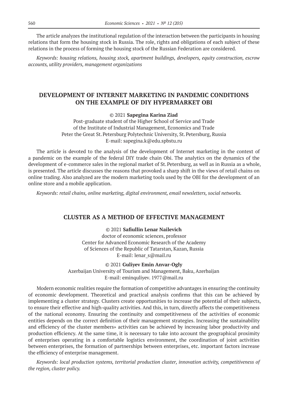The article analyzes the institutional regulation of the interaction between the participants in housing relations that form the housing stock in Russia. The role, rights and obligations of each subject of these relations in the process of forming the housing stock of the Russian Federation are considered.

*Keywords: housing relations, housing stock, apartment buildings, developers, equity construction, escrow accounts, utility providers, management organizations*

# **DEVELOPMENT OF INTERNET MARKETING IN PANDEMIC CONDITIONS ON THE EXAMPLE OF DIY HYPERMARKET OBI**

#### © 2021 **Sapegina Karina Ziad**

Post-graduate student of the Higher School of Service and Trade of the Institute of Industrial Management, Economics and Trade Peter the Great St. Petersburg Polytechnic University, St. Petersburg, Russia E-mail: sapegina.k@edu.spbstu.ru

The article is devoted to the analysis of the development of Internet marketing in the context of a pandemic on the example of the federal DIY trade chain Obi. The analytics on the dynamics of the development of e-commerce sales in the regional market of St. Petersburg, as well as in Russia as a whole, is presented. The article discusses the reasons that provoked a sharp shift in the views of retail chains on online trading. Also analyzed are the modern marketing tools used by the OBI for the development of an online store and a mobile application.

*Keywords: retail chains, online marketing, digital environment, email newsletters, social networks.*

### **CLUSTER AS A METHOD OF EFFECTIVE MANAGEMENT**

© 2021 **Safiullin Lenar Nailevich** doctor of economic sciences, professor Center for Advanced Economic Research of the Academy of Sciences of the Republic of Tatarstan, Kazan, Russia E-mail: lenar\_s@mail.ru

© 2021 **Guliyev Emin Anvar-Ogly**

Azerbaijan University of Tourism and Management, Baku, Azerbaijan E-mail: eminquliyev. 1977@mail.ru

Modern economic realities require the formation of competitive advantages in ensuring the continuity of economic development. Theoretical and practical analysis confirms that this can be achieved by implementing a cluster strategy. Clusters create opportunities to increase the potential of their subjects, to ensure their effective and high-quality activities. And this, in turn, directly affects the competitiveness of the national economy. Ensuring the continuity and competitiveness of the activities of economic entities depends on the correct definition of their management strategies. Increasing the sustainability and efficiency of the cluster members» activities can be achieved by increasing labor productivity and production efficiency. At the same time, it is necessary to take into account the geographical proximity of enterprises operating in a comfortable logistics environment, the coordination of joint activities between enterprises, the formation of partnerships between enterprises, etc. important factors increase the efficiency of enterprise management.

*Keywords: local production systems, territorial production cluster, innovation activity, competitiveness of the region, cluster policy.*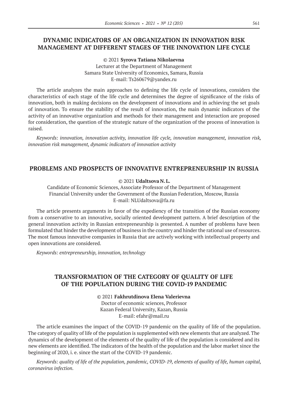# **DYNAMIC INDICATORS OF AN ORGANIZATION IN INNOVATION RISK MANAGEMENT AT DIFFERENT STAGES OF THE INNOVATION LIFE CYCLE**

© 2021 **Syrova Tatiana Nikolaevna** Lecturer at the Department of Management Samara State University of Economics, Samara, Russia E-mail: Ts260679@yandex.ru

The article analyzes the main approaches to defining the life cycle of innovations, considers the characteristics of each stage of the life cycle and determines the degree of significance of the risks of innovation, both in making decisions on the development of innovations and in achieving the set goals of innovation. To ensure the stability of the result of innovation, the main dynamic indicators of the activity of an innovative organization and methods for their management and interaction are proposed for consideration, the question of the strategic nature of the organization of the process of innovation is raised.

*Keywords: innovation, innovation activity, innovation life cycle, innovation management, innovation risk, innovation risk management, dynamic indicators of innovation activity*

### **PROBLEMS AND PROSPECTS OF INNOVATIVE ENTREPRENEURSHIP IN RUSSIA**

### © 2021 **Udaltsova N.L.**

Candidate of Economic Sciences, Associate Professor of the Department of Management Financial University under the Government of the Russian Federation, Moscow, Russia E-mail: NLUdaltsova@fa.ru

The article presents arguments in favor of the expediency of the transition of the Russian economy from a conservative to an innovative, socially oriented development pattern. A brief description of the general innovation activity in Russian entrepreneurship is presented. A number of problems have been formulated that hinder the development of business in the country and hinder the rational use of resources. The most famous innovative companies in Russia that are actively working with intellectual property and open innovations are considered.

*Keywords: entrepreneurship, innovation, technology*

### **TRANSFORMATION OF THE CATEGORY OF QUALITY OF LIFE OF THE POPULATION DURING THE COVID-19 PANDEMIC**

© 2021 **Fakhrutdinova Elena Valerievna** Doctor of economic sciences, Professor Kazan Federal University, Kazan, Russia E-mail: efahr@mail.ru

The article examines the impact of the COVID-19 pandemic on the quality of life of the population. The category of quality of life of the population is supplemented with new elements that are analyzed. The dynamics of the development of the elements of the quality of life of the population is considered and its new elements are identified. The indicators of the health of the population and the labor market since the beginning of 2020, i. e. since the start of the COVID-19 pandemic.

*Keywords: quality of life of the population, pandemic, COVID-19, elements of quality of life, human capital, coronavirus infection.*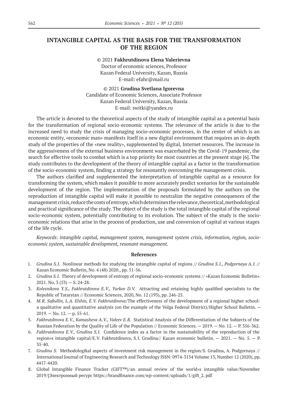### **INTANGIBLE CAPITAL AS THE BASIS FOR THE TRANSFORMATION OF THE REGION**

© 2021 **Fakhrutdinova Elena Valerievna** Doctor of economic sciences, Professor Kazan Federal University, Kazan, Russia E-mail: efahr@mail.ru

© 2021 **Grudina Svetlana Igorevna** Candidate of Economic Sciences, Associate Professor Kazan Federal University, Kazan, Russia E-mail: switki@yandex.ru

The article is devoted to the theoretical aspects of the study of intangible capital as a potential basis for the transformation of regional socio-economic systems. The relevance of the article is due to the increased need to study the crisis of managing socio-economic processes, in the center of which is an economic entity, «economic man» manifests itself in a new digital environment that requires an in-depth study of the properties of the «new reality», supplemented by digital, Internet resources. The increase in the aggressiveness of the external business environment was exacerbated by the Covid-19 pandemic, the search for effective tools to combat which is a top priority for most countries at the present stage [6]. The study contributes to the development of the theory of intangible capital as a factor in the transformation of the socio-economic system, finding a strategy for resonantly overcoming the management crisis.

The authors clarified and supplemented the interpretation of intangible capital as a resource for transforming the system, which makes it possible to more accurately predict scenarios for the sustainable development of the region. The implementation of the proposals formulated by the authors on the reproduction of intangible capital will make it possible to neutralize the negative consequences of the management crisis, reduce the costs of entropy, which determines the relevance, theoretical, methodological and practical significance of the study. The object of the study is the total intangible capital of the regional socio-economic system, potentially contributing to its evolution. The subject of the study is the socioeconomic relations that arise in the process of production, use and conversion of capital at various stages of the life cycle.

*Keywords: intangible capital, management system, management system crisis, information, region, socioeconomic system, sustainable development, resonant management.*

- 1. *Grudina S.I.* Nonlinear methods for studying the intangible capital of regions // *Grudina S.I., Podgornaya A.I.* // Kazan Economic Bulletin, No. 4 (48) 2020., pp. 51‑56.
- 2. *Grudina S.I.* Theory of development of entropy of regional socio-economic systems // «Kazan Economic Bulletin».  $2021.$  No. 3 (53) – S. 24-28.
- 3. *Kolesnikova Y.S., Fakhrutdinova E.V., Yurkov D.V.* Attracting and retaining highly qualified specialists to the Republic of Tatarstan // Economic Sciences, 2020, No. 12 (193), pp. 246‑25.
- 4. *M.R. Safiullin, L.A. Elshin, E.V. Fakhrutdinova*/The effectiveness of the development of a regional higher school: a qualitative and quantitative analysis (on the example of the Volga Federal District)/Higher School Bulletin. —  $2019. -$  No.  $12. -$  p. 55-61.
- 5. Fakhrutdinova E.V., Kamasheva A.V., Valeev E.R. Statistical Analysis of the Differentiation of the Subjects of the Russian Federation by the Quality of Life of the Population // Economic Sciences.  $-2019$ .  $-$  No. 12.  $-$  P. 356-362.
- 6. *Fakhrutdinova E.V., Grudina S.I.* Confidence index as a factor in the sustainability of the reproduction of the region»s intangible capital/E.V. Fakhrutdinova, S.I. Grudina// Kazan economic bulletin. — 2021. — No. 5. — P. 35‑40.
- 7. *Grudina S. Methodologikal aspects of investment risk management in the region/S. Grudina, A. Podgornaya //* International Journal of Engineering Research and Technology ISSN: 0974‑3154 Volume 13, Number 12 (2020), pp. 4417‑4420.
- 8. Global Intangible Finance Tracker (GIFT™)/an annual review of the world»s intangible value/November 2019/[Электронный ресурс https://brandfinance.com/wp-content/uploads/1/gift\_2. pdf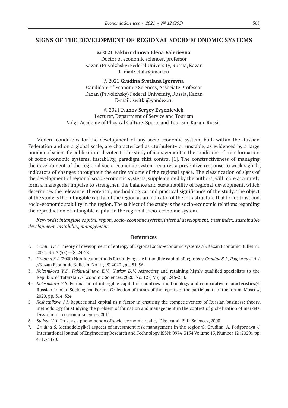### **SIGNS OF THE DEVELOPMENT OF REGIONAL SOCIO-ECONOMIC SYSTEMS**

© 2021 **Fakhrutdinova Elena Valerievna** Doctor of economic sciences, professor Kazan (Privolzhsky) Federal University, Russia, Kazan E-mail: efahr@mail.ru

© 2021 **Grudina Svetlana Igorevna** Candidate of Economic Sciences, Associate Professor Kazan (Privolzhsky) Federal University, Russia, Kazan E-mail: switki@yandex.ru

© 2021 **Ivanov Sergey Evgenievich** Lecturer, Department of Service and Tourism Volga Academy of Physical Culture, Sports and Tourism, Kazan, Russia

Modern conditions for the development of any socio-economic system, both within the Russian Federation and on a global scale, are characterized as «turbulent» or unstable, as evidenced by a large number of scientific publications devoted to the study of management in the conditions of transformation of socio-economic systems, instability, paradigm shift control [1]. The constructiveness of managing the development of the regional socio-economic system requires a preventive response to weak signals, indicators of changes throughout the entire volume of the regional space. The classification of signs of the development of regional socio-economic systems, supplemented by the authors, will more accurately form a managerial impulse to strengthen the balance and sustainability of regional development, which determines the relevance, theoretical, methodological and practical significance of the study. The object of the study is the intangible capital of the region as an indicator of the infrastructure that forms trust and socio-economic stability in the region. The subject of the study is the socio-economic relations regarding the reproduction of intangible capital in the regional socio-economic system.

*Keywords: intangible capital, region, socio-economic system, infernal development, trust index, sustainable development, instability, management.*

- 1. *Grudina S.I.* Theory of development of entropy of regional socio-economic systems // «Kazan Economic Bulletin».  $2021.$  No. 3 (53) – S. 24-28.
- 2. *Grudina S.I.* (2020) Nonlinear methods for studying the intangible capital of regions // *Grudina S.I., Podgornaya A.I.*  //Kazan Economic Bulletin, No. 4 (48) 2020., pp. 51‑56.
- 3. *Kolesnikova Y.S., Fakhrutdinova E.V., Yurkov D.V.*  Attracting and retaining highly qualified specialists to the Republic of Tatarstan // Economic Sciences, 2020, No. 12 (193), pp. 246‑250.
- 4. *Kolesnikova Y.S.* Estimation of intangible capital of countries: methodology and comparative characteristics//I Russian-Iranian Sociological Forum. Collection of theses of the reports of the participants of the forum. Moscow, 2020, pp. 314‑324
- 5. *Reshetnikova I.I.* Reputational capital as a factor in ensuring the competitiveness of Russian business: theory, methodology for studying the problem of formation and management in the context of globalization of markets. Diss. doctor. economic sciences, 2011.
- 6. *Stolyar V.Y.* Trust as a phenomenon of socio-economic reality. Diss. cand. Phil. Sciences, 2008.
- 7. *Grudina S.* Methodologikal aspects of investment risk management in the region/S. Grudina, A. Podgornaya // International Journal of Engineering Research and Technology ISSN: 0974‑3154 Volume 13, Number 12 (2020), pp. 4417‑4420.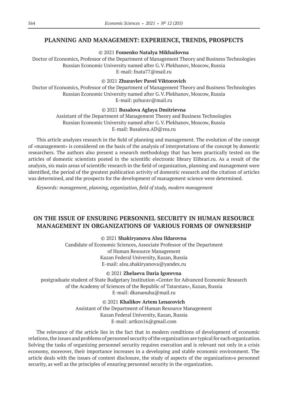### **PLANNING AND MANAGEMENT: EXPERIENCE, TRENDS, PROSPECTS**

© 2021 **Fomenko Natalya Mikhailovna**

Doctor of Economics, Professor of the Department of Management Theory and Business Technologies Russian Economic University named after G.V.Plekhanov, Moscow, Russia E-mail: fnata77@mail.ru

### © 2021 **Zhuravlev Pavel Viktorovich**

Doctor of Economics, Professor of the Department of Management Theory and Business Technologies Russian Economic University named after G.V.Plekhanov, Moscow, Russia E-mail: pzhurav@mail.ru

#### © 2021 **Busalova Aglaya Dmitrievna**

Assistant of the Department of Management Theory and Business Technologies Russian Economic University named after G.V.Plekhanov, Moscow, Russia Е-mail: Busalova.AD@rea.ru

This article analyzes research in the field of planning and management. The evolution of the concept of «management» is considered on the basis of the analysis of interpretations of the concept by domestic researchers. The authors also present a research methodology that has been practically tested on the articles of domestic scientists posted in the scientific electronic library Elibrari.ru. As a result of the analysis, six main areas of scientific research in the field of organization, planning and management were identified, the period of the greatest publication activity of domestic research and the citation of articles was determined, and the prospects for the development of management science were determined.

*Keywords: management, planning, organization, field of study, modern management*

# **ON THE ISSUE OF ENSURING PERSONNEL SECURITY IN HUMAN RESOURCE MANAGEMENT IN ORGANIZATIONS OF VARIOUS FORMS OF OWNERSHIP**

© 2021 **Shakiryanova Alsu Ildarovna**

Candidate of Economic Sciences, Associate Professor of the Department of Human Resource Management Kazan Federal University, Kazan, Russia E-mail: alsu.shakiryanova@yandex.ru

© 2021 **Zhelaeva Daria Igorevna**

postgraduate student of State Budgetary Institution «Center for Advanced Economic Research of the Academy of Sciences of the Republic of Tatarstan», Kazan, Russia E-mail: dkananuha@mail.ru

> © 2021 **Khalikov Artem Lenarovich** Assistant of the Department of Human Resource Management Kazan Federal University, Kazan, Russia E-mail: artkzn16@gmail.com

The relevance of the article lies in the fact that in modern conditions of development of economic relations, the issues and problems of personnel security of the organization are typical for each organization. Solving the tasks of organizing personnel security requires execution and is relevant not only in a crisis economy, moreover, their importance increases in a developing and stable economic environment. The article deals with the issues of content disclosure, the study of aspects of the organization»s personnel security, as well as the principles of ensuring personnel security in the organization.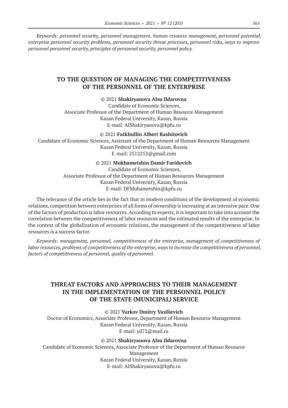*Keywords: personnel security, personnel management, human resource management, personnel potential, enterprise personnel security problems, personnel security threat processes, personnel risks, ways to improve personnel personnel security, principles of personnel security, personnel policy.*

### **TO THE QUESTION OF MANAGING THE COMPETITIVENESS OF THE PERSONNEL OF THE ENTERPRISE**

#### © 2021 **Shakiryanova Alsu Ildarovna**

Candidate of Economic Sciences, Associate Professor of the Department of Human Resource Management Kazan Federal University, Kazan, Russia E-mail: AIShakiryanova@kpfu.ru

#### © 2021 **Fatkhullin Albert Rashitovich**

Candidate of Economic Sciences, Assistant of the Department of Human Resources Management Kazan Federal University, Kazan, Russia E-mail: 2512252@gmail.com

#### © 2021 **Mukhametshin Damir Faridovich**

Candidate of Economic Sciences, Associate Professor of the Department of Human Resources Management Kazan Federal University, Kazan, Russia Е-mail: DFMuhametshin@kpfu.ru

The relevance of the article lies in the fact that in modern conditions of the development of economic relations, competition between enterprises of all forms of ownership is increasing at an intensive pace. One of the factors of production is labor resources. According to experts, it is important to take into account the correlation between the competitiveness of labor resources and the estimated results of the enterprise. In the context of the globalization of economic relations, the management of the competitiveness of labor resources is a success factor.

*Keywords: management, personnel, competitiveness of the enterprise, management of competitiveness of labor resources, problems of competitiveness of the enterprise, ways to increase the competitiveness of personnel, factors of competitiveness of personnel, quality of personnel.*

# **THREAT FACTORS AND APPROACHES TO THEIR MANAGEMENT IN THE IMPLEMENTATION OF THE PERSONNEL POLICY OF THE STATE (MUNICIPAL) SERVICE**

#### © 2021 **Yurkov Dmitry Vasilievich**

Doctor of Economics, Associate Professor, Department of Human Resource Management Kazan Federal University, Kazan, Russia E-mail: yd72@mail.ru

### © 2021 **Shakiryanova Alsu Ildarovna**

Candidate of Economic Sciences, Associate Professor of the Department of Human Resource Management Kazan Federal University, Kazan, Russia E-mail: AIShakiryanova@kpfu.ru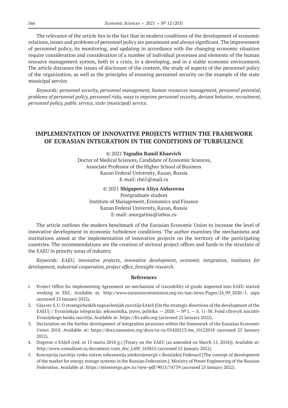The relevance of the article lies in the fact that in modern conditions of the development of economic relations, issues and problems of personnel policy are paramount and always significant. The improvement of personnel policy, its monitoring, and updating in accordance with the changing economic situation require consideration and consideration of a number of individual processes and elements of the human resource management system, both in a crisis, in a developing, and in a stable economic environment. The article discusses the issues of disclosure of the content, the study of aspects of the personnel policy of the organization, as well as the principles of ensuring personnel security on the example of the state municipal service.

*Keywords: personnel security, personnel management, human resources management, personnel potential, problems of personnel policy, personnel risks, ways to improve personnel security, deviant behavior, recruitment, personnel policy, public service, state (municipal) service.*

### **IMPLEMENTATION OF INNOVATIVE PROJECTS WITHIN THE FRAMEWORK OF EURASIAN INTEGRATION IN THE CONDITIONS OF TURBULENCE**

© 2021 **Yagudin Ramil Khaevich** Doctor of Medical Sciences, Candidate of Economic Sciences, Associate Professor of the Higher School of Business Kazan Federal University, Kazan, Russia E-mail: rh65@mail.ru

© 2021 **Shigapova Aliya Aidarovna**

Postgraduate student Institute of Management, Economics and Finance Kazan Federal University, Kazan, Russia E-mail: anurgatina@inbox.ru

The article outlines the modern benchmark of the Eurasian Economic Union to increase the level of innovative development in economic turbulence conditions. The author examines the mechanisms and institutions aimed at the implementation of innovative projects on the territory of the participating countries. The recommendations are the creation of sectoral project offices and funds in the structure of the EAEU in priority areas of industry.

*Keywords: EAEU, innovative projects, innovative development, economic integration, institutes for development, industrial cooperation, project office, foresight-research.*

- 1. Project Office for implementing Agreement on mechanism of traceability of goods imported into EAEU started working in EEC. Available at: http://www.eurasiancommission.org/en/nae/news/Pages/24\_09\_2020–1. aspx (accessed 25 January 2022).
- 2. Glaz»ev S.U. O strategicheskih napravlenijah razvitija EAJeS [On the strategic directions of the development of the EAEU] // Evrazijskaja integracija: jekonomika, pravo, politika. — 2020. —  $N^2$  1. — S. 11-30. Fond cifrovyh iniciativ Evrazijskogo banka razvitija. Available at: https://fci.eabr.org/(accessed 25 January 2022).
- 3. Declaration on the further development of integration processes within the framework of the Eurasian Economic Union 2018. Available at: https://docs.eaeunion.org/docs/ru-ru/01420213/ms\_10122018 (accessed 25 January 2022).
- 4. Dogovor o EAJeS (red. ot 15 marta 2018 g.) [Treaty on the EAEU (as amended on March 15, 2018)]. Available at: http://www.consultant.ru/document/cons\_doc\_LAW\_163855/(accessed 25 January 2022).
- 5. Koncepcija razvitija rynka sistem sohranenija jelektrojenergii v Rossijskoj Federacii [The concept of development of the market for energy storage systems in the Russian Federation.]. Ministry of Power Engineering of the Russian Federation. Available at: https://minenergo.gov.ru/view-pdf/9013/74739 (accessed 25 January 2022).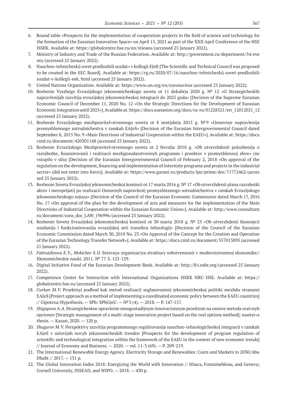- 6. Round table «Prospects for the implementation of cooperation projects in the field of science and technology for the formation of the Eurasian Innovation Space» on April 15, 2021 as part of the XXII April Conference of the HSE ISSEK. Available at: https://globalcentre.hse.ru/en/stieaeu/(accessed 25 January 2022).
- 7. Ministry of Industry and Trade of the Russian Federation. Available at: http://government.ru/department/54/eve nts/(accessed 25 January 2022).
- 8. Nauchno-tehnicheskij sovet predlozhili sozdat» v kollegii EJeK [The Scientific and Technical Council was proposed to be created in the EEC Board]. Available at: https://rg.ru/2020/07/16/nauchno-tehnicheskij-sovet-predlozhilisozdat-v-kollegii-eek. html (accessed 25 January 2022).
- 9. United Nations Organization. Available at: https://www.un.org/en/coronavirus (accessed 25 January 2022).
- 10. Reshenie Vysshego Evrazijskogo jekonomicheskogo soveta ot 11 dekabrja 2020 g. № 12 «O Strategicheskih napravlenijah razvitija evrazijskoj jekonomicheskoj integracii do 2025 goda» [Decision of the Supreme Eurasian Economic Council of December 11, 2020 No. 12 «On the Strategic Directions for the Development of Eurasian Economic Integration until 2025»]. Available at: https://docs.eaeunion.org/docs/ru-ru/01228321/err\_12012021\_12 (accessed 25 January 2022).
- 11. Reshenie Evrazijskogo mezhpravitel»stvennogo soveta ot 8 sentjabrja 2015 g. №9 «Osnovnye napravlenija promyshlennogo sotrudnichestva v ramkah EAJeS» [Decision of the Eurasian Intergovernmental Council dated September 8, 2015 No. 9 «Main Directions of Industrial Cooperation within the EAEU»]. Available at: https://docs. cntd.ru/document/420301148 (accessed 25 January 2022).
- 12. Reshenie Evrazijskogo Mezhpravitel»stvennogo soveta ot 2 fevralja 2018 g. «Ob utverzhdenii polozhenija o razrabotke, finansirovanii i realizacii mezhgosudarstvennyh programm i proektov v promyshlennoj sfere» (ne vstupilo v silu) [Decision of the Eurasian Intergovernmental Council of February 2, 2018 «On approval of the regulation on the development, financing and implementation of interstate programs and projects in the industrial sector» (did not enter into force)]. Available at: https://www.garant.ru/products/ipo/prime/doc/71772462/(acces sed 25 January 2022).
- 13. Reshenie Soveta Evrazijskoj jekonomicheskoj komissii ot 17 marta 2016 g. № 17 «Ob utverzhdenii plana razrabotki aktov i meroprijatij po realizacii Osnovnyh napravlenij promyshlennogo sotrudnichestva v ramkah Evrazijskogo jekonomicheskogo sojuza» [Decision of the Council of the Eurasian Economic Commission dated March 17, 2016 No. 17 «On approval of the plan for the development of acts and measures for the implementation of the Main Directions of Industrial Cooperation within the Eurasian Economic Union»]. Available at: http://www.consultant. ru/document/cons\_doc\_LAW\_196996/(accessed 25 January 2022).
- 14. Reshenie Soveta Evrazijskoj jekonomicheskoj komissii ot 30 marta 2018 g. № 23 «Ob utverzhdenii Koncepcii sozdanija i funkcionirovanija evrazijskoj seti transfera tehnologij» [Decision of the Council of the Eurasian Economic Commission dated March 30, 2018 No. 23 «On Approval of the Concept for the Creation and Operation of the Eurasian Technology Transfer Network»]. Available at: https://docs.cntd.ru/document/557013895 (accessed 21 January 2022).
- 15. *Fahrutdinova E.V., Mokichev S.D.* Setevaya organizaciya struktury sobstvennosti v moderniziruemoj ekonomike// Ekonomicheskie nauki. 2011. № 77. S. 123‑129.
- 16. Digital Initiative Fund of the Eurasian Development Bank. Available at: http://fci.eabr.org/(accessed 25 January 2022).
- 17. Competence Center for Interaction with International Organizations ISSEK NRU HSE. Available at: https:// globalcentre.hse.ru/(accessed 25 January 2022).
- 18. *Curkan M.V.* Proektnyj podhod kak metod realizacii soglasovannoj jekonomicheskoj politiki mezhdu stranami EAJeS [Project approach as a method of implementing a coordinated economic policy between the EAEU countries] // Gipoteza/Hypothesis. — SPb: SPbGJeU. — №3 (4). — 2018. — P. 147‑157.
- 19. *Shigapova A.A.* Strategicheskoe upravlenie mnogostadijnym innovacionnym proektom na osnove metoda real»nyh opcionov [Strategic management of a multi-stage innovation project based on the real options method]: master»s thesis. — Kazan, 2020. — 120 p.
- 20. *Shugurov M.V.* Perspektivy razvitija programmnogo regulirovanija nauchno-tehnologicheskoj integracii v ramkah EAJeS v uslovijah novyh jekonomicheskih trendov [Prospects for the development of program regulation of scientific and technological integration within the framework of the EAEU in the context of new economic trends] // Journal of Economy and Business.  $-2020$ .  $-$  vol. 11-3 (69).  $-$  P. 209-219.
- 21. The International Renewable Energy Agency. Electricity Storage and Renewables: Costs and Markets to 2030/Abu Dhabi // 2017. — 131 p.
- 22. The Global Innovation Index 2018: Energizing the World with Innovation // Ithaca, Fontainebleau, and Geneva; Cornell University, INSEAD, and WIPO. — 2018. — 430 р.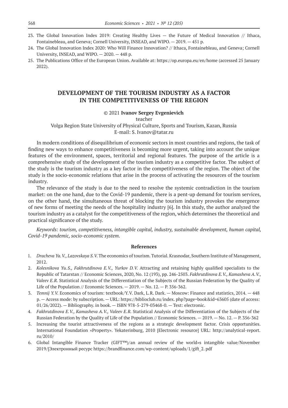- 23. The Global Innovation Index 2019: Creating Healthy Lives the Future of Medical Innovation // Ithaca, Fontainebleau, and Geneva; Cornell University, INSEAD, and WIPO. — 2019. — 451 р.
- 24. The Global Innovation Index 2020: Who Will Finance Innovation? // Ithaca, Fontainebleau, and Geneva; Cornell University, INSEAD, and WIPO. — 2020. — 448 р.
- 25. The Publications Office of the European Union. Available at: https://op.europa.eu/en/home (accessed 25 January 2022).

# **DEVELOPMENT OF THE TOURISM INDUSTRY AS A FACTOR IN THE COMPETITIVENESS OF THE REGION**

#### © 2021 **Ivanov Sergey Evgenievich**

teacher

Volga Region State University of Physical Culture, Sports and Tourism, Kazan, Russia E-mail: S. Ivanov@tatar.ru

In modern conditions of disequilibrium of economic sectors in most countries and regions, the task of finding new ways to enhance competitiveness is becoming more urgent, taking into account the unique features of the environment, spaces, territorial and regional features. The purpose of the article is a comprehensive study of the development of the tourism industry as a competitive factor. The subject of the study is the tourism industry as a key factor in the competitiveness of the region. The object of the study is the socio-economic relations that arise in the process of activating the resources of the tourism industry.

The relevance of the study is due to the need to resolve the systemic contradiction in the tourism market: on the one hand, due to the Covid-19 pandemic, there is a pent-up demand for tourism services, on the other hand, the simultaneous threat of blocking the tourism industry provokes the emergence of new forms of meeting the needs of the hospitality industry [6]. In this study, the author analyzed the tourism industry as a catalyst for the competitiveness of the region, which determines the theoretical and practical significance of the study.

*Keywords: tourism, competitiveness, intangible capital, industry, sustainable development, human capital, Covid-19 pandemic, socio-economic system.*

- 1. *Dracheva Ya.V., Lazovskaya S.V.* The economics of tourism. Tutorial. Krasnodar, Southern Institute of Management, 2012.
- 2. *Kolesnikova Yu.S., Fakhrutdinova E.V., Yurkov D.V.* Attracting and retaining highly qualified specialists to the Republic of Tatarstan // Economic Sciences, 2020, No. 12 (193), pp. 246‑2503. *Fakhrutdinova E.V., Kamasheva A.V., Valeev E.R.* Statistical Analysis of the Differentiation of the Subjects of the Russian Federation by the Quality of Life of the Population // Economic Sciences.  $-2019$ .  $-$  No. 12.  $-$  P. 356-362.
- 3. *Temnij Y.V.* Economics of tourism: textbook/Y.V. Dark, L.R. Dark. Moscow: Finance and statistics, 2014. 448 p. — Access mode: by subscription. — URL: https://biblioclub.ru/index. php?page=book&id=63605 (date of access: 01/26/2022). — Bibliography. in book. — ISBN 978‑5‑279‑03468‑0. — Text: electronic.
- 4. *Fakhrutdinova E.V., Kamasheva A.V., Valeev E.R.* Statistical Analysis of the Differentiation of the Subjects of the Russian Federation by the Quality of Life of the Population // Economic Sciences.  $-2019$ .  $-$  No. 12.  $-$  P. 356-362
- 5. Increasing the tourist attractiveness of the regions as a strategic development factor. Crisis opportunities. International Foundation «Property». Yekaterinburg, 2010 [Electronic resource] URL: http://analytical-report. ru/2010/
- 6. Global Intangible Finance Tracker (GIFT™)/an annual review of the world»s intangible value/November 2019/[Электронный ресурс https://brandfinance.com/wp-content/uploads/1/gift\_2. pdf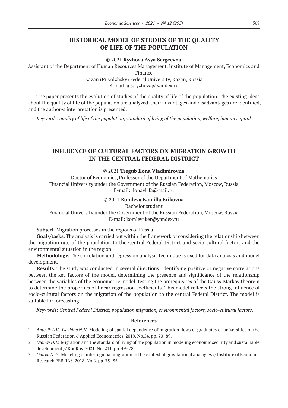# **HISTORICAL MODEL OF STUDIES OF THE QUALITY OF LIFE OF THE POPULATION**

© 2021 **Ryzhova Asya Sergeevna**

Assistant of the Department of Human Resources Management, Institute of Management, Economics and

Finance

Kazan (Privolzhsky) Federal University, Kazan, Russia E-mail: a.s.ryzhova@yandex.ru

The paper presents the evolution of studies of the quality of life of the population. The existing ideas about the quality of life of the population are analyzed, their advantages and disadvantages are identified, and the author»s interpretation is presented.

*Keywords: quality of life of the population, standard of living of the population, welfare, human capital*

# **INFLUENCE OF CULTURAL FACTORS ON MIGRATION GROWTH IN THE CENTRAL FEDERAL DISTRICT**

© 2021 **Tregub Ilona Vladimirovna**

Doctor of Economics, Professor of the Department of Mathematics Financial University under the Government of the Russian Federation, Moscow, Russia E-mail: ilonavl\_fa@mail.ru

#### © 2021 **Komleva Kamilla Erikovna**

Bachelor student

Financial University under the Government of the Russian Federation, Moscow, Russia E-mail: komlevaker@yandex.ru

**Subject**. Migration processes in the regions of Russia.

**Goals/tasks**. The analysis is carried out within the framework of considering the relationship between the migration rate of the population to the Central Federal District and socio-cultural factors and the environmental situation in the region.

**Methodology**. The correlation and regression analysis technique is used for data analysis and model development.

**Results**. The study was conducted in several directions: identifying positive or negative correlations between the key factors of the model, determining the presence and significance of the relationship between the variables of the econometric model, testing the prerequisites of the Gauss-Markov theorem to determine the properties of linear regression coefficients. This model reflects the strong influence of socio-cultural factors on the migration of the population to the central Federal District. The model is suitable for forecasting.

*Keywords: Central Federal District; population migration, environmental factors, socio-cultural factors.*

- 1. *Antosik L.V., Ivashina N.V.* Modeling of spatial dependence of migration flows of graduates of universities of the Russian Federation // Applied Econometrics. 2019. No.54. pp. 70–89.
- 2. *Dianov D.V.* Migration and the standard of living of the population in modeling economic security and sustainable development // KnoRus. 2021. No. 211. pp. 49–78.
- 3. *Djurko N.G.* Modeling of interregional migration in the context of gravitational analogies // Institute of Economic Research FEB RAS. 2018. No.2. pp. 75–85.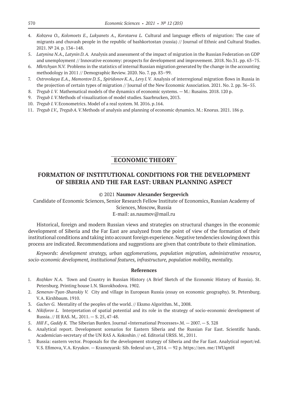- 4. *Kobzeva O., Kolomoets E., Lukyanets A., Korotaeva L.* Cultural and language effects of migration: The case of migrants and chuvash people in the republic of bashkortostan (russia) // Journal of Ethnic and Cultural Studies. 2021. № 24. p. 134–148.
- 5. *Latynina N.A., Latynin D.A.* Analysis and assessment of the impact of migration in the Russian Federation on GDP and unemployment // Innovative economy: prospects for development and improvement. 2018. No.31. pp. 63–75.
- 6. *Mkrtchyan N.V.* Problems in the statistics of internal Russian migration generated by the change in the accounting methodology in 2011 // Demographic Review. 2020. No. 7. pp. 83–99.
- 7. *Ostrovskaya E.A., Mamontov D.S., Spiridonov K.A., Levy I.V.* Analysis of interregional migration flows in Russia in the projection of certain types of migration // Journal of the New Economic Association. 2021. No. 2. pp. 36–55.
- 8. *Tregub I.V.* Mathematical models of the dynamics of economic systems. M.: Rusains. 2018. 120 p.
- 9. *Tregub I.V.*Methods of visualization of model studies. Saarbrucken, 2013.
- 10. *Tregub I.V.*Econometrics. Model of a real system. M. 2016. p.164.
- 11. *Tregub I.V., TregubA.V.*Methods of analysis and planning of economic dynamics. M.: Knorus. 2021. 186 p.

### **ECONOMIC THEORY**

# **FORMATION OF INSTITUTIONAL CONDITIONS FOR THE DEVELOPMENT OF SIBERIA AND THE FAR EAST: URBAN PLANNING ASPECT**

#### © 2021 **Naumov Alexander Sergeevich**

Candidate of Economic Sciences, Senior Research Fellow Institute of Economics, Russian Academy of Sciences, Moscow, Russia E-mail: as.naumov@mail.ru

Historical, foreign and modern Russian views and strategies on structural changes in the economic development of Siberia and the Far East are analyzed from the point of view of the formation of their institutional conditions and taking into account foreign experience. Negative tendencies slowing down this process are indicated. Recommendations and suggestions are given that contribute to their elimination.

*Keywords: development strategy, urban agglomerations, population migration, administrative resource, socio-economic development, institutional features, infrastructure, population mobility, mentality.*

- 1. *Rozhkov N.A.* Town and Country in Russian History (A Brief Sketch of the Economic History of Russia). St. Petersburg. Printing house I.N. Skorokhodova. 1902.
- 2. *Semenov-Tyan-Shanskiy V.* City and village in European Russia (essay on economic geography). St. Petersburg. V.A. Kirshbaum. 1910.
- 3. *Gachev G.* Mentality of the peoples of the world. // Eksmo Algorithm. M., 2008.
- 4. *Nikiforov L.* Interpretation of spatial potential and its role in the strategy of socio-economic development of Russia. // IE RAS. M,. 2011. — S. 25, 47‑48.
- 5. *Hill F., Gaddy K.* The Siberian Burden. Journal «International Processes».M. 2007. S. 328
- 6. Analytical report. Development scenarios for Eastern Siberia and the Russian Far East. Scientific hands. Academician-secretary of the UN RAS A. Kokoshin // ed. Editorial URSS. M., 2011.
- 7. Russia: eastern vector. Proposals for the development strategy of Siberia and the Far East. Analytical report/ed. V.S. Efimova, V.A. Kryukov. — Krasnoyarsk: Sib. federal un-t, 2014. — 92 p. https://zen. me/1WUqmH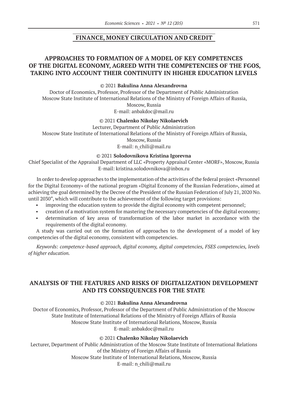# **FINANCE, MONEY CIRCULATION AND CREDIT**

# **APPROACHES TO FORMATION OF A MODEL OF KEY COMPETENCES OF THE DIGITAL ECONOMY, AGREED WITH THE COMPETENCIES OF THE FGOS, TAKING INTO ACCOUNT THEIR CONTINUITY IN HIGHER EDUCATION LEVELS**

### © 2021 **Bakulina Anna Alexandrovna**

Doctor of Economics, Professor, Professor of the Department of Public Administration Moscow State Institute of International Relations of the Ministry of Foreign Affairs of Russia, Moscow, Russia

E-mail: anbakdoc@mail.ru

#### © 2021 **Chalenko Nikolay Nikolaevich**

Lecturer, Department of Public Administration Moscow State Institute of International Relations of the Ministry of Foreign Affairs of Russia, Moscow, Russia

### E-mail: n\_chili@mail.ru

### © 2021 **Solodovnikova Kristina Igorevna**

Chief Specialist of the Appraisal Department of LLC «Property Appraisal Center «MORF», Moscow, Russia E-mail: kristina.solodovnikova@inbox.ru

In order to develop approaches to the implementation of the activities of the federal project «Personnel for the Digital Economy» of the national program «Digital Economy of the Russian Federation», aimed at achieving the goal determined by the Decree of the President of the Russian Federation of July 21, 2020 No. until 2030", which will contribute to the achievement of the following target provisions:

- improving the education system to provide the digital economy with competent personnel;
- creation of a motivation system for mastering the necessary competencies of the digital economy;
- determination of key areas of transformation of the labor market in accordance with the requirements of the digital economy.

A study was carried out on the formation of approaches to the development of a model of key competencies of the digital economy, consistent with competencies.

*Keywords: competence-based approach, digital economy, digital competencies, FSES competencies, levels of higher education.*

# **ANALYSIS OF THE FEATURES AND RISKS OF DIGITALIZATION DEVELOPMENT AND ITS CONSEQUENCES FOR THE STATE**

### © 2021 **Bakulina Anna Alexandrovna**

Doctor of Economics, Professor, Professor of the Department of Public Administration of the Moscow State Institute of International Relations of the Ministry of Foreign Affairs of Russia Moscow State Institute of International Relations, Moscow, Russia E-mail: anbakdoc@mail.ru

### © 2021 **Chalenko Nikolay Nikolaevich**

Lecturer, Department of Public Administration of the Moscow State Institute of International Relations of the Ministry of Foreign Affairs of Russia Moscow State Institute of International Relations, Moscow, Russia

E-mail: n\_chili@mail.ru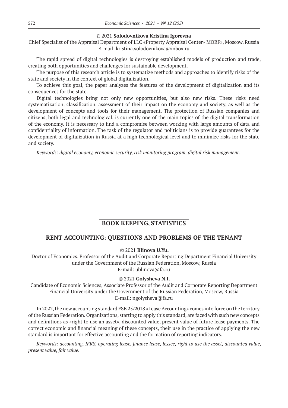#### © 2021 **Solodovnikova Kristina Igorevna**

Chief Specialist of the Appraisal Department of LLC «Property Appraisal Center» MORF», Moscow, Russia E-mail: kristina.solodovnikova@inbox.ru

The rapid spread of digital technologies is destroying established models of production and trade, creating both opportunities and challenges for sustainable development.

The purpose of this research article is to systematize methods and approaches to identify risks of the state and society in the context of global digitalization.

To achieve this goal, the paper analyzes the features of the development of digitalization and its consequences for the state.

Digital technologies bring not only new opportunities, but also new risks. These risks need systematization, classification, assessment of their impact on the economy and society, as well as the development of concepts and tools for their management. The protection of Russian companies and citizens, both legal and technological, is currently one of the main topics of the digital transformation of the economy. It is necessary to find a compromise between working with large amounts of data and confidentiality of information. The task of the regulator and politicians is to provide guarantees for the development of digitalization in Russia at a high technological level and to minimize risks for the state and society.

*Keywords: digital economy, economic security, risk monitoring program, digital risk management.*

# **BOOK KEEPING, STATISTICS**

### **RENT ACCOUNTING: QUESTIONS AND PROBLEMS OF THE TENANT**

© 2021 **Blinova U.Yu.**

Doctor of Economics, Professor of the Audit and Corporate Reporting Department Financial University under the Government of the Russian Federation, Moscow, Russia E-mail: ublinova@fa.ru

#### © 2021 **Golyshevа N.I.**

Candidate of Economic Sciences, Associate Professor of the Audit and Corporate Reporting Department Financial University under the Government of the Russian Federation, Moscow, Russia E-mail: ngolysheva@fa.ru

In 2022, the new accounting standard FSB 25/2018 «Lease Accounting» comes into force on the territory of the Russian Federation. Organizations, starting to apply this standard, are faced with such new concepts and definitions as «right to use an asset», discounted value, present value of future lease payments. The correct economic and financial meaning of these concepts, their use in the practice of applying the new standard is important for effective accounting and the formation of reporting indicators.

*Keywords: accounting, IFRS, operating lease, finance lease, lessee, right to use the asset, discounted value, present value, fair value.*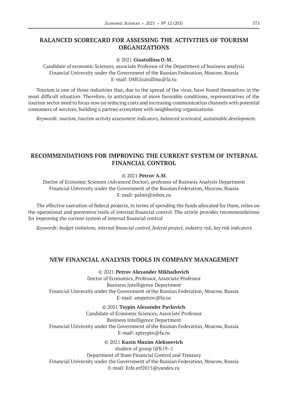# **BALANCED SCORECARD FOR ASSESSING THE ACTIVITIES OF TOURISM ORGANIZATIONS**

### © 2021 **Gizatullina O.M.**

Сandidate of economic Sciences, associate Professor of the Department of business analysis Financial University under the Government of the Russian Federation, Moscow, Russia E-mail: OMGizatullina@fa.ru

Tourism is one of those industries that, due to the spread of the virus, have found themselves in the most difficult situation. Therefore, in anticipation of more favorable conditions, representatives of the tourism sector need to focus now on reducing costs and increasing communication channels with potential consumers of services, building a partner ecosystem with neighboring organizations.

*Keywords: tourism, tourism activity assessment indicators, balanced scorecard, sustainable development.*

# **RECOMMENDATIONS FOR IMPROVING THE CURRENT SYSTEM OF INTERNAL FINANCIAL CONTROL**

### © 2021 **Petrov А.M.**

Doctor of Economic Sciences (Advanced Doctor), professor of Business Analysis Department Financial University under the Government of the Russian Federation, Moscow, Russia E-mail: palmi@inbox.ru

The effective execution of federal projects, in terms of spending the funds allocated for them, relies on the operational and preventive tools of internal financial control. The article provides recommendations for improving the current system of internal financial control

*Keywords: budget violations, internal financial control, federal project, industry risk, key risk indicators.*

### **NEW FINANCIAL ANALYSIS TOOLS IN COMPANY MANAGEMENT**

© 2021 **Petrov Alexander Mikhailovich** Doctor of Economics, Professor, Associate Professor Business Intelligence Department Financial University under the Government of the Russian Federation, Moscow, Russia E-mail: ampetrov@fa.ru

© 2021 **Tsypin Alexander Pavlovich** Candidate of Economic Sciences, Associate Professor Business Intelligence Department Financial University under the Government of the Russian Federation, Moscow, Russia E-mail: aptsypin@fa.ru

### © 2021 **Kuzin Maxim Alekseevich**

student of group GFK19–1 Department of State Financial Control and Treasury Financial University under the Government of the Russian Federation, Moscow, Russia E-mail: Erfe.erf2015@yandex.ru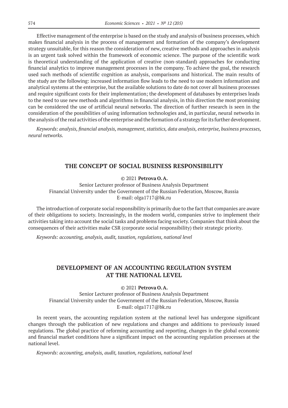Effective management of the enterprise is based on the study and analysis of business processes, which makes financial analysis in the process of management and formation of the company's development strategy unsuitable, for this reason the consideration of new, creative methods and approaches in analysis is an urgent task solved within the framework of economic science. The purpose of the scientific work is theoretical understanding of the application of creative (non-standard) approaches for conducting financial analytics to improve management processes in the company. To achieve the goal, the research used such methods of scientific cognition as analysis, comparisons and historical. The main results of the study are the following: increased information flow leads to the need to use modern information and analytical systems at the enterprise, but the available solutions to date do not cover all business processes and require significant costs for their implementation; the development of databases by enterprises leads to the need to use new methods and algorithms in financial analysis, in this direction the most promising can be considered the use of artificial neural networks. The direction of further research is seen in the consideration of the possibilities of using information technologies and, in particular, neural networks in the analysis of the real activities of the enterprise and the formation of a strategy for its further development.

*Keywords: analysis, financial analysis, management, statistics, data analysis, enterprise, business processes, neural networks.*

### **THE CONCEPT OF SOCIAL BUSINESS RESPONSIBILITY**

### © 2021 **Petrova O.A.**

Senior Lecturer professor of Business Analysis Department Financial University under the Government of the Russian Federation, Moscow, Russia E-mail: olga1717@bk.ru

The introduction of corporate social responsibility is primarily due to the fact that companies are aware of their obligations to society. Increasingly, in the modern world, companies strive to implement their activities taking into account the social tasks and problems facing society. Companies that think about the consequences of their activities make CSR (corporate social responsibility) their strategic priority.

*Keywords: accounting, analysis, audit, taxation, regulations, national level*

# **DEVELOPMENT OF AN ACCOUNTING REGULATION SYSTEM AT THE NATIONAL LEVEL**

© 2021 **Petrova O.A.**

Senior Lecturer professor of Business Analysis Department Financial University under the Government of the Russian Federation, Moscow, Russia E-mail: olga1717@bk.ru

In recent years, the accounting regulation system at the national level has undergone significant changes through the publication of new regulations and changes and additions to previously issued regulations. The global practice of reforming accounting and reporting, changes in the global economic and financial market conditions have a significant impact on the accounting regulation processes at the national level.

*Keywords: accounting, analysis, audit, taxation, regulations, national level*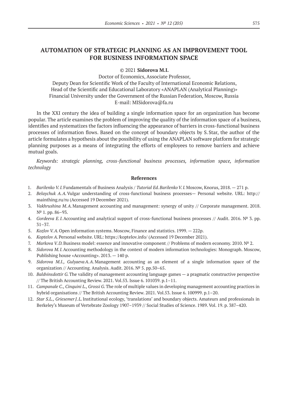# **AUTOMATION OF STRATEGIC PLANNING AS AN IMPROVEMENT TOOL FOR BUSINESS INFORMATION SPACE**

### © 2021 **Sidorova M.I.**

Doctor of Economics, Associate Professor, Deputy Dean for Scientific Work of the Faculty of International Economic Relations, Head of the Scientific and Educational Laboratory «ANAPLAN (Analytical Planning)» Financial University under the Government of the Russian Federation, Moscow, Russia E-mail: MISidorova@fa.ru

In the XXI century the idea of building a single information space for an organization has become popular. The article examines the problem of improving the quality of the information space of a business, identifies and systematizes the factors influencing the appearance of barriers in cross-functional business processes of information flows. Based on the concept of boundary objects by S.Star, the author of the article formulates a hypothesis about the possibility of using the ANAPLAN software platform for strategic planning purposes as a means of integrating the efforts of employees to remove barriers and achieve mutual goals.

*Keywords: strategic planning, cross-functional business processes, information space, information technology*

- 1. *Barilenko V.I.* Fundamentals of Business Analysis / *Tutorial Ed. Barilenko V.I.* Moscow, Knorus, 2018. 271 p.
- 2. *Belaychuk A.A.*Vulgar understanding of cross-functional business processes— Personal website. URL: http:// mainthing.ru/ru (Accessed 19 December 2021).
- 3. *Vakhrushina M.A.*Management accounting and management: synergy of unity // Corporate management. 2018. Nº 1. pp. 86–93.
- 4. *Gordeeva E.I.*Accounting and analytical support of cross-functional business processes // Audit. 2016. № 3. pp. 31–37.
- 5. *Kozlov V.A.*Open information systems. Moscow, Finance and statistics. 1999. 222p.
- 6. *Koptelov A.*Personal website. URL: https://koptelov.info/ (Accessed 19 December 2021).
- 7. *Markova V.D.*Business model: essence and innovative component // Problems of modern economy. 2010. № 2.
- 8. *Sidorova M.I.*Accounting methodology in the context of modern information technologies: Monograph. Moscow, Publishing house «Accounting». 2013. — 140 p.
- 9. *Sidorova M.I., GulyaevaA.A.*Management accounting as an element of a single information space of the organization // Accounting. Analysis. Audit. 2016. № 5. pp.50–65.
- 10. *Baldvinsdottir G.*The validity of management accounting language games а pragmatic constructive perspective // The British Accounting Review. 2021. Vol.53. Issue 6. 101039. p.1–11.
- 11. *Campanale С., Cinquini L., Grossi G.*The role of multiple values in developing management accounting practices in hybrid organisations // The British Accounting Review. 2021. Vol.53. Issue 6. 100999. p.1–20.
- 12. *Star S.L., GriesemerJ.L.*Institutional ecology, 'translations' and boundary objects. Amateurs and professionals in Berkeley's Museum of Vertebrate Zoology 1907–1939 // Social Studies of Science. 1989. Vol. 19. p. 387–420.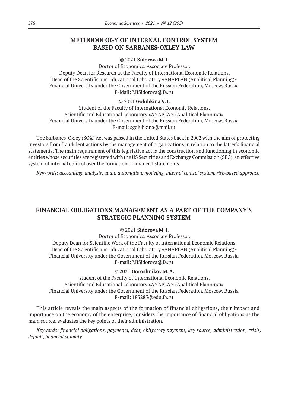# **METHODOLOGY OF INTERNAL CONTROL SYSTEM BASED ON SARBANES-OXLEY LAW**

### © 2021 **Sidorova M.I.**

Doctor of Economics, Associate Professor, Deputy Dean for Research at the Faculty of International Economic Relations, Head of the Scientific and Educational Laboratory «ANAPLAN (Analitical Planning)» Financial University under the Government of the Russian Federation, Moscow, Russia E-Mail: MISidorova@fa.ru

### © 2021 **Golubkina V.I.**

Student of the Faculty of International Economic Relations, Scientific and Educational Laboratory «ANAPLAN (Analitical Planning)» Financial University under the Government of the Russian Federation, Moscow, Russia E-mail: sgolubkina@mail.ru

The Sarbanes-Oxley (SOX) Act was passed in the United States back in 2002 with the aim of protecting investors from fraudulent actions by the management of organizations in relation to the latter's financial statements. The main requirement of this legislative act is the construction and functioning in economic entities whose securities are registered with the US Securities and Exchange Commission (SEC), an effective system of internal control over the formation of financial statements.

*Keywords: accounting, analysis, audit, automation, modeling, internal control system, risk-based approach*

# **FINANCIAL OBLIGATIONS MANAGEMENT AS A PART OF THE COMPANY'S STRATEGIC PLANNING SYSTEM**

#### © 2021 **Sidorova M.I.**

Doctor of Economics, Associate Professor, Deputy Dean for Scientific Work of the Faculty of International Economic Relations, Head of the Scientific and Educational Laboratory «ANAPLAN (Analitical Planning)» Financial University under the Government of the Russian Federation, Moscow, Russia E-mail: MISidorova@fa.ru

### © 2021 **Goroshnikov M.A.**

student of the Faculty of International Economic Relations, Scientific and Educational Laboratory «ANAPLAN (Analitical Planning)» Financial University under the Government of the Russian Federation, Moscow, Russia E-mail: 183285@edu.fa.ru

This article reveals the main aspects of the formation of financial obligations, their impact and importance on the economy of the enterprise, considers the importance of financial obligations as the main source, evaluates the key points of their administration.

*Keywords: financial obligations, payments, debt, obligatory payment, key source, administration, crisis, default, financial stability.*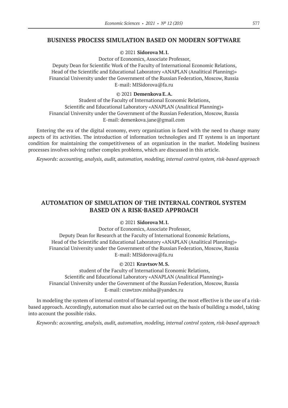### **BUSINESS PROCESS SIMULATION BASED ON MODERN SOFTWARE**

### © 2021 **Sidorova M.I.**

Doctor of Economics, Associate Professor,

Deputy Dean for Scientific Work of the Faculty of International Economic Relations, Head of the Scientific and Educational Laboratory «ANAPLAN (Analitical Planning)» Financial University under the Government of the Russian Federation, Moscow, Russia E-mail: MISidorova@fa.ru

### © 2021 **Demenkova E.A.**

Student of the Faculty of International Economic Relations, Scientific and Educational Laboratory «ANAPLAN (Analitical Planning)» Financial University under the Government of the Russian Federation, Moscow, Russia E-mail: demenkova.jane@gmail.com

Entering the era of the digital economy, every organization is faced with the need to change many aspects of its activities. The introduction of information technologies and IT systems is an important condition for maintaining the competitiveness of an organization in the market. Modeling business processes involves solving rather complex problems, which are discussed in this article.

*Keywords: accounting, analysis, audit, automation, modeling, internal control system, risk-based approach*

# **AUTOMATION OF SIMULATION OF THE INTERNAL CONTROL SYSTEM BASED ON A RISK-BASED APPROACH**

### © 2021 **Sidorova M.I.**

Doctor of Economics, Associate Professor, Deputy Dean for Research at the Faculty of International Economic Relations, Head of the Scientific and Educational Laboratory «ANAPLAN (Analitical Planning)» Financial University under the Government of the Russian Federation, Moscow, Russia E-mail: MISidorova@fa.ru

### © 2021 **Kravtsov M.S.**

student of the Faculty of International Economic Relations, Scientific and Educational Laboratory «ANAPLAN (Analitical Planning)» Financial University under the Government of the Russian Federation, Moscow, Russia E-mail: crawtzov.misha@yandex.ru

In modeling the system of internal control of financial reporting, the most effective is the use of a riskbased approach. Accordingly, automation must also be carried out on the basis of building a model, taking into account the possible risks.

*Keywords: accounting, analysis, audit, automation, modeling, internal control system, risk-based approach*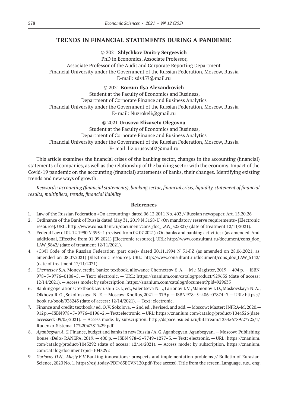### **TRENDS IN FINANCIAL STATEMENTS DURING A PANDEMIC**

© 2021 **Shlychkov Dmitry Sergeevich**

PhD in Economics, Associate Professor, Associate Professor of the Audit and Corporate Reporting Department Financial University under the Government of the Russian Federation, Moscow, Russia E-mail: sds457@mail.ru

### © 2021 **Korzun Ilya Alexandrovich**

Student at the Faculty of Economics and Business, Department of Corporate Finance and Business Analytics Financial University under the Government of the Russian Federation, Moscow, Russia E- mail: Nuzrokeli@gmail.ru

> © 2021 **Urusova Elizaveta Olegovna** Student at the Faculty of Economics and Business,

Department of Corporate Finance and Business Analytics Financial University under the Government of the Russian Federation, Moscow, Russia

E- mail: liz.urusova02@mail.ru

This article examines the financial crises of the banking sector, changes in the accounting (financial) statements of companies, as well as the relationship of the banking sector with the economy. Impact of the Covid‑19 pandemic on the accounting (financial) statements of banks, their changes. Identifying existing trends and new ways of growth.

*Keywords: аccounting (financial statements), banking sector, financial crisis, liquidity, statement of financial results, multipliers, trends, financial liability*

- 1. Law of the Russian Federation «On accounting» dated 06.12.2011 No. 402 // Russian newspaper. Art. 15.20.26
- 2. Ordinance of the Bank of Russia dated May 31, 2019 N 5158-U «On mandatory reserve requirements» [Electronic resource]. URL: http://www.consultant.ru/document/cons\_doc\_LAW\_325827/ (date of treatment 12/11/2021).
- 3. Federal Law of 02.12.1990 N 395–1 (revised from 02.07.2021) «On banks and banking activities» (as amended. And additional, Effective from 01.09.2021) [Electronic resource]. URL: http://www.consultant.ru/document/cons\_doc\_ LAW 5842/ (date of treatment 12/11/2021).
- 4. «Civil Code of the Russian Federation (part one)» dated 30.11.1994 N 51-FZ (as amended on 28.06.2021, as amended on 08.07.2021) [Electronic resource]. URL: http://www.consultant.ru/document/cons\_doc\_LAW\_5142/ (date of treatment 12/11/2021).
- 5. *Chernetsov S.A.* Money, credit, banks: textbook. allowance Chernetsov S.A. M .: Magister, 2019.— 494 p. ISBN 978–5–9776–0108–5. — Text: electronic. — URL: https://znanium.com/catalog/product/929635 (date of access: 12/14/2021). — Access mode: by subscription. https://znanium.com/catalog/document?pid=929635
- 6. Banking operations: textbook Lavrushin O.I., ed., Valentseva N.I., Larionov I.V., Mamonov I.D., Moskovskaya N.A., Olkhova R.G., Sokolinskaya N. .E. — Moscow: KnoRus, 2021.— 379 p. — ISBN 978–5–406–07874–7. — URL: https:// book.ru/book/938243 (date of access: 12/14/2021). — Text: electronic.
- 7. Finance and credit: textbook / ed. O.V.Sokolova. 2nd ed., Revised. and add. Moscow: Master: INFRA-M, 2020.— 912 p. — ISBN 978–5–9776–0196–2. — Text: electronic. — URL: https://znanium.com/catalog/product/1044526 (date accessed: 09/05/2021). — Access mode: by subscription. http://dspace.bsu.edu.ru/bitstream/123456789/27725/1/ Rudenko\_Sistema\_17%20%281%29.pdf
- 8. *Aganbegyan A.G.*Finance, budget and banks in new Russia / A.G.Aganbegyan. Aganbegyan. Moscow: Publishing house «Delo» RANEPA, 2019. — 400 p. — ISBN 978–5–7749–1277–3. — Text: electronic. — URL: https://znanium. com/catalog/product/1043292 (date of access: 12/14/2021). — Access mode: by subscription. https://znanium. com/catalog/document?pid=1043292
- 9. *Gorlovoy D.N., MaziyV.V.*Banking innovations: prospects and implementation problems // Bulletin of Eurasian Science, 2020 No. 1, https://esj.today/PDF/65ECVN120.pdf (free access). Title from the screen. Language. rus., eng.